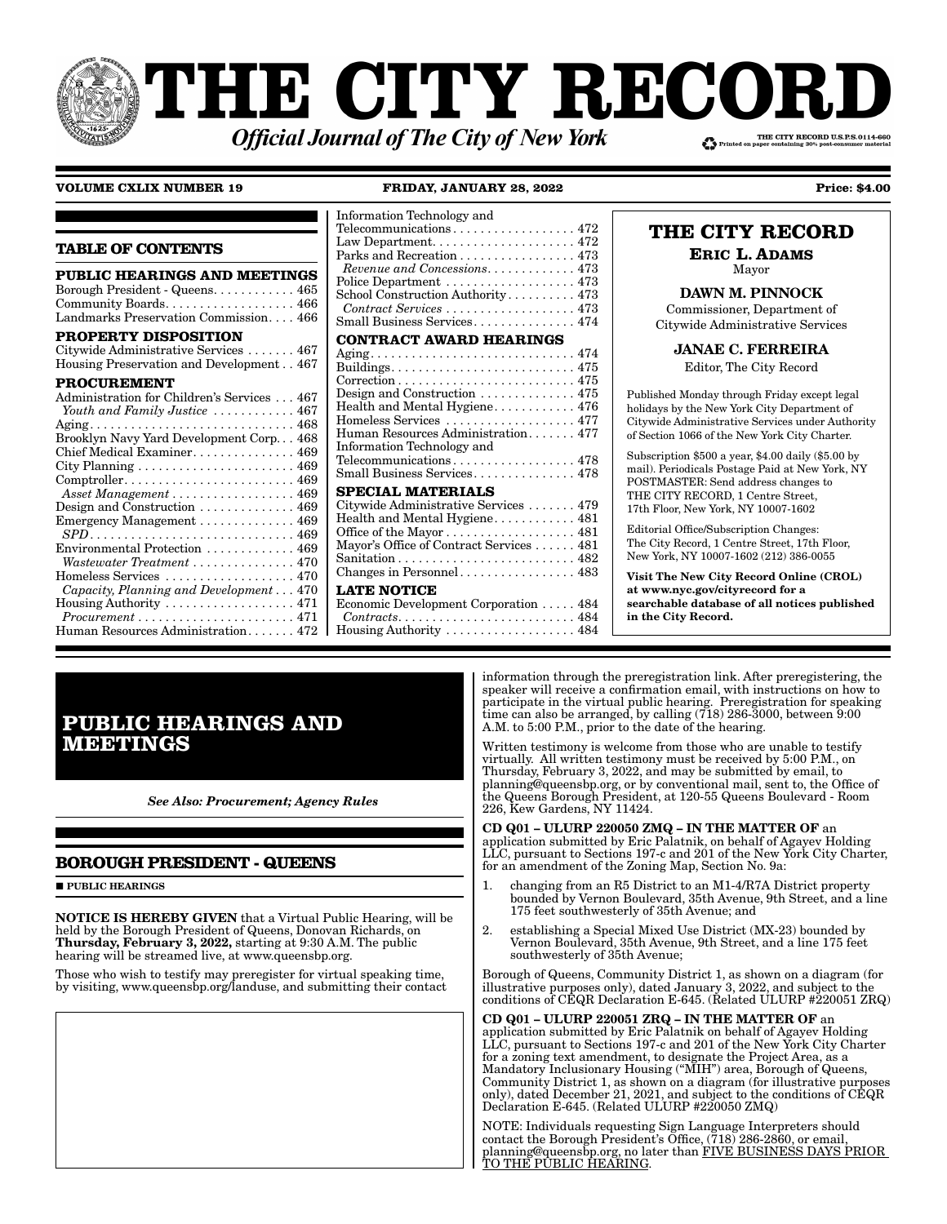# **THE CITY RECORI** THE CITY RECORD U.S.P.S.0114-660 **Official Journal of The City of New York**

#### **VOLUME CXLIX NUMBER 19**

#### FRIDAY, JANUARY 28, 2022

**Price: \$4.00** 

| <b>TABLE OF CONTENTS</b>                                                                                                                                                                                                                                                                                                                                                                                                                                                                                                                                                              |
|---------------------------------------------------------------------------------------------------------------------------------------------------------------------------------------------------------------------------------------------------------------------------------------------------------------------------------------------------------------------------------------------------------------------------------------------------------------------------------------------------------------------------------------------------------------------------------------|
| <b>PUBLIC HEARINGS AND MEETINGS</b><br>Borough President - Queens 465<br>Community Boards 466<br>Landmarks Preservation Commission 466                                                                                                                                                                                                                                                                                                                                                                                                                                                |
| <b>PROPERTY DISPOSITION</b><br>Citywide Administrative Services  467<br>Housing Preservation and Development467                                                                                                                                                                                                                                                                                                                                                                                                                                                                       |
| <b>PROCUREMENT</b><br>Administration for Children's Services 467<br>Youth and Family Justice  467<br>Chief Medical Examiner 469<br>City Planning $\ldots \ldots \ldots \ldots \ldots \ldots \ldots 469$<br>$Comptroller. \ldots \ldots \ldots \ldots \ldots \ldots \ldots \ldots \ 469$<br>Asset Management 469<br>Design and Construction  469<br>Emergency Management 469<br>Environmental Protection  469<br>Wastewater Treatment  470<br>Homeless Services  470<br>Capacity, Planning and Development 470<br>$H \text{ousing}$ Authority $\ldots \ldots \ldots \ldots \ldots 471$ |
| $Procurrent \ldots \ldots \ldots \ldots \ldots \ldots \ldots 471$<br>Human Resources Administration $472$                                                                                                                                                                                                                                                                                                                                                                                                                                                                             |

#### Information Technology and Telecommunications................... 472 Parks and Recreation . . . . . . . . . . . . . . . 473 Revenue and Concessions. . . . . . . . . . . . 473 Police Department .................. 473 School Construction Authority........... 473 Contract Services ..................... 473 Small Business Services.............. 474 **CONTRACT AWARD HEARINGS** Design and Construction ............... 475 Health and Mental Hygiene........... 476 Homeless Services ................... 477 Human Resources Administration....... 477 Information Technology and Telecommunications.................. 478 Small Business Services.............. 478 **SPECIAL MATERIALS** Citywide Administrative Services ...... 479 Health and Mental Hygiene........... 481 Office of the Mayor . . . . . . . . . . . . . . . . . . 481 Mayor's Office of Contract Services . . . . . . 481 **LATE NOTICE** Economic Development Corporation . . . . . 484  $Contracts. \ldots \ldots \ldots \ldots \ldots \ldots \ldots \ldots 484$ Housing Authority  $\ldots \ldots \ldots \ldots \ldots$  484

### THE CITY RECORD

**ERIC L. ADAMS** Mayor

# **DAWN M. PINNOCK**

Commissioner, Department of Citywide Administrative Services

### **JANAE C. FERREIRA**

Editor, The City Record

Published Monday through Friday except legal holidays by the New York City Department of Citywide Administrative Services under Authority of Section 1066 of the New York City Charter.

Subscription \$500 a year, \$4.00 daily (\$5.00 by mail). Periodicals Postage Paid at New York, NY POSTMASTER: Send address changes to THE CITY RECORD, 1 Centre Street, 17th Floor, New York, NY 10007-1602

Editorial Office/Subscription Changes: The City Record, 1 Centre Street, 17th Floor, New York, NY 10007-1602 (212) 386-0055

**Visit The New City Record Online (CROL)** at www.nyc.gov/cityrecord for a searchable database of all notices published in the City Record.

## **PUBLIC HEARINGS AND MEETINGS**

**See Also: Procurement; Agency Rules** 

### **BOROUGH PRESIDENT - QUEENS**

**PUBLIC HEARINGS** 

**NOTICE IS HEREBY GIVEN** that a Virtual Public Hearing, will be held by the Borough President of Queens, Donovan Richards, on Thursday, February 3, 2022, starting at 9:30 A.M. The public hearing will be streamed live, at www.queensbp.org.

Those who wish to testify may preregister for virtual speaking time,<br>by visiting, www.queensbp.org/landuse, and submitting their contact

information through the preregistration link. After preregistering, the speaker will receive a confirmation email, with instructions on how to participate in the virtual public hearing. Preregistration for speaking<br>time can also be arranged, by calling (718) 286-3000, between 9:00 A.M. to 5:00 P.M., prior to the date of the hearing.

Written testimony is welcome from those who are unable to testify virtually. All written testimony must be received by 5:00 P.M., on Thursday, February 3, 2022, and may be submitted by email, to planning@queensbp.org, or by conventional mail, sent to, the Office of the Queens Borough President, at 120-55 Queens Boulevard - Room 226, Kew Gardens, NY 11424.

CD Q01 - ULURP 220050 ZMQ - IN THE MATTER OF an application submitted by Eric Palatnik, on behalf of Agayev Holding LLC, pursuant to Sections 197-c and 201 of the New York City Charter, for an amendment of the Zoning Map, Section No. 9a:

- $\mathbf{1}$ . changing from an R5 District to an M1-4/R7A District property bounded by Vernon Boulevard, 35th Avenue, 9th Street, and a line<br>175 feet southwesterly of 35th Avenue; and
- $\overline{2}$ . establishing a Special Mixed Use District (MX-23) bounded by Vernon Boulevard, 35th Avenue, 9th Street, and a line 175 feet southwesterly of 35th Avenue;

Borough of Queens, Community District 1, as shown on a diagram (for illustrative purposes only), dated January 3, 2022, and subject to the conditions of CEQR Declaration E-645. (Related ULURP #220051 ZRQ)

CD Q01 - ULURP 220051 ZRQ - IN THE MATTER OF an application submitted by Eric Palatnik on behalf of Agayev Holding LLC, pursuant to Sections 197-c and 201 of the New York City Charter Exploration to Sections 1972 and 201 of the Two Total Capital for a zoning text amendment, to designate the Project Area, as a Mandatory Inclusionary Housing ("MIH") area, Borough of Queens, Community District 1, as shown

NOTE: Individuals requesting Sign Language Interpreters should contact the Borough President's Office, (718) 286-2860, or email, planning@queensbp.org, no later than FIVE BUSINESS DAYS PRIOR<br>TO THE PUBLIC HEARING.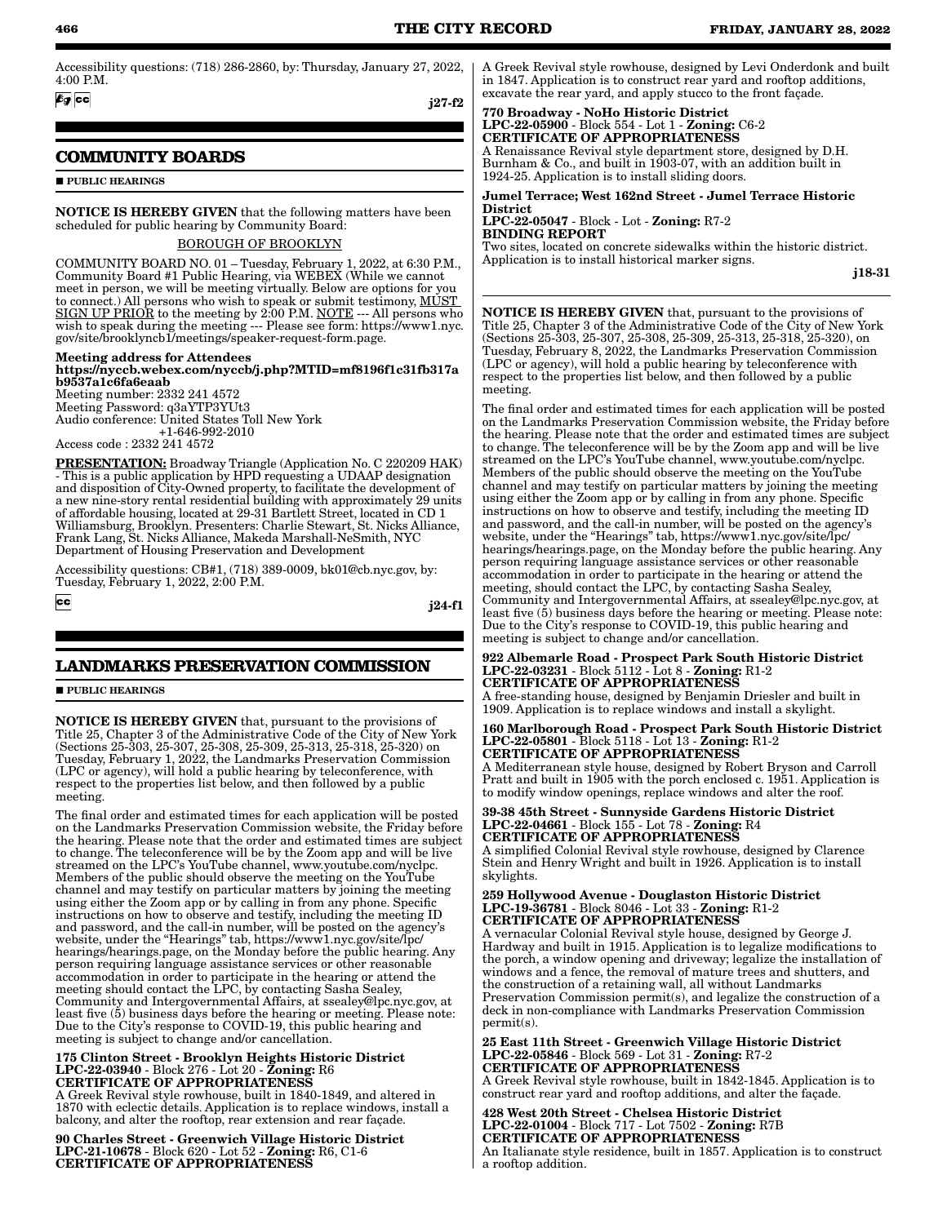Accessibility questions: (718) 286-2860, by: Thursday, January 27, 2022, 4:00 P.M.

 $69$   $cc$ 

j27-f2

### **COMMUNITY BOARDS**

**PUBLIC HEARINGS** 

NOTICE IS HEREBY GIVEN that the following matters have been scheduled for public hearing by Community Board:

#### BOROUGH OF BROOKLYN

COMMUNITY BOARD NO. 01 – Tuesday, February 1, 2022, at 6:30 P.M., Community Board #1 Public Hearing, via WEBEX (While we cannot meet in person, we will be meeting virtually. Below are options for you to connect.) All persons who wish to speak or submit testimony, MUST SIGN UP PRIOR to the meeting by 2:00 P.M. NOTE --- All persons who wish to speak during the meeting --- Please see form: https://www1.nyc. gov/site/brooklyncb1/meetings/speaker-request-form.page.

#### Meeting address for Attendees https://nyccb.webex.com/nyccb/j.php?MTID=mf8196f1c31fb317a b9537a1c6fa6eaab Meeting number: 2332 241 4572

Meeting Password: q3aYTP3YUt3 Audio conference: United States Toll New York +1-646-992-2010

Access code : 2332 241 4572

PRESENTATION: Broadway Triangle (Application No. C 220209 HAK) - This is a public application by HPD requesting a UDAAP designation and disposition of City-Owned property, to facilitate the development of a new nine-story rental residential building with approximately 29 units of affordable housing, located at 29-31 Bartlett Street, located in CD 1 Williamsburg, Brooklyn. Presenters: Charlie Stewart, St. Nicks Alliance, Frank Lang, St. Nicks Alliance, Makeda Marshall-NeSmith, NYC Department of Housing Preservation and Development

Accessibility questions: CB#1, (718) 389-0009, bk01@cb.nyc.gov, by: Tuesday, February 1, 2022, 2:00 P.M.

 $cc$ 

j24-f1

### **LANDMARKS PRESERVATION COMMISSION**

**PUBLIC HEARINGS** 

NOTICE IS HEREBY GIVEN that, pursuant to the provisions of Title 25, Chapter 3 of the Administrative Code of the City of New York (Sections 25-303, 25-307, 25-308, 25-309, 25-313, 25-318, 25-320) on Tuesday, February 1, 2022, the Landmarks Preservation Commission (LPC or agency), will hold a public hearing by teleconference, with respect to the properties list below, and then followed by a public meeting.

The final order and estimated times for each application will be posted on the Landmarks Preservation Commission website, the Friday before the hearing. Please note that the order and estimated times are subject to change. The teleconference will be by the Zoom app and will be live streamed on the LPC's YouTube channel, www.youtube.com/nyclpc. Members of the public should observe the meeting on the YouTube channel and may testify on particular matters by joining the meeting using either the Zoom app or by calling in from any phone. Specific instructions on how to observe and testify, including the meeting ID and password, and the call-in number, will be posted on the agency's website, under the "Hearings" tab, https://www1.nyc.gov/site/lpc/ hearings/hearings.page, on the Monday before the public hearing. Any person requiring language assistance services or other reasonable accommodation in order to participate in the hearing or attend the meeting should contact the LPC, by contacting Sasha Sealey, Community and Intergovernmental Affairs, at ssealey@lpc.nyc.gov, at least five (5) business days before the hearing or meeting. Please note: Due to the City's response to COVID-19, this public hearing and meeting is subject to change and/or cancellation.

#### 175 Clinton Street - Brooklyn Heights Historic District LPC-22-03940 - Block 276 - Lot 20 - Zoning: R6 CERTIFICATE OF APPROPRIATENESS

A Greek Revival style rowhouse, built in 1840-1849, and altered in 1870 with eclectic details. Application is to replace windows, install a balcony, and alter the rooftop, rear extension and rear façade.

90 Charles Street - Greenwich Village Historic District LPC-21-10678 - Block 620 - Lot 52 - Zoning: R6, C1-6 CERTIFICATE OF APPROPRIATENESS

A Greek Revival style rowhouse, designed by Levi Onderdonk and built in 1847. Application is to construct rear yard and rooftop additions, excavate the rear yard, and apply stucco to the front façade.

#### 770 Broadway - NoHo Historic District LPC-22-05900 - Block 554 - Lot 1 - Zoning: C6-2 CERTIFICATE OF APPROPRIATENESS

A Renaissance Revival style department store, designed by D.H. Burnham & Co., and built in 1903-07, with an addition built in 1924-25. Application is to install sliding doors.

Jumel Terrace; West 162nd Street - Jumel Terrace Historic **District** LPC-22-05047 - Block - Lot - Zoning: R7-2

BINDING REPORT

Two sites, located on concrete sidewalks within the historic district. Application is to install historical marker signs.

j18-31

NOTICE IS HEREBY GIVEN that, pursuant to the provisions of Title 25, Chapter 3 of the Administrative Code of the City of New York (Sections 25-303, 25-307, 25-308, 25-309, 25-313, 25-318, 25-320), on Tuesday, February 8, 2022, the Landmarks Preservation Commission (LPC or agency), will hold a public hearing by teleconference with respect to the properties list below, and then followed by a public meeting.

The final order and estimated times for each application will be posted on the Landmarks Preservation Commission website, the Friday before the hearing. Please note that the order and estimated times are subject to change. The teleconference will be by the Zoom app and will be live streamed on the LPC's YouTube channel, www.youtube.com/nyclpc. Members of the public should observe the meeting on the YouTube channel and may testify on particular matters by joining the meeting using either the Zoom app or by calling in from any phone. Specific instructions on how to observe and testify, including the meeting ID and password, and the call-in number, will be posted on the agency's website, under the "Hearings" tab, https://www1.nyc.gov/site/lpc/ hearings/hearings.page, on the Monday before the public hearing. Any person requiring language assistance services or other reasonable accommodation in order to participate in the hearing or attend the meeting, should contact the LPC, by contacting Sasha Sealey, Community and Intergovernmental Affairs, at ssealey@lpc.nyc.gov, at least five  $(5)$  business days before the hearing or meeting. Please note: Due to the City's response to COVID-19, this public hearing and meeting is subject to change and/or cancellation.

#### 922 Albemarle Road - Prospect Park South Historic District LPC-22-03231 - Block 5112 - Lot 8 - Zoning: R1-2 CERTIFICATE OF APPROPRIATENESS

A free-standing house, designed by Benjamin Driesler and built in 1909. Application is to replace windows and install a skylight.

#### 160 Marlborough Road - Prospect Park South Historic District LPC-22-05801 - Block 5118 - Lot 13 - Zoning: R1-2 CERTIFICATE OF APPROPRIATENESS

A Mediterranean style house, designed by Robert Bryson and Carroll Pratt and built in 1905 with the porch enclosed c. 1951. Application is to modify window openings, replace windows and alter the roof.

#### 39-38 45th Street - Sunnyside Gardens Historic District LPC-22-04661 - Block 155 - Lot 78 - Zoning: R4 CERTIFICATE OF APPROPRIATENESS

A simplified Colonial Revival style rowhouse, designed by Clarence Stein and Henry Wright and built in 1926. Application is to install skylights.

#### 259 Hollywood Avenue - Douglaston Historic District LPC-19-36781 - Block 8046 - Lot 33 - Zoning: R1-2 CERTIFICATE OF APPROPRIATENESS

A vernacular Colonial Revival style house, designed by George J. Hardway and built in 1915. Application is to legalize modifications to the porch, a window opening and driveway; legalize the installation of windows and a fence, the removal of mature trees and shutters, and the construction of a retaining wall, all without Landmarks Preservation Commission permit(s), and legalize the construction of a deck in non-compliance with Landmarks Preservation Commission permit(s).

25 East 11th Street - Greenwich Village Historic District LPC-22-05846 - Block 569 - Lot 31 - Zoning: R7-2 CERTIFICATE OF APPROPRIATENESS A Greek Revival style rowhouse, built in 1842-1845. Application is to construct rear yard and rooftop additions, and alter the façade.

428 West 20th Street - Chelsea Historic District LPC-22-01004 - Block 717 - Lot 7502 - Zoning: R7B CERTIFICATE OF APPROPRIATENESS An Italianate style residence, built in 1857. Application is to construct a rooftop addition.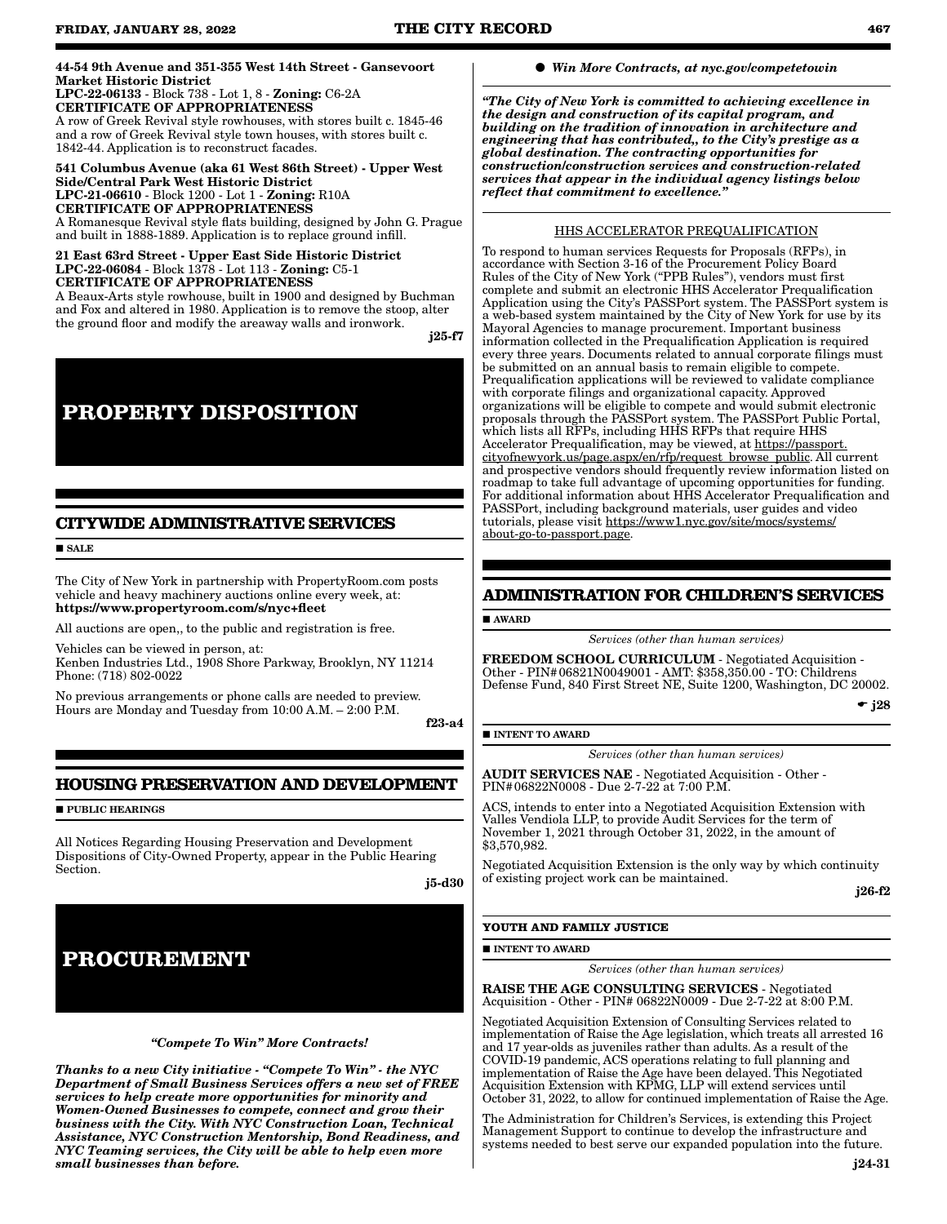#### 44-54 9th Avenue and 351-355 West 14th Street - Gansevoort Market Historic District LPC-22-06133 - Block 738 - Lot 1, 8 - Zoning: C6-2A

CERTIFICATE OF APPROPRIATENESS A row of Greek Revival style rowhouses, with stores built c. 1845-46 and a row of Greek Revival style town houses, with stores built c. 1842-44. Application is to reconstruct facades.

### 541 Columbus Avenue (aka 61 West 86th Street) - Upper West Side/Central Park West Historic District LPC-21-06610 - Block 1200 - Lot 1 - Zoning: R10A CERTIFICATE OF APPROPRIATENESS

A Romanesque Revival style flats building, designed by John G. Prague and built in 1888-1889. Application is to replace ground infill.

#### 21 East 63rd Street - Upper East Side Historic District LPC-22-06084 - Block 1378 - Lot 113 - Zoning: C5-1 CERTIFICATE OF APPROPRIATENESS

A Beaux-Arts style rowhouse, built in 1900 and designed by Buchman and Fox and altered in 1980. Application is to remove the stoop, alter the ground floor and modify the areaway walls and ironwork.

j25-f7

# **PROPERTY DISPOSITION**

### **CITYWIDE ADMINISTRATIVE SERVICES**

**SALE** 

The City of New York in partnership with PropertyRoom.com posts vehicle and heavy machinery auctions online every week, at: https://www.propertyroom.com/s/nyc+fleet

All auctions are open,, to the public and registration is free.

Vehicles can be viewed in person, at: Kenben Industries Ltd., 1908 Shore Parkway, Brooklyn, NY 11214 Phone: (718) 802-0022

No previous arrangements or phone calls are needed to preview. Hours are Monday and Tuesday from 10:00 A.M. – 2:00 P.M.

f23-a4

### **HOUSING PRESERVATION AND DEVELOPMENT**

**PUBLIC HEARINGS** 

All Notices Regarding Housing Preservation and Development Dispositions of City-Owned Property, appear in the Public Hearing Section.

j5-d30

# **PROCUREMENT**

*"Compete To Win" More Contracts!* 

*Thanks to a new City initiative - "Compete To Win" - the NYC Department of Small Business Services offers a new set of FREE services to help create more opportunities for minority and Women-Owned Businesses to compete, connect and grow their business with the City. With NYC Construction Loan, Technical Assistance, NYC Construction Mentorship, Bond Readiness, and NYC Teaming services, the City will be able to help even more small businesses than before.*

#### *Win More Contracts, at nyc.gov/competetowin*

*"The City of New York is committed to achieving excellence in the design and construction of its capital program, and building on the tradition of innovation in architecture and engineering that has contributed,, to the City's prestige as a global destination. The contracting opportunities for construction/construction services and construction-related services that appear in the individual agency listings below reflect that commitment to excellence."*

#### HHS ACCELERATOR PREQUALIFICATION

To respond to human services Requests for Proposals (RFPs), in accordance with Section 3-16 of the Procurement Policy Board Rules of the City of New York ("PPB Rules"), vendors must first complete and submit an electronic HHS Accelerator Prequalification Application using the City's PASSPort system. The PASSPort system is a web-based system maintained by the City of New York for use by its Mayoral Agencies to manage procurement. Important business information collected in the Prequalification Application is required every three years. Documents related to annual corporate filings must be submitted on an annual basis to remain eligible to compete. Prequalification applications will be reviewed to validate compliance with corporate filings and organizational capacity. Approved organizations will be eligible to compete and would submit electronic proposals through the PASSPort system. The PASSPort Public Portal, which lists all RFPs, including HHS RFPs that require HHS Accelerator Prequalification, may be viewed, at https://passport. cityofnewyork.us/page.aspx/en/rfp/request\_browse\_public. All current and prospective vendors should frequently review information listed on roadmap to take full advantage of upcoming opportunities for funding. For additional information about HHS Accelerator Prequalification and PASSPort, including background materials, user guides and video tutorials, please visit https://www1.nyc.gov/site/mocs/systems/ about-go-to-passport.page.

### **ADMINISTRATION FOR CHILDREN'S SERVICES**

AWARD

*Services (other than human services)*

FREEDOM SCHOOL CURRICULUM - Negotiated Acquisition - Other - PIN#06821N0049001 - AMT: \$358,350.00 - TO: Childrens Defense Fund, 840 First Street NE, Suite 1200, Washington, DC 20002.

 $\div$  j28

#### **INTENT TO AWARD**

*Services (other than human services)*

AUDIT SERVICES NAE - Negotiated Acquisition - Other - PIN#06822N0008 - Due 2-7-22 at 7:00 P.M.

ACS, intends to enter into a Negotiated Acquisition Extension with Valles Vendiola LLP, to provide Audit Services for the term of November 1, 2021 through October 31, 2022, in the amount of \$3,570,982.

Negotiated Acquisition Extension is the only way by which continuity of existing project work can be maintained.

j26-f2

#### **YOUTH AND FAMILY JUSTICE**

#### **INTENT TO AWARD**

*Services (other than human services)*

RAISE THE AGE CONSULTING SERVICES - Negotiated Acquisition - Other - PIN# 06822N0009 - Due 2-7-22 at 8:00 P.M.

Negotiated Acquisition Extension of Consulting Services related to implementation of Raise the Age legislation, which treats all arrested 16 and 17 year-olds as juveniles rather than adults. As a result of the COVID-19 pandemic, ACS operations relating to full planning and implementation of Raise the Age have been delayed. This Negotiated Acquisition Extension with KPMG, LLP will extend services until October 31, 2022, to allow for continued implementation of Raise the Age.

The Administration for Children's Services, is extending this Project Management Support to continue to develop the infrastructure and systems needed to best serve our expanded population into the future.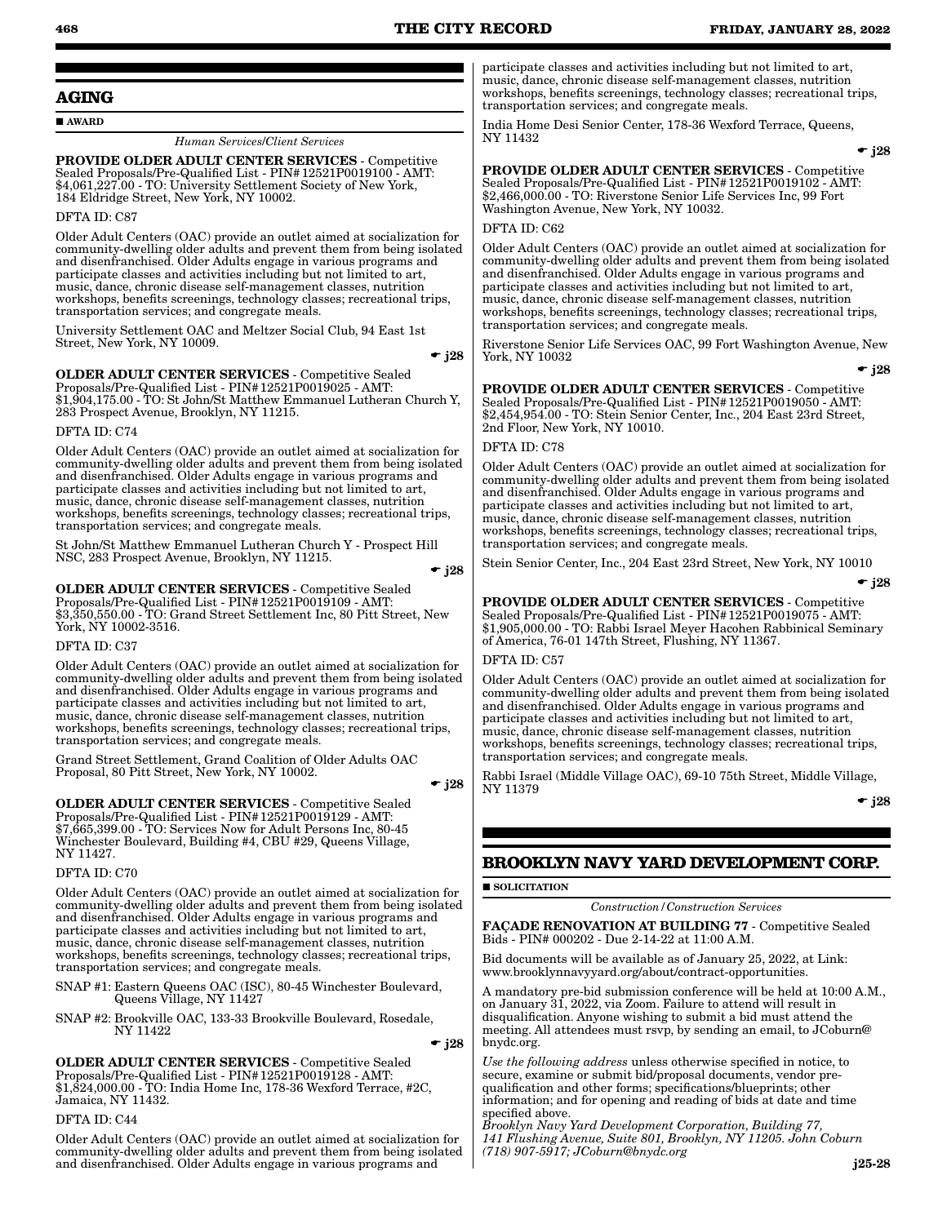#### **AGING**

#### AWARD

*Human Services*/*Client Services*

PROVIDE OLDER ADULT CENTER SERVICES - Competitive Sealed Proposals/Pre-Qualified List - PIN#12521P0019100 - AMT: \$4,061,227.00 - TO: University Settlement Society of New York, 184 Eldridge Street, New York, NY 10002.

#### DFTA ID: C87

Older Adult Centers (OAC) provide an outlet aimed at socialization for community-dwelling older adults and prevent them from being isolated and disenfranchised. Older Adults engage in various programs and participate classes and activities including but not limited to art, music, dance, chronic disease self-management classes, nutrition workshops, benefits screenings, technology classes; recreational trips, transportation services; and congregate meals.

University Settlement OAC and Meltzer Social Club, 94 East 1st Street, New York, NY 10009.

 $\div$  j28

OLDER ADULT CENTER SERVICES - Competitive Sealed Proposals/Pre-Qualified List - PIN#12521P0019025 - AMT: \$1,904,175.00 - TO: St John/St Matthew Emmanuel Lutheran Church Y, 283 Prospect Avenue, Brooklyn, NY 11215.

DFTA ID: C74

Older Adult Centers (OAC) provide an outlet aimed at socialization for community-dwelling older adults and prevent them from being isolated and disenfranchised. Older Adults engage in various programs and participate classes and activities including but not limited to art, music, dance, chronic disease self-management classes, nutrition workshops, benefits screenings, technology classes; recreational trips, transportation services; and congregate meals.

St John/St Matthew Emmanuel Lutheran Church Y - Prospect Hill NSC, 283 Prospect Avenue, Brooklyn, NY 11215.

 $\div$  j28

OLDER ADULT CENTER SERVICES - Competitive Sealed Proposals/Pre-Qualified List - PIN#12521P0019109 - AMT: \$3,350,550.00 - TO: Grand Street Settlement Inc, 80 Pitt Street, New York, NY 10002-3516.

#### DFTA ID: C37

Older Adult Centers (OAC) provide an outlet aimed at socialization for community-dwelling older adults and prevent them from being isolated and disenfranchised. Older Adults engage in various programs and participate classes and activities including but not limited to art, music, dance, chronic disease self-management classes, nutrition workshops, benefits screenings, technology classes; recreational trips, transportation services; and congregate meals.

Grand Street Settlement, Grand Coalition of Older Adults OAC Proposal, 80 Pitt Street, New York, NY 10002.

 $\bullet$  j28

OLDER ADULT CENTER SERVICES - Competitive Sealed Proposals/Pre-Qualified List - PIN#12521P0019129 - AMT: \$7,665,399.00 - TO: Services Now for Adult Persons Inc, 80-45 Winchester Boulevard, Building #4, CBU #29, Queens Village, NY 11427.

#### DFTA ID: C70

Older Adult Centers (OAC) provide an outlet aimed at socialization for community-dwelling older adults and prevent them from being isolated and disenfranchised. Older Adults engage in various programs and participate classes and activities including but not limited to art, music, dance, chronic disease self-management classes, nutrition workshops, benefits screenings, technology classes; recreational trips, transportation services; and congregate meals.

SNAP #1: Eastern Queens OAC (ISC), 80-45 Winchester Boulevard, Queens Village, NY 11427

SNAP #2: Brookville OAC, 133-33 Brookville Boulevard, Rosedale, NY 11422

 $\div$  j28

OLDER ADULT CENTER SERVICES - Competitive Sealed Proposals/Pre-Qualified List - PIN#12521P0019128 - AMT: \$1,824,000.00 - TO: India Home Inc, 178-36 Wexford Terrace, #2C, Jamaica, NY 11432.

#### DFTA ID: C44

Older Adult Centers (OAC) provide an outlet aimed at socialization for community-dwelling older adults and prevent them from being isolated and disenfranchised. Older Adults engage in various programs and

participate classes and activities including but not limited to art, music, dance, chronic disease self-management classes, nutrition workshops, benefits screenings, technology classes; recreational trips, transportation services; and congregate meals.

India Home Desi Senior Center, 178-36 Wexford Terrace, Queens, NY 11432

 $\div$  i28

PROVIDE OLDER ADULT CENTER SERVICES - Competitive Sealed Proposals/Pre-Qualified List - PIN#12521P0019102 - AMT: \$2,466,000.00 - TO: Riverstone Senior Life Services Inc, 99 Fort Washington Avenue, New York, NY 10032.

#### DFTA ID: C62

Older Adult Centers (OAC) provide an outlet aimed at socialization for community-dwelling older adults and prevent them from being isolated and disenfranchised. Older Adults engage in various programs and participate classes and activities including but not limited to art, music, dance, chronic disease self-management classes, nutrition workshops, benefits screenings, technology classes; recreational trips, transportation services; and congregate meals.

Riverstone Senior Life Services OAC, 99 Fort Washington Avenue, New York, NY 10032

 $\bullet$  j28

PROVIDE OLDER ADULT CENTER SERVICES - Competitive Sealed Proposals/Pre-Qualified List - PIN#12521P0019050 - AMT: \$2,454,954.00 - TO: Stein Senior Center, Inc., 204 East 23rd Street, 2nd Floor, New York, NY 10010.

#### DFTA ID: C78

Older Adult Centers (OAC) provide an outlet aimed at socialization for community-dwelling older adults and prevent them from being isolated and disenfranchised. Older Adults engage in various programs and participate classes and activities including but not limited to art, music, dance, chronic disease self-management classes, nutrition workshops, benefits screenings, technology classes; recreational trips, transportation services; and congregate meals.

Stein Senior Center, Inc., 204 East 23rd Street, New York, NY 10010

 $\div$  j28

PROVIDE OLDER ADULT CENTER SERVICES - Competitive Sealed Proposals/Pre-Qualified List - PIN#12521P0019075 - AMT: \$1,905,000.00 - TO: Rabbi Israel Meyer Hacohen Rabbinical Seminary of America, 76-01 147th Street, Flushing, NY 11367.

#### DFTA ID: C57

Older Adult Centers (OAC) provide an outlet aimed at socialization for community-dwelling older adults and prevent them from being isolated and disenfranchised. Older Adults engage in various programs and participate classes and activities including but not limited to art, music, dance, chronic disease self-management classes, nutrition workshops, benefits screenings, technology classes; recreational trips, transportation services; and congregate meals.

Rabbi Israel (Middle Village OAC), 69-10 75th Street, Middle Village, NY 11379

 $\bullet$  j28

### **BROOKLYN NAVY YARD DEVELOPMENT CORP.**

SOLICITATION

*Construction/Construction Services*

FAÇADE RENOVATION AT BUILDING 77 - Competitive Sealed Bids - PIN# 000202 - Due 2-14-22 at 11:00 A.M.

Bid documents will be available as of January 25, 2022, at Link: www.brooklynnavyyard.org/about/contract-opportunities.

A mandatory pre-bid submission conference will be held at 10:00 A.M., on January 31, 2022, via Zoom. Failure to attend will result in disqualification. Anyone wishing to submit a bid must attend the meeting. All attendees must rsvp, by sending an email, to JCoburn@ bnydc.org.

*Use the following address* unless otherwise specified in notice, to secure, examine or submit bid/proposal documents, vendor prequalification and other forms; specifications/blueprints; other information; and for opening and reading of bids at date and time specified above.

*Brooklyn Navy Yard Development Corporation, Building 77, 141 Flushing Avenue, Suite 801, Brooklyn, NY 11205. John Coburn (718) 907-5917; JCoburn@bnydc.org*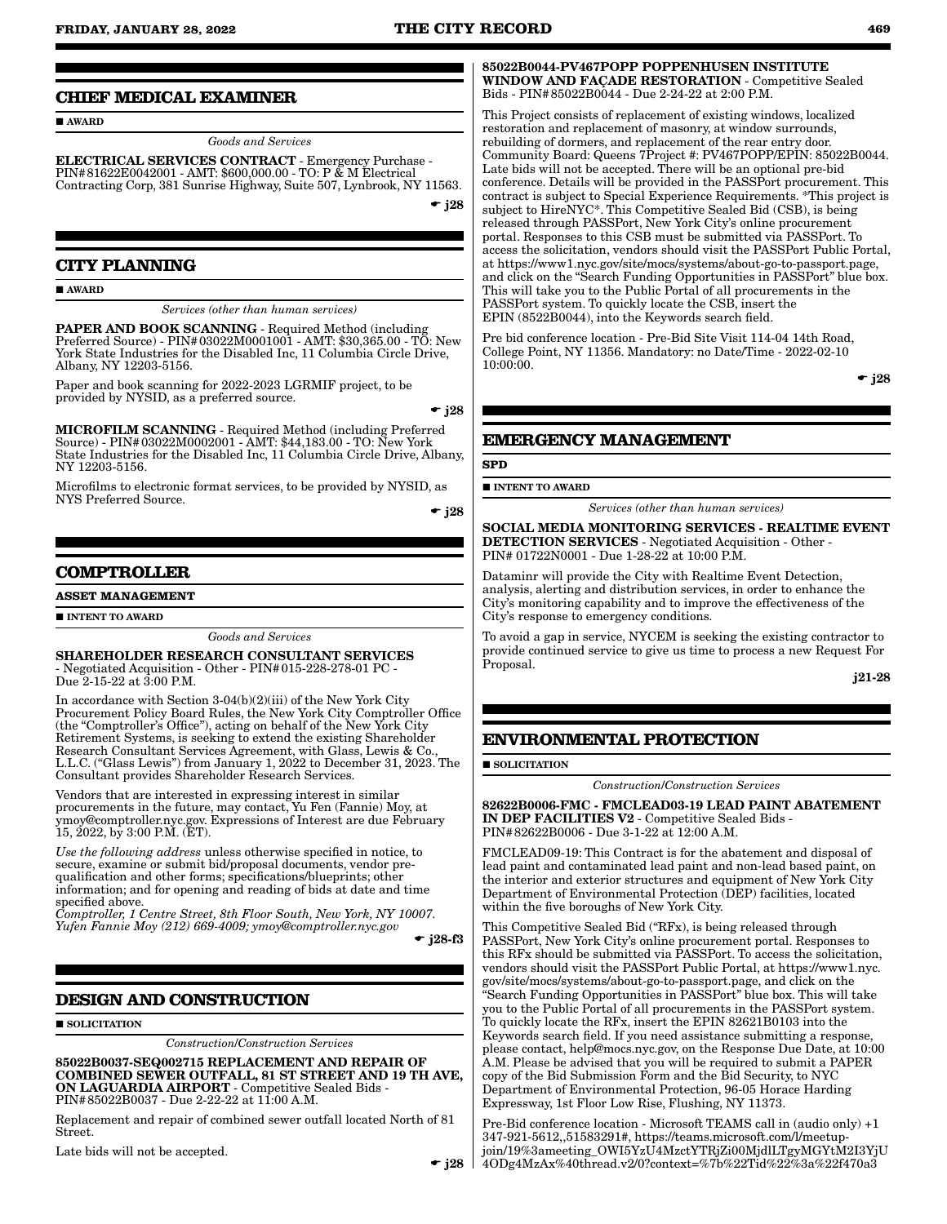#### **CHIEF MEDICAL EXAMINER**

**AWARD** 

*Goods and Services*

ELECTRICAL SERVICES CONTRACT - Emergency Purchase - PIN#81622E0042001 - AMT: \$600,000.00 - TO: P & M Electrical Contracting Corp, 381 Sunrise Highway, Suite 507, Lynbrook, NY 11563.

 $\div$  j28

### **CITY PLANNING**

#### AWARD

*Services (other than human services)*

PAPER AND BOOK SCANNING - Required Method (including Preferred Source) - PIN#03022M0001001 - AMT: \$30,365.00 - TO: New York State Industries for the Disabled Inc, 11 Columbia Circle Drive, Albany, NY 12203-5156.

Paper and book scanning for 2022-2023 LGRMIF project, to be provided by NYSID, as a preferred source.

 $\bullet$  j28

MICROFILM SCANNING - Required Method (including Preferred Source) - PIN#03022M0002001 - AMT: \$44,183.00 - TO: New York State Industries for the Disabled Inc, 11 Columbia Circle Drive, Albany, NY 12203-5156.

Microfilms to electronic format services, to be provided by NYSID, as NYS Preferred Source.

 $\div$  i28

### **COMPTROLLER**

**ASSET MANAGEMENT**

INTENT TO AWARD

*Goods and Services*

SHAREHOLDER RESEARCH CONSULTANT SERVICES - Negotiated Acquisition - Other - PIN#015-228-278-01 PC - Due 2-15-22 at 3:00 P.M.

In accordance with Section 3-04(b)(2)(iii) of the New York City Procurement Policy Board Rules, the New York City Comptroller Office (the "Comptroller's Office"), acting on behalf of the New York City Retirement Systems, is seeking to extend the existing Shareholder Research Consultant Services Agreement, with Glass, Lewis & Co., L.L.C. ("Glass Lewis") from January 1, 2022 to December 31, 2023. The Consultant provides Shareholder Research Services.

Vendors that are interested in expressing interest in similar procurements in the future, may contact, Yu Fen (Fannie) Moy, at ymoy@comptroller.nyc.gov. Expressions of Interest are due February 15, 2022, by 3:00 P.M. (ET).

*Use the following address* unless otherwise specified in notice, to secure, examine or submit bid/proposal documents, vendor prequalification and other forms; specifications/blueprints; other information; and for opening and reading of bids at date and time specified above.

*Comptroller, 1 Centre Street, 8th Floor South, New York, NY 10007. Yufen Fannie Moy (212) 669-4009; ymoy@comptroller.nyc.gov*

 $\div$  i28-f3

#### **DESIGN AND CONSTRUCTION**

**SOLICITATION** 

*Construction*/*Construction Services*

85022B0037-SEQ002715 REPLACEMENT AND REPAIR OF COMBINED SEWER OUTFALL, 81 ST STREET AND 19 TH AVE, ON LAGUARDIA AIRPORT - Competitive Sealed Bids - PIN#85022B0037 - Due 2-22-22 at 11:00 A.M.

Replacement and repair of combined sewer outfall located North of 81 Street.

Late bids will not be accepted.

85022B0044-PV467POPP POPPENHUSEN INSTITUTE WINDOW AND FAÇADE RESTORATION - Competitive Sealed Bids - PIN#85022B0044 - Due 2-24-22 at 2:00 P.M.

This Project consists of replacement of existing windows, localized restoration and replacement of masonry, at window surrounds, rebuilding of dormers, and replacement of the rear entry door. Community Board: Queens 7Project #: PV467POPP/EPIN: 85022B0044. Late bids will not be accepted. There will be an optional pre-bid conference. Details will be provided in the PASSPort procurement. This contract is subject to Special Experience Requirements. \*This project is subject to HireNYC\*. This Competitive Sealed Bid (CSB), is being released through PASSPort, New York City's online procurement portal. Responses to this CSB must be submitted via PASSPort. To access the solicitation, vendors should visit the PASSPort Public Portal, at https://www1.nyc.gov/site/mocs/systems/about-go-to-passport.page, and click on the "Search Funding Opportunities in PASSPort" blue box. This will take you to the Public Portal of all procurements in the PASSPort system. To quickly locate the CSB, insert the EPIN (8522B0044), into the Keywords search field.

Pre bid conference location - Pre-Bid Site Visit 114-04 14th Road, College Point, NY 11356. Mandatory: no Date/Time - 2022-02-10 10:00:00.

 $\div$  j28

### **EMERGENCY MANAGEMENT**

**SPD**

**INTENT TO AWARD** 

*Services (other than human services)*

SOCIAL MEDIA MONITORING SERVICES - REALTIME EVENT DETECTION SERVICES - Negotiated Acquisition - Other - PIN# 01722N0001 - Due 1-28-22 at 10:00 P.M.

Dataminr will provide the City with Realtime Event Detection, analysis, alerting and distribution services, in order to enhance the City's monitoring capability and to improve the effectiveness of the City's response to emergency conditions.

To avoid a gap in service, NYCEM is seeking the existing contractor to provide continued service to give us time to process a new Request For Proposal.

j21-28

### **ENVIRONMENTAL PROTECTION**

**SOLICITATION** 

*Construction*/*Construction Services*

82622B0006-FMC - FMCLEAD03-19 LEAD PAINT ABATEMENT IN DEP FACILITIES V2 - Competitive Sealed Bids - PIN#82622B0006 - Due 3-1-22 at 12:00 A.M.

FMCLEAD09-19: This Contract is for the abatement and disposal of lead paint and contaminated lead paint and non-lead based paint, on the interior and exterior structures and equipment of New York City Department of Environmental Protection (DEP) facilities, located within the five boroughs of New York City.

This Competitive Sealed Bid ("RFx), is being released through PASSPort, New York City's online procurement portal. Responses to this RFx should be submitted via PASSPort. To access the solicitation, vendors should visit the PASSPort Public Portal, at https://www1.nyc. gov/site/mocs/systems/about-go-to-passport.page, and click on the "Search Funding Opportunities in PASSPort" blue box. This will take you to the Public Portal of all procurements in the PASSPort system. To quickly locate the RFx, insert the EPIN 82621B0103 into the Keywords search field. If you need assistance submitting a response, please contact, help@mocs.nyc.gov, on the Response Due Date, at 10:00 A.M. Please be advised that you will be required to submit a PAPER copy of the Bid Submission Form and the Bid Security, to NYC Department of Environmental Protection, 96-05 Horace Harding Expressway, 1st Floor Low Rise, Flushing, NY 11373.

Pre-Bid conference location - Microsoft TEAMS call in (audio only) +1 347-921-5612,,51583291#, https://teams.microsoft.com/l/meetupjoin/19%3ameeting\_OWI5YzU4MzctYTRjZi00MjdlLTgyMGYtM2I3YjU 4ODg4MzAx%40thread.v2/0?context=%7b%22Tid%22%3a%22f470a3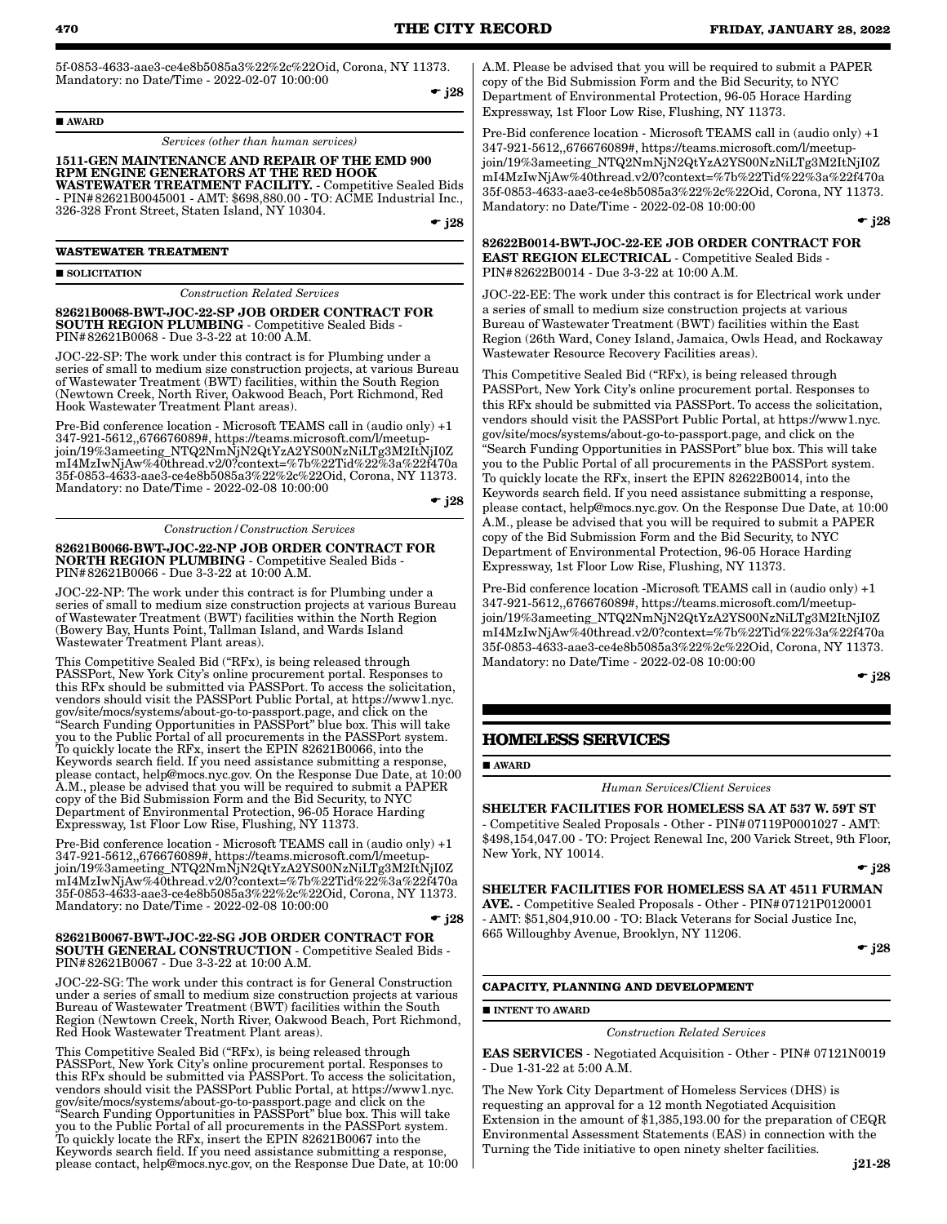5f-0853-4633-aae3-ce4e8b5085a3%22%2c%22Oid, Corona, NY 11373. Mandatory: no Date/Time - 2022-02-07 10:00:00

AWARD

*Services (other than human services)*

#### 1511-GEN MAINTENANCE AND REPAIR OF THE EMD 900 RPM ENGINE GENERATORS AT THE RED HOOK WASTEWATER TREATMENT FACILITY. - Competitive Sealed Bids

- PIN#82621B0045001 - AMT: \$698,880.00 - TO: ACME Industrial Inc., 326-328 Front Street, Staten Island, NY 10304.

 $\div$  j28

#### **WASTEWATER TREATMENT**

#### SOLICITATION

*Construction Related Services*

82621B0068-BWT-JOC-22-SP JOB ORDER CONTRACT FOR SOUTH REGION PLUMBING - Competitive Sealed Bids - PIN#82621B0068 - Due 3-3-22 at 10:00 A.M.

JOC-22-SP: The work under this contract is for Plumbing under a series of small to medium size construction projects, at various Bureau of Wastewater Treatment (BWT) facilities, within the South Region (Newtown Creek, North River, Oakwood Beach, Port Richmond, Red Hook Wastewater Treatment Plant areas).

Pre-Bid conference location - Microsoft TEAMS call in (audio only) +1 347-921-5612,,676676089#, https://teams.microsoft.com/l/meetupjoin/19%3ameeting\_NTQ2NmNjN2QtYzA2YS00NzNiLTg3M2ItNjI0Z mI4MzIwNjAw%40thread.v2/0?context=%7b%22Tid%22%3a%22f470a 35f-0853-4633-aae3-ce4e8b5085a3%22%2c%22Oid, Corona, NY 11373. Mandatory: no Date/Time - 2022-02-08 10:00:00

 $\div$  j28

*Construction/Construction Services*

82621B0066-BWT-JOC-22-NP JOB ORDER CONTRACT FOR NORTH REGION PLUMBING - Competitive Sealed Bids - PIN#82621B0066 - Due 3-3-22 at 10:00 A.M.

JOC-22-NP: The work under this contract is for Plumbing under a series of small to medium size construction projects at various Bureau of Wastewater Treatment (BWT) facilities within the North Region (Bowery Bay, Hunts Point, Tallman Island, and Wards Island Wastewater Treatment Plant areas).

This Competitive Sealed Bid ("RFx), is being released through PASSPort, New York City's online procurement portal. Responses to this RFx should be submitted via PASSPort. To access the solicitation, vendors should visit the PASSPort Public Portal, at https://www1.nyc. gov/site/mocs/systems/about-go-to-passport.page, and click on the "Search Funding Opportunities in PASSPort" blue box. This will take you to the Public Portal of all procurements in the PASSPort system. To quickly locate the RFx, insert the EPIN 82621B0066, into the Keywords search field. If you need assistance submitting a response, please contact, help@mocs.nyc.gov. On the Response Due Date, at 10:00 A.M., please be advised that you will be required to submit a PAPER copy of the Bid Submission Form and the Bid Security, to NY Department of Environmental Protection, 96-05 Horace Harding Expressway, 1st Floor Low Rise, Flushing, NY 11373.

Pre-Bid conference location - Microsoft TEAMS call in (audio only) +1 347-921-5612,,676676089#, https://teams.microsoft.com/l/meetupjoin/19%3ameeting\_NTQ2NmNjN2QtYzA2YS00NzNiLTg3M2ItNjI0Z mI4MzIwNjAw%40thread.v2/0?context=%7b%22Tid%22%3a%22f470a 35f-0853-4633-aae3-ce4e8b5085a3%22%2c%22Oid, Corona, NY 11373. Mandatory: no Date/Time - 2022-02-08 10:00:00  $\div$  j28

#### 82621B0067-BWT-JOC-22-SG JOB ORDER CONTRACT FOR SOUTH GENERAL CONSTRUCTION - Competitive Sealed Bids - PIN#82621B0067 - Due 3-3-22 at 10:00 A.M.

JOC-22-SG: The work under this contract is for General Construction under a series of small to medium size construction projects at various Bureau of Wastewater Treatment (BWT) facilities within the South Region (Newtown Creek, North River, Oakwood Beach, Port Richmond, Red Hook Wastewater Treatment Plant areas).

This Competitive Sealed Bid ("RFx), is being released through PASSPort, New York City's online procurement portal. Responses to this RFx should be submitted via PASSPort. To access the solicitation, vendors should visit the PASSPort Public Portal, at https://www1.nyc. gov/site/mocs/systems/about-go-to-passport.page and click on the "Search Funding Opportunities in PASSPort" blue box. This will take you to the Public Portal of all procurements in the PASSPort system. To quickly locate the RFx, insert the EPIN 82621B0067 into the Keywords search field. If you need assistance submitting a response, please contact, help@mocs.nyc.gov, on the Response Due Date, at 10:00 A.M. Please be advised that you will be required to submit a PAPER copy of the Bid Submission Form and the Bid Security, to NYC Department of Environmental Protection, 96-05 Horace Harding Expressway, 1st Floor Low Rise, Flushing, NY 11373.

Pre-Bid conference location - Microsoft TEAMS call in (audio only) +1 347-921-5612,,676676089#, https://teams.microsoft.com/l/meetupjoin/19%3ameeting\_NTQ2NmNjN2QtYzA2YS00NzNiLTg3M2ItNjI0Z mI4MzIwNjAw%40thread.v2/0?context=%7b%22Tid%22%3a%22f470a 35f-0853-4633-aae3-ce4e8b5085a3%22%2c%22Oid, Corona, NY 11373. Mandatory: no Date/Time - 2022-02-08 10:00:00

 $\div$  j28

#### 82622B0014-BWT-JOC-22-EE JOB ORDER CONTRACT FOR EAST REGION ELECTRICAL - Competitive Sealed Bids - PIN#82622B0014 - Due 3-3-22 at 10:00 A.M.

JOC-22-EE: The work under this contract is for Electrical work under a series of small to medium size construction projects at various Bureau of Wastewater Treatment (BWT) facilities within the East Region (26th Ward, Coney Island, Jamaica, Owls Head, and Rockaway Wastewater Resource Recovery Facilities areas).

This Competitive Sealed Bid ("RFx), is being released through PASSPort, New York City's online procurement portal. Responses to this RFx should be submitted via PASSPort. To access the solicitation, vendors should visit the PASSPort Public Portal, at https://www1.nyc. gov/site/mocs/systems/about-go-to-passport.page, and click on the "Search Funding Opportunities in PASSPort" blue box. This will take you to the Public Portal of all procurements in the PASSPort system. To quickly locate the RFx, insert the EPIN 82622B0014, into the Keywords search field. If you need assistance submitting a response, please contact, help@mocs.nyc.gov. On the Response Due Date, at 10:00 A.M., please be advised that you will be required to submit a PAPER copy of the Bid Submission Form and the Bid Security, to NYC Department of Environmental Protection, 96-05 Horace Harding Expressway, 1st Floor Low Rise, Flushing, NY 11373.

Pre-Bid conference location -Microsoft TEAMS call in (audio only) +1 347-921-5612,,676676089#, https://teams.microsoft.com/l/meetupjoin/19%3ameeting\_NTQ2NmNjN2QtYzA2YS00NzNiLTg3M2ItNjI0Z mI4MzIwNjAw%40thread.v2/0?context=%7b%22Tid%22%3a%22f470a 35f-0853-4633-aae3-ce4e8b5085a3%22%2c%22Oid, Corona, NY 11373. Mandatory: no Date/Time - 2022-02-08 10:00:00

 $\div$  j28

### **HOMELESS SERVICES**

**AWARD** 

*Human Services*/*Client Services*

SHELTER FACILITIES FOR HOMELESS SA AT 537 W. 59T ST - Competitive Sealed Proposals - Other - PIN#07119P0001027 - AMT: \$498,154,047.00 - TO: Project Renewal Inc, 200 Varick Street, 9th Floor, New York, NY 10014.

 $\bullet$  j28

SHELTER FACILITIES FOR HOMELESS SA AT 4511 FURMAN AVE. - Competitive Sealed Proposals - Other - PIN#07121P0120001 - AMT: \$51,804,910.00 - TO: Black Veterans for Social Justice Inc, 665 Willoughby Avenue, Brooklyn, NY 11206.

 $\bullet$  j28

#### **CAPACITY, PLANNING AND DEVELOPMENT**

#### **INTENT TO AWARD**

### *Construction Related Services*

EAS SERVICES - Negotiated Acquisition - Other - PIN# 07121N0019 - Due 1-31-22 at 5:00 A.M.

The New York City Department of Homeless Services (DHS) is requesting an approval for a 12 month Negotiated Acquisition Extension in the amount of \$1,385,193.00 for the preparation of CEQR Environmental Assessment Statements (EAS) in connection with the Turning the Tide initiative to open ninety shelter facilities.

 $\div$  j28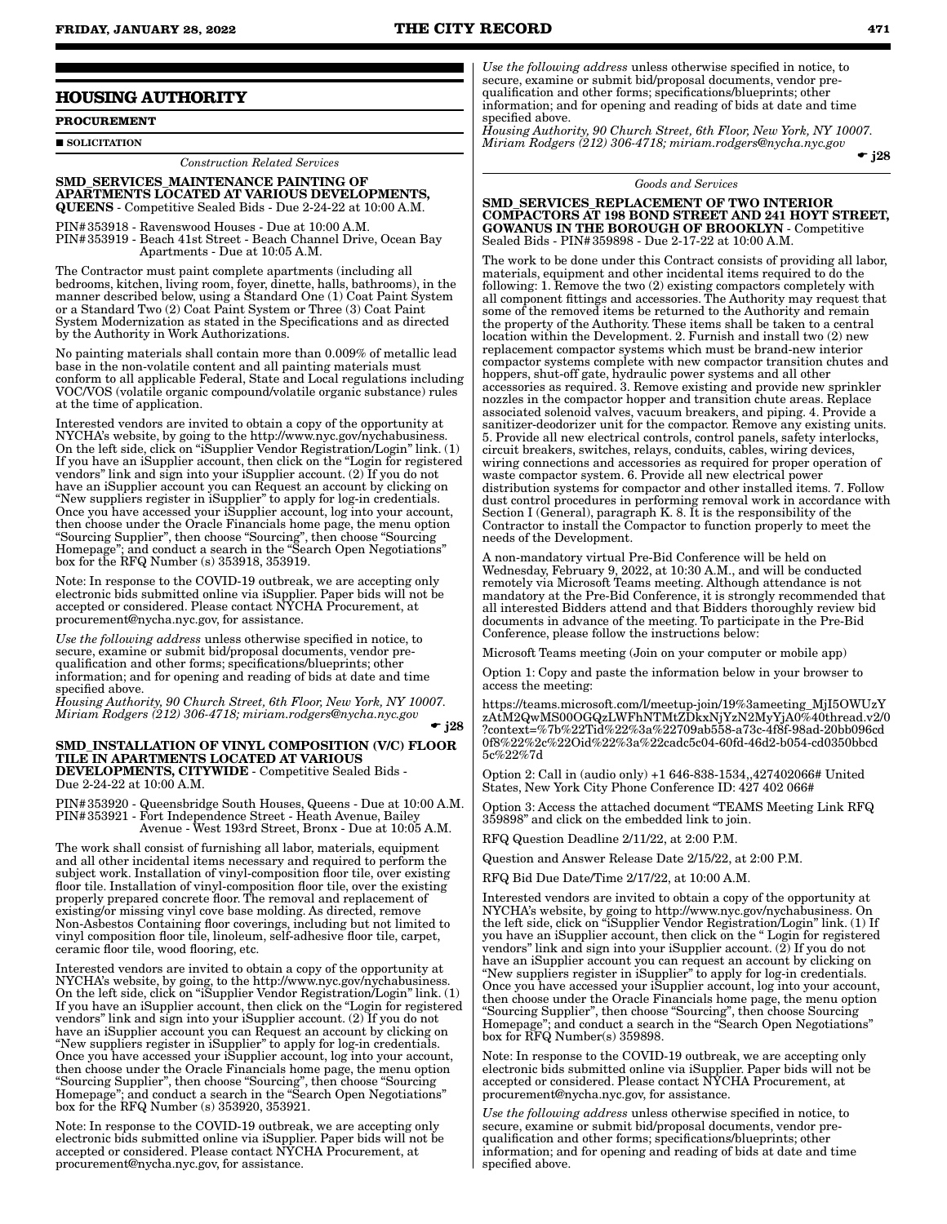### **HOUSING AUTHORITY**

**PROCUREMENT**

SOLICITATION

*Construction Related Services*

SMD\_SERVICES\_MAINTENANCE PAINTING OF APARTMENTS LOCATED AT VARIOUS DEVELOPMENTS, QUEENS - Competitive Sealed Bids - Due 2-24-22 at 10:00 A.M.

PIN#353918 - Ravenswood Houses - Due at 10:00 A.M. PIN#353919 - Beach 41st Street - Beach Channel Drive, Ocean Bay Apartments - Due at 10:05 A.M.

The Contractor must paint complete apartments (including all bedrooms, kitchen, living room, foyer, dinette, halls, bathrooms), in the manner described below, using a Standard One (1) Coat Paint System or a Standard Two (2) Coat Paint System or Three (3) Coat Paint System Modernization as stated in the Specifications and as directed by the Authority in Work Authorizations.

No painting materials shall contain more than 0.009% of metallic lead base in the non-volatile content and all painting materials must conform to all applicable Federal, State and Local regulations including VOC/VOS (volatile organic compound/volatile organic substance) rules at the time of application.

Interested vendors are invited to obtain a copy of the opportunity at NYCHA's website, by going to the http://www.nyc.gov/nychabusiness. On the left side, click on "iSupplier Vendor Registration/Login" link. (1) If you have an iSupplier account, then click on the "Login for registered vendors" link and sign into your iSupplier account. (2) If you do not have an iSupplier account you can Request an account by clicking on "New suppliers register in iSupplier" to apply for log-in credentials. Once you have accessed your iSupplier account, log into your account, then choose under the Oracle Financials home page, the menu option "Sourcing Supplier", then choose "Sourcing", then choose "Sourcing Homepage"; and conduct a search in the "Search Open Negotiations" box for the RFQ Number (s) 353918, 353919.

Note: In response to the COVID-19 outbreak, we are accepting only electronic bids submitted online via iSupplier. Paper bids will not be accepted or considered. Please contact NYCHA Procurement, at procurement@nycha.nyc.gov, for assistance.

*Use the following address* unless otherwise specified in notice, to secure, examine or submit bid/proposal documents, vendor prequalification and other forms; specifications/blueprints; other information; and for opening and reading of bids at date and time specified above.

*Housing Authority, 90 Church Street, 6th Floor, New York, NY 10007. Miriam Rodgers (212) 306-4718; miriam.rodgers@nycha.nyc.gov*

 $\bullet$  i28

#### SMD\_INSTALLATION OF VINYL COMPOSITION (V/C) FLOOR TILE IN APARTMENTS LOCATED AT VARIOUS DEVELOPMENTS, CITYWIDE - Competitive Sealed Bids - Due 2-24-22 at 10:00 A.M.

PIN#353920 - Queensbridge South Houses, Queens - Due at 10:00 A.M. PIN#353921 - Fort Independence Street - Heath Avenue, Bailey Avenue - West 193rd Street, Bronx - Due at 10:05 A.M.

The work shall consist of furnishing all labor, materials, equipment and all other incidental items necessary and required to perform the subject work. Installation of vinyl-composition floor tile, over existing floor tile. Installation of vinyl-composition floor tile, over the existing properly prepared concrete floor. The removal and replacement of existing/or missing vinyl cove base molding. As directed, remove Non-Asbestos Containing floor coverings, including but not limited to vinyl composition floor tile, linoleum, self-adhesive floor tile, carpet, ceramic floor tile, wood flooring, etc.

Interested vendors are invited to obtain a copy of the opportunity at NYCHA's website, by going, to the http://www.nyc.gov/nychabusiness. On the left side, click on "iSupplier Vendor Registration/Login" link. (1) If you have an iSupplier account, then click on the "Login for registered vendors" link and sign into your iSupplier account. (2) If you do not have an iSupplier account you can Request an account by clicking on "New suppliers register in iSupplier" to apply for log-in credentials. Once you have accessed your iSupplier account, log into your account, then choose under the Oracle Financials home page, the menu option "Sourcing Supplier", then choose "Sourcing", then choose "Sourcing Homepage"; and conduct a search in the "Search Open Negotiations" box for the RFQ Number (s) 353920, 353921.

Note: In response to the COVID-19 outbreak, we are accepting only electronic bids submitted online via iSupplier. Paper bids will not be accepted or considered. Please contact NYCHA Procurement, at procurement@nycha.nyc.gov, for assistance.

*Use the following address* unless otherwise specified in notice, to secure, examine or submit bid/proposal documents, vendor prequalification and other forms; specifications/blueprints; other information; and for opening and reading of bids at date and time specified above.

*Housing Authority, 90 Church Street, 6th Floor, New York, NY 10007. Miriam Rodgers (212) 306-4718; miriam.rodgers@nycha.nyc.gov*  $\div$  j28

*Goods and Services*

SMD\_SERVICES\_REPLACEMENT OF TWO INTERIOR COMPACTORS AT 198 BOND STREET AND 241 HOYT STREET, GOWANUS IN THE BOROUGH OF BROOKLYN - Competitive Sealed Bids - PIN#359898 - Due 2-17-22 at 10:00 A.M.

The work to be done under this Contract consists of providing all labor, materials, equipment and other incidental items required to do the following: 1. Remove the two (2) existing compactors completely with all component fittings and accessories. The Authority may request that some of the removed items be returned to the Authority and remain the property of the Authority. These items shall be taken to a central location within the Development. 2. Furnish and install two (2) new replacement compactor systems which must be brand-new interior compactor systems complete with new compactor transition chutes and hoppers, shut-off gate, hydraulic power systems and all other accessories as required. 3. Remove existing and provide new sprinkler nozzles in the compactor hopper and transition chute areas. Replace associated solenoid valves, vacuum breakers, and piping. 4. Provide a sanitizer-deodorizer unit for the compactor. Remove any existing units. 5. Provide all new electrical controls, control panels, safety interlocks, circuit breakers, switches, relays, conduits, cables, wiring devices, wiring connections and accessories as required for proper operation of waste compactor system. 6. Provide all new electrical power distribution systems for compactor and other installed items. 7. Follow dust control procedures in performing removal work in accordance with Section I (General), paragraph K. 8. It is the responsibility of the Contractor to install the Compactor to function properly to meet the needs of the Development.

A non-mandatory virtual Pre-Bid Conference will be held on Wednesday, February 9, 2022, at 10:30 A.M., and will be conducted remotely via Microsoft Teams meeting. Although attendance is not mandatory at the Pre-Bid Conference, it is strongly recommended that all interested Bidders attend and that Bidders thoroughly review bid documents in advance of the meeting. To participate in the Pre-Bid Conference, please follow the instructions below:

Microsoft Teams meeting (Join on your computer or mobile app)

Option 1: Copy and paste the information below in your browser to access the meeting:

https://teams.microsoft.com/l/meetup-join/19%3ameeting\_MjI5OWUzY zAtM2QwMS00OGQzLWFhNTMtZDkxNjYzN2MyYjA0%40thread.v2/0 ?context=%7b%22Tid%22%3a%22709ab558-a73c-4f8f-98ad-20bb096cd 0f8%22%2c%22Oid%22%3a%22cadc5c04-60fd-46d2-b054-cd0350bbcd 5c%22%7d

Option 2: Call in (audio only) +1 646-838-1534,,427402066# United States, New York City Phone Conference ID:  $427402066#$ 

Option 3: Access the attached document "TEAMS Meeting Link RFQ 359898" and click on the embedded link to join.

Question Deadline 2/11/22, at 2:00 P.M.

Question and Answer Release Date 2/15/22, at 2:00 P.M.

RFQ Bid Due Date/Time 2/17/22, at 10:00 A.M.

Interested vendors are invited to obtain a copy of the opportunity at NYCHA's website, by going to http://www.nyc.gov/nychabusiness. On the left side, click on "iSupplier Vendor Registration/Login" link. (1) If you have an iSupplier account, then click on the " Login for registered vendors" link and sign into your iSupplier account. (2) If you do not have an iSupplier account you can request an account by clicking on "New suppliers register in iSupplier" to apply for log-in credentials. Once you have accessed your iSupplier account, log into your account, then choose under the Oracle Financials home page, the menu option "Sourcing Supplier", then choose "Sourcing", then choose Sourcing Homepage"; and conduct a search in the "Search Open Negotiations" box for RFQ Number(s) 359898.

Note: In response to the COVID-19 outbreak, we are accepting only electronic bids submitted online via iSupplier. Paper bids will not be accepted or considered. Please contact NYCHA Procurement, at procurement@nycha.nyc.gov, for assistance.

*Use the following address* unless otherwise specified in notice, to secure, examine or submit bid/proposal documents, vendor prequalification and other forms; specifications/blueprints; other information; and for opening and reading of bids at date and time specified above.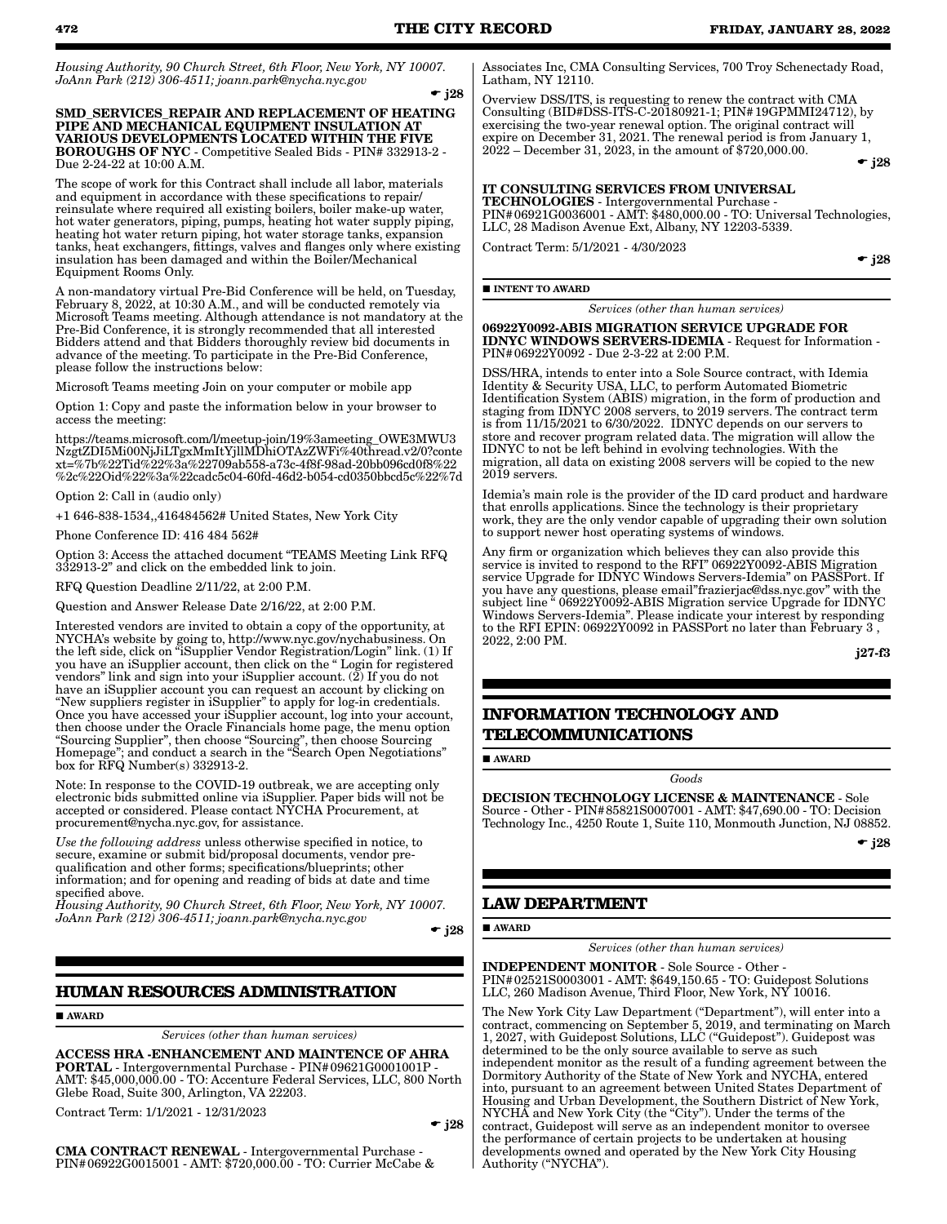*Housing Authority, 90 Church Street, 6th Floor, New York, NY 10007. JoAnn Park (212) 306-4511; joann.park@nycha.nyc.gov*

 $\div$  j28

SMD\_SERVICES\_REPAIR AND REPLACEMENT OF HEATING PIPE AND MECHANICAL EQUIPMENT INSULATION AT VARIOUS DEVELOPMENTS LOCATED WITHIN THE FIVE BOROUGHS OF NYC - Competitive Sealed Bids - PIN# 332913-2 - Due 2-24-22 at 10:00 A.M.

The scope of work for this Contract shall include all labor, materials and equipment in accordance with these specifications to repair/ reinsulate where required all existing boilers, boiler make-up water, hot water generators, piping, pumps, heating hot water supply piping, heating hot water return piping, hot water storage tanks, expansion tanks, heat exchangers, fittings, valves and flanges only where existing insulation has been damaged and within the Boiler/Mechanical Equipment Rooms Only.

A non-mandatory virtual Pre-Bid Conference will be held, on Tuesday, February 8, 2022, at 10:30 A.M., and will be conducted remotely via Microsoft Teams meeting. Although attendance is not mandatory at the Pre-Bid Conference, it is strongly recommended that all interested Bidders attend and that Bidders thoroughly review bid documents in advance of the meeting. To participate in the Pre-Bid Conference, please follow the instructions below:

Microsoft Teams meeting Join on your computer or mobile app

Option 1: Copy and paste the information below in your browser to access the meeting:

https://teams.microsoft.com/l/meetup-join/19%3ameeting\_OWE3MWU3 NzgtZDI5Mi00NjJiLTgxMmItYjllMDhiOTAzZWFi%40thread.v2/0?conte xt=%7b%22Tid%22%3a%22709ab558-a73c-4f8f-98ad-20bb096cd0f8%22 %2c%22Oid%22%3a%22cadc5c04-60fd-46d2-b054-cd0350bbcd5c%22%7d

Option 2: Call in (audio only)

+1 646-838-1534,,416484562# United States, New York City

Phone Conference ID: 416 484 562#

Option 3: Access the attached document "TEAMS Meeting Link RFQ 332913-2" and click on the embedded link to join.

RFQ Question Deadline 2/11/22, at 2:00 P.M.

Question and Answer Release Date 2/16/22, at 2:00 P.M.

Interested vendors are invited to obtain a copy of the opportunity, at NYCHA's website by going to, http://www.nyc.gov/nychabusiness. On the left side, click on "iSupplier Vendor Registration/Login" link. (1) If you have an iSupplier account, then click on the " Login for registered vendors" link and sign into your iSupplier account.  $(2)$  If you do not have an iSupplier account you can request an account by clicking on "New suppliers register in iSupplier" to apply for log-in credentials. Once you have accessed your iSupplier account, log into your account, then choose under the Oracle Financials home page, the menu option "Sourcing Supplier", then choose "Sourcing", then choose Sourcing Homepage"; and conduct a search in the "Search Open Negotiations" box for RFQ Number(s) 332913-2.

Note: In response to the COVID-19 outbreak, we are accepting only electronic bids submitted online via iSupplier. Paper bids will not be accepted or considered. Please contact NYCHA Procurement, at procurement@nycha.nyc.gov, for assistance.

*Use the following address* unless otherwise specified in notice, to secure, examine or submit bid/proposal documents, vendor prequalification and other forms; specifications/blueprints; other information; and for opening and reading of bids at date and time specified above.

*Housing Authority, 90 Church Street, 6th Floor, New York, NY 10007. JoAnn Park (212) 306-4511; joann.park@nycha.nyc.gov*

 $\div$  j28

### **HUMAN RESOURCES ADMINISTRATION**

AWARD

*Services (other than human services)*

ACCESS HRA -ENHANCEMENT AND MAINTENCE OF AHRA PORTAL - Intergovernmental Purchase - PIN#09621G0001001P - AMT: \$45,000,000.00 - TO: Accenture Federal Services, LLC, 800 North Glebe Road, Suite 300, Arlington, VA 22203.

Contract Term: 1/1/2021 - 12/31/2023

#### $\bullet$  j28

CMA CONTRACT RENEWAL - Intergovernmental Purchase - PIN#06922G0015001 - AMT: \$720,000.00 - TO: Currier McCabe & Associates Inc, CMA Consulting Services, 700 Troy Schenectady Road, Latham, NY 12110.

Overview DSS/ITS, is requesting to renew the contract with CMA Consulting (BID#DSS-ITS-C-20180921-1; PIN#19GPMMI24712), by exercising the two-year renewal option. The original contract will expire on December 31, 2021. The renewal period is from January 1,  $2022 -$  December 31,  $2023$ , in the amount of \$720,000.00.

 $\div$  j28

#### IT CONSULTING SERVICES FROM UNIVERSAL TECHNOLOGIES - Intergovernmental Purchase -

PIN#06921G0036001 - AMT: \$480,000.00 - TO: Universal Technologies, LLC, 28 Madison Avenue Ext, Albany, NY 12203-5339.

Contract Term: 5/1/2021 - 4/30/2023

 $\bullet$  j28

#### **INTENT TO AWARD**

*Services (other than human services)*

06922Y0092-ABIS MIGRATION SERVICE UPGRADE FOR IDNYC WINDOWS SERVERS-IDEMIA - Request for Information - PIN#06922Y0092 - Due 2-3-22 at 2:00 P.M.

DSS/HRA, intends to enter into a Sole Source contract, with Idemia Identity & Security USA, LLC, to perform Automated Biometric Identification System (ABIS) migration, in the form of production and staging from IDNYC 2008 servers, to 2019 servers. The contract term is from 11/15/2021 to 6/30/2022. IDNYC depends on our servers to store and recover program related data. The migration will allow the IDNYC to not be left behind in evolving technologies. With the migration, all data on existing 2008 servers will be copied to the new 2019 servers.

Idemia's main role is the provider of the ID card product and hardware that enrolls applications. Since the technology is their proprietary work, they are the only vendor capable of upgrading their own solution to support newer host operating systems of windows.

Any firm or organization which believes they can also provide this service is invited to respond to the RFI" 06922Y0092-ABIS Migration service Upgrade for IDNYC Windows Servers-Idemia" on PASSPort. If you have any questions, please email"frazierjac@dss.nyc.gov" with the subject line " 06922Y0092-ABIS Migration service Upgrade for IDNYC Windows Servers-Idemia". Please indicate your interest by responding to the RFI EPIN: 06922Y0092 in PASSPort no later than February 3 , 2022, 2:00 PM.

j27-f3

### **INFORMATION TECHNOLOGY AND TELECOMMUNICATIONS**

**AWARD** 

DECISION TECHNOLOGY LICENSE & MAINTENANCE - Sole Source - Other - PIN#85821S0007001 - AMT: \$47,690.00 - TO: Decision Technology Inc., 4250 Route 1, Suite 110, Monmouth Junction, NJ 08852.

*Goods*

 $\div$  j28

#### **LAW DEPARTMENT**

**AWARD** 

*Services (other than human services)*

INDEPENDENT MONITOR - Sole Source - Other - PIN#02521S0003001 - AMT: \$649,150.65 - TO: Guidepost Solutions LLC, 260 Madison Avenue, Third Floor, New York, NY 10016.

The New York City Law Department ("Department"), will enter into a contract, commencing on September 5, 2019, and terminating on March 1, 2027, with Guidepost Solutions, LLC ("Guidepost"). Guidepost was determined to be the only source available to serve as such independent monitor as the result of a funding agreement between the Dormitory Authority of the State of New York and NYCHA, entered into, pursuant to an agreement between United States Department of Housing and Urban Development, the Southern District of New York, NYCHA and New York City (the "City"). Under the terms of the contract, Guidepost will serve as an independent monitor to oversee the performance of certain projects to be undertaken at housing developments owned and operated by the New York City Housing Authority ("NYCHA").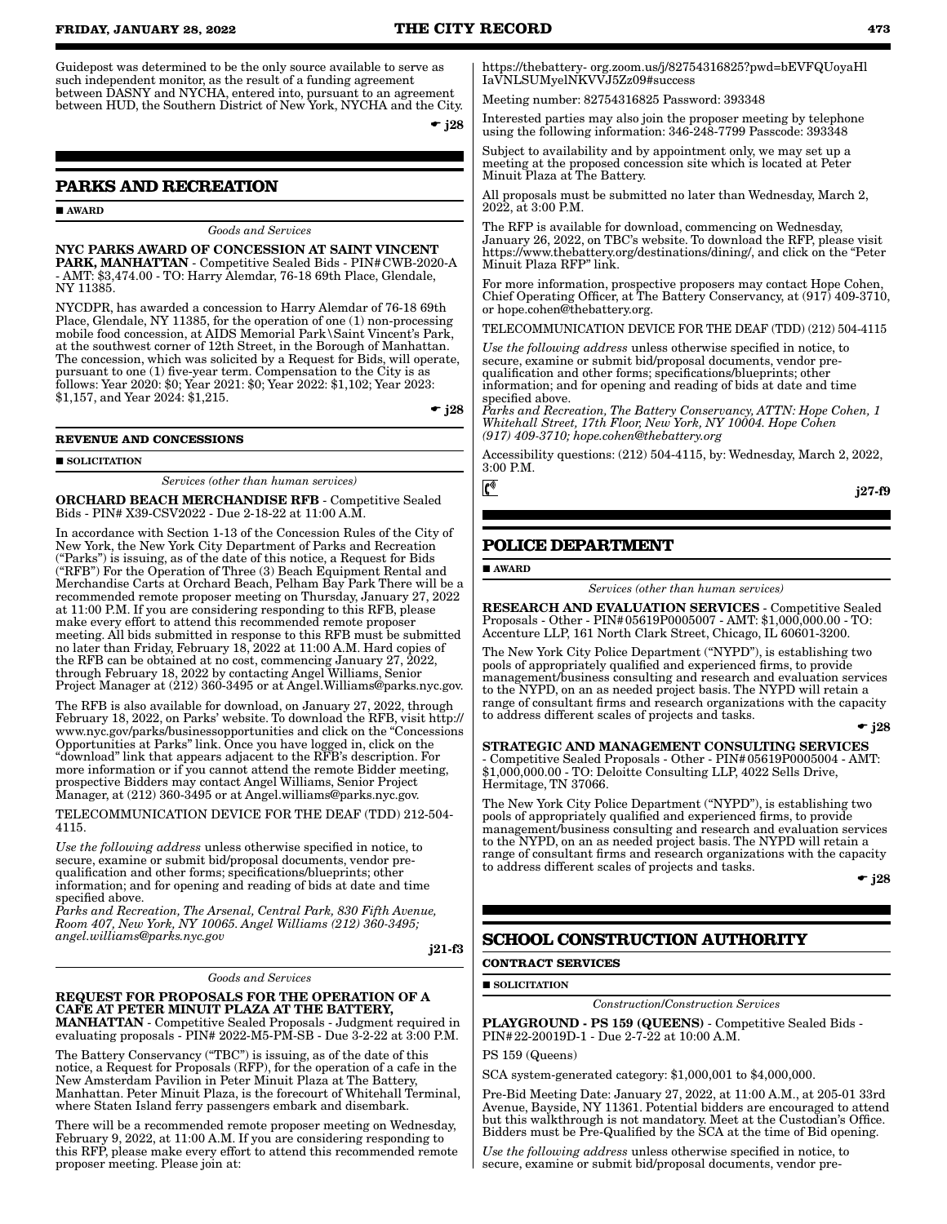Guidepost was determined to be the only source available to serve as such independent monitor, as the result of a funding agreement between DASNY and NYCHA, entered into, pursuant to an agreement between HUD, the Southern District of New York, NYCHA and the City.

 $\div$  j28

### **PARKS AND RECREATION**

**AWARD** 

### *Goods and Services*

NYC PARKS AWARD OF CONCESSION AT SAINT VINCENT PARK, MANHATTAN - Competitive Sealed Bids - PIN#CWB-2020-A - AMT: \$3,474.00 - TO: Harry Alemdar, 76-18 69th Place, Glendale, NY 11385.

NYCDPR, has awarded a concession to Harry Alemdar of 76-18 69th Place, Glendale, NY 11385, for the operation of one (1) non-processing mobile food concession, at AIDS Memorial Park\Saint Vincent's Park, at the southwest corner of 12th Street, in the Borough of Manhattan. The concession, which was solicited by a Request for Bids, will operate, pursuant to one (1) five-year term. Compensation to the City is as follows: Year 2020: \$0; Year 2021: \$0; Year 2022: \$1,102; Year 2023: \$1,157, and Year 2024: \$1,215.

 $\bullet$  j28

#### **REVENUE AND CONCESSIONS**

**SOLICITATION** 

*Services (other than human services)*

ORCHARD BEACH MERCHANDISE RFB - Competitive Sealed Bids - PIN# X39-CSV2022 - Due 2-18-22 at 11:00 A.M.

In accordance with Section 1-13 of the Concession Rules of the City of New York, the New York City Department of Parks and Recreation ("Parks") is issuing, as of the date of this notice, a Request for Bids ("RFB") For the Operation of Three (3) Beach Equipment Rental and Merchandise Carts at Orchard Beach, Pelham Bay Park There will be a recommended remote proposer meeting on Thursday, January 27, 2022 at 11:00 P.M. If you are considering responding to this RFB, please make every effort to attend this recommended remote proposer meeting. All bids submitted in response to this RFB must be submitted no later than Friday, February 18, 2022 at 11:00 A.M. Hard copies of the RFB can be obtained at no cost, commencing January 27, 2022, through February 18, 2022 by contacting Angel Williams, Senior Project Manager at (212) 360-3495 or at Angel. Williams@parks.nyc.gov.

The RFB is also available for download, on January 27, 2022, through February 18, 2022, on Parks' website. To download the RFB, visit http:// www.nyc.gov/parks/businessopportunities and click on the "Concessions Opportunities at Parks" link. Once you have logged in, click on the "download" link that appears adjacent to the RFB's description. For more information or if you cannot attend the remote Bidder meeting, prospective Bidders may contact Angel Williams, Senior Project Manager, at (212) 360-3495 or at Angel.williams@parks.nyc.gov.

TELECOMMUNICATION DEVICE FOR THE DEAF (TDD) 212-504- 4115.

*Use the following address* unless otherwise specified in notice, to secure, examine or submit bid/proposal documents, vendor prequalification and other forms; specifications/blueprints; other information; and for opening and reading of bids at date and time specified above.

*Parks and Recreation, The Arsenal, Central Park, 830 Fifth Avenue, Room 407, New York, NY 10065. Angel Williams (212) 360-3495; angel.williams@parks.nyc.gov*

j21-f3

#### *Goods and Services*

#### REQUEST FOR PROPOSALS FOR THE OPERATION OF A CAFE AT PETER MINUIT PLAZA AT THE BATTERY, MANHATTAN - Competitive Sealed Proposals - Judgment required in evaluating proposals - PIN# 2022-M5-PM-SB - Due 3-2-22 at 3:00 P.M.

The Battery Conservancy ("TBC") is issuing, as of the date of this notice, a Request for Proposals (RFP), for the operation of a cafe in the New Amsterdam Pavilion in Peter Minuit Plaza at The Battery, Manhattan. Peter Minuit Plaza, is the forecourt of Whitehall Terminal, where Staten Island ferry passengers embark and disembark.

There will be a recommended remote proposer meeting on Wednesday, February 9, 2022, at 11:00 A.M. If you are considering responding to this RFP, please make every effort to attend this recommended remote proposer meeting. Please join at:

https://thebattery- org.zoom.us/j/82754316825?pwd=bEVFQUoyaHl IaVNLSUMyelNKVVJ5Zz09#success

Meeting number: 82754316825 Password: 393348

Interested parties may also join the proposer meeting by telephone using the following information: 346-248-7799 Passcode: 393348

Subject to availability and by appointment only, we may set up a meeting at the proposed concession site which is located at Peter Minuit Plaza at The Battery.

All proposals must be submitted no later than Wednesday, March 2, 2022, at 3:00 P.M.

The RFP is available for download, commencing on Wednesday, January 26, 2022, on TBC's website. To download the RFP, please visit https://www.thebattery.org/destinations/dining/, and click on the "Peter Minuit Plaza RFP" link.

For more information, prospective proposers may contact Hope Cohen, Chief Operating Officer, at The Battery Conservancy, at (917) 409-3710, or hope.cohen@thebattery.org.

TELECOMMUNICATION DEVICE FOR THE DEAF (TDD) (212) 504-4115

*Use the following address* unless otherwise specified in notice, to secure, examine or submit bid/proposal documents, vendor prequalification and other forms; specifications/blueprints; other information; and for opening and reading of bids at date and time specified above.

*Parks and Recreation, The Battery Conservancy, ATTN: Hope Cohen, 1 Whitehall Street, 17th Floor, New York, NY 10004. Hope Cohen (917) 409-3710; hope.cohen@thebattery.org*

Accessibility questions: (212) 504-4115, by: Wednesday, March 2, 2022, 3:00 P.M.

j27-f9

### **POLICE DEPARTMENT**

AWARD

 $\mathfrak{c}^*$ 

*Services (other than human services)*

RESEARCH AND EVALUATION SERVICES - Competitive Sealed Proposals - Other - PIN#05619P0005007 - AMT: \$1,000,000.00 - TO: Accenture LLP, 161 North Clark Street, Chicago, IL 60601-3200.

The New York City Police Department ("NYPD"), is establishing two pools of appropriately qualified and experienced firms, to provide management/business consulting and research and evaluation services to the NYPD, on an as needed project basis. The NYPD will retain a range of consultant firms and research organizations with the capacity to address different scales of projects and tasks.

 $\div$  i28

STRATEGIC AND MANAGEMENT CONSULTING SERVICES - Competitive Sealed Proposals - Other - PIN#05619P0005004 - AMT: \$1,000,000.00 - TO: Deloitte Consulting LLP, 4022 Sells Drive, Hermitage, TN 37066.

The New York City Police Department ("NYPD"), is establishing two pools of appropriately qualified and experienced firms, to provide management/business consulting and research and evaluation services to the NYPD, on an as needed project basis. The NYPD will retain a range of consultant firms and research organizations with the capacity to address different scales of projects and tasks.

 $\bullet$  j28

### **SCHOOL CONSTRUCTION AUTHORITY**

#### **CONTRACT SERVICES**

**SOLICITATION** 

*Construction*/*Construction Services*

PLAYGROUND - PS 159 (QUEENS) - Competitive Sealed Bids - PIN#22-20019D-1 - Due 2-7-22 at 10:00 A.M.

PS 159 (Queens)

SCA system-generated category: \$1,000,001 to \$4,000,000.

Pre-Bid Meeting Date: January 27, 2022, at 11:00 A.M., at 205-01 33rd Avenue, Bayside, NY 11361. Potential bidders are encouraged to attend but this walkthrough is not mandatory. Meet at the Custodian's Office. Bidders must be Pre-Qualified by the SCA at the time of Bid opening.

*Use the following address* unless otherwise specified in notice, to secure, examine or submit bid/proposal documents, vendor pre-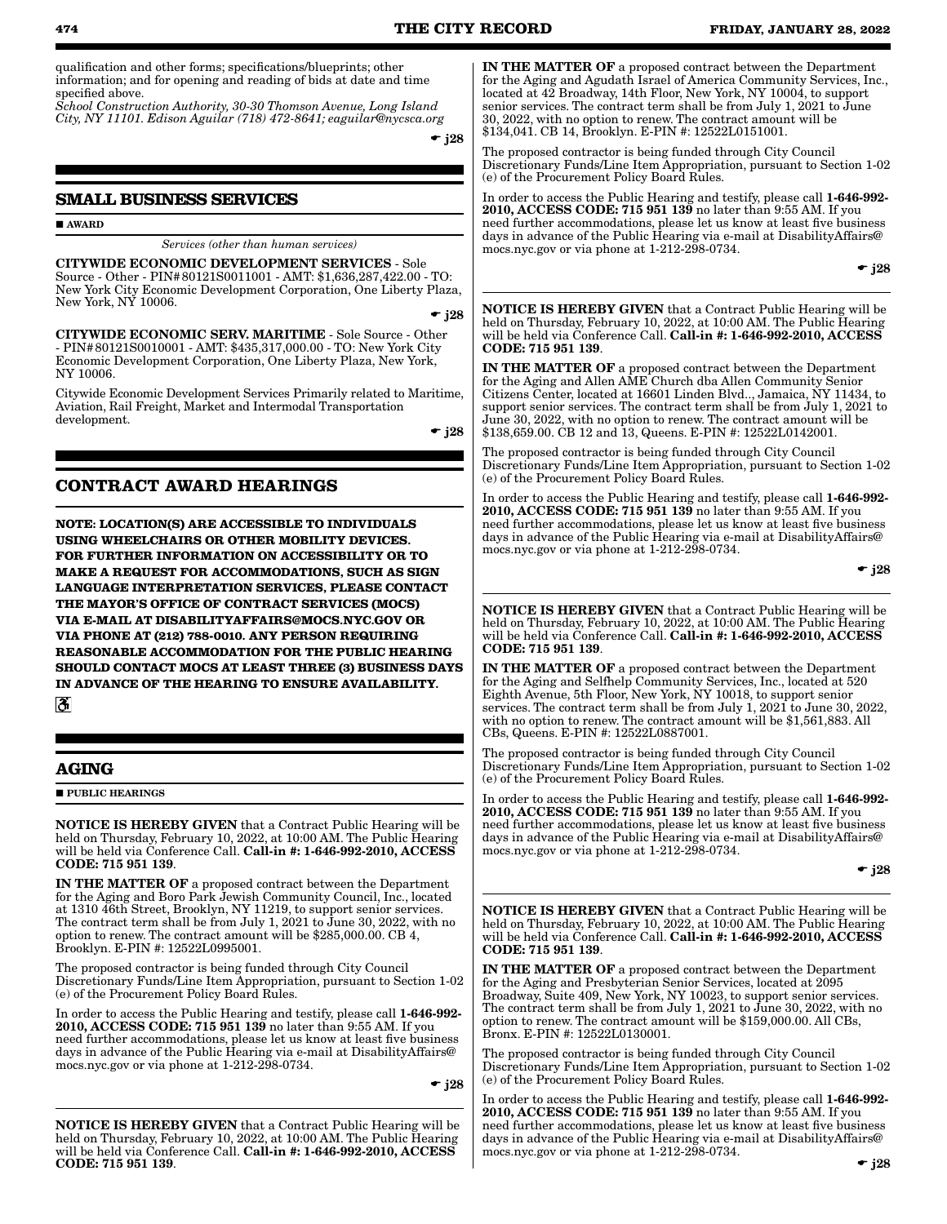qualification and other forms; specifications/blueprints; other information; and for opening and reading of bids at date and time specified above.

*School Construction Authority, 30-30 Thomson Avenue, Long Island City, NY 11101. Edison Aguilar (718) 472-8641; eaguilar@nycsca.org*

 $\div$  j28

### **SMALL BUSINESS SERVICES**

**AWARD** 

*Services (other than human services)*

CITYWIDE ECONOMIC DEVELOPMENT SERVICES - Sole Source - Other - PIN#80121S0011001 - AMT: \$1,636,287,422.00 - TO: New York City Economic Development Corporation, One Liberty Plaza, New York, NY 10006.

 $\div$  i28

CITYWIDE ECONOMIC SERV. MARITIME - Sole Source - Other - PIN#80121S0010001 - AMT: \$435,317,000.00 - TO: New York City Economic Development Corporation, One Liberty Plaza, New York, NY 10006.

Citywide Economic Development Services Primarily related to Maritime, Aviation, Rail Freight, Market and Intermodal Transportation development.

 $\div$  j28

### **CONTRACT AWARD HEARINGS**

**NOTE: LOCATION(S) ARE ACCESSIBLE TO INDIVIDUALS USING WHEELCHAIRS OR OTHER MOBILITY DEVICES. FOR FURTHER INFORMATION ON ACCESSIBILITY OR TO MAKE A REQUEST FOR ACCOMMODATIONS, SUCH AS SIGN LANGUAGE INTERPRETATION SERVICES, PLEASE CONTACT THE MAYOR'S OFFICE OF CONTRACT SERVICES (MOCS) VIA E-MAIL AT DISABILITYAFFAIRS@MOCS.NYC.GOV OR VIA PHONE AT (212) 788-0010. ANY PERSON REQUIRING REASONABLE ACCOMMODATION FOR THE PUBLIC HEARING SHOULD CONTACT MOCS AT LEAST THREE (3) BUSINESS DAYS IN ADVANCE OF THE HEARING TO ENSURE AVAILABILITY.**  $|\mathcal{S}|$ 

### **AGING**

**PUBLIC HEARINGS** 

NOTICE IS HEREBY GIVEN that a Contract Public Hearing will be held on Thursday, February 10, 2022, at 10:00 AM. The Public Hearing will be held via Conference Call. Call-in #: 1-646-992-2010, ACCESS CODE: 715 951 139.

IN THE MATTER OF a proposed contract between the Department for the Aging and Boro Park Jewish Community Council, Inc., located at 1310 46th Street, Brooklyn, NY 11219, to support senior services. The contract term shall be from July 1, 2021 to June 30, 2022, with no option to renew. The contract amount will be \$285,000.00. CB 4, Brooklyn. E-PIN #: 12522L0995001.

The proposed contractor is being funded through City Council Discretionary Funds/Line Item Appropriation, pursuant to Section 1-02 (e) of the Procurement Policy Board Rules.

In order to access the Public Hearing and testify, please call 1-646-992- 2010, ACCESS CODE: 715 951 139 no later than 9:55 AM. If you need further accommodations, please let us know at least five business days in advance of the Public Hearing via e-mail at DisabilityAffairs@ mocs.nyc.gov or via phone at 1-212-298-0734.

 $-$  j28

NOTICE IS HEREBY GIVEN that a Contract Public Hearing will be held on Thursday, February 10, 2022, at 10:00 AM. The Public Hearing will be held via Conference Call. Call-in #: 1-646-992-2010, ACCESS CODE: 715 951 139.

IN THE MATTER OF a proposed contract between the Department for the Aging and Agudath Israel of America Community Services, Inc., located at 42 Broadway, 14th Floor, New York, NY 10004, to support senior services. The contract term shall be from July 1, 2021 to  $\bar{J}$ une 30, 2022, with no option to renew. The contract amount will be \$134,041. CB 14, Brooklyn. E-PIN #: 12522L0151001.

The proposed contractor is being funded through City Council Discretionary Funds/Line Item Appropriation, pursuant to Section 1-02 (e) of the Procurement Policy Board Rules.

In order to access the Public Hearing and testify, please call 1-646-992- 2010, ACCESS CODE: 715 951 139 no later than 9:55 AM. If you need further accommodations, please let us know at least five business days in advance of the Public Hearing via e-mail at DisabilityAffairs@ mocs.nyc.gov or via phone at 1-212-298-0734.

 $\div$  j28

NOTICE IS HEREBY GIVEN that a Contract Public Hearing will be held on Thursday, February 10, 2022, at 10:00 AM. The Public Hearing will be held via Conference Call. Call-in #: 1-646-992-2010, ACCESS CODE: 715 951 139.

IN THE MATTER OF a proposed contract between the Department for the Aging and Allen AME Church dba Allen Community Senior Citizens Center, located at 16601 Linden Blvd.., Jamaica, NY 11434, to support senior services. The contract term shall be from July 1, 2021 to June 30, 2022, with no option to renew. The contract amount will be \$138,659.00. CB 12 and 13, Queens. E-PIN #: 12522L0142001.

The proposed contractor is being funded through City Council Discretionary Funds/Line Item Appropriation, pursuant to Section 1-02 (e) of the Procurement Policy Board Rules.

In order to access the Public Hearing and testify, please call 1-646-992- 2010, ACCESS CODE: 715 951 139 no later than 9:55 AM. If you need further accommodations, please let us know at least five business days in advance of the Public Hearing via e-mail at DisabilityAffairs@ mocs.nyc.gov or via phone at 1-212-298-0734.

 $\bullet$  j28

NOTICE IS HEREBY GIVEN that a Contract Public Hearing will be held on Thursday, February 10, 2022, at 10:00 AM. The Public Hearing will be held via Conference Call. Call-in #: 1-646-992-2010, ACCESS CODE: 715 951 139.

IN THE MATTER OF a proposed contract between the Department for the Aging and Selfhelp Community Services, Inc., located at 520 Eighth Avenue, 5th Floor, New York, NY 10018, to support senior services. The contract term shall be from July 1, 2021 to June 30, 2022, with no option to renew. The contract amount will be \$1,561,883. All CBs, Queens. E-PIN #: 12522L0887001.

The proposed contractor is being funded through City Council Discretionary Funds/Line Item Appropriation, pursuant to Section 1-02 (e) of the Procurement Policy Board Rules.

In order to access the Public Hearing and testify, please call 1-646-992- 2010, ACCESS CODE: 715 951 139 no later than 9:55 AM. If you need further accommodations, please let us know at least five business days in advance of the Public Hearing via e-mail at DisabilityAffairs@ mocs.nyc.gov or via phone at 1-212-298-0734.

 $\cdot$  j28

NOTICE IS HEREBY GIVEN that a Contract Public Hearing will be held on Thursday, February 10, 2022, at 10:00 AM. The Public Hearing will be held via Conference Call. Call-in #: 1-646-992-2010, ACCESS CODE: 715 951 139.

IN THE MATTER OF a proposed contract between the Department for the Aging and Presbyterian Senior Services, located at 2095 Broadway, Suite 409, New York, NY 10023, to support senior services. The contract term shall be from July 1, 2021 to June 30, 2022, with no option to renew. The contract amount will be \$159,000.00. All CBs, Bronx. E-PIN #: 12522L0130001.

The proposed contractor is being funded through City Council Discretionary Funds/Line Item Appropriation, pursuant to Section 1-02 (e) of the Procurement Policy Board Rules.

In order to access the Public Hearing and testify, please call 1-646-992- 2010, ACCESS CODE: 715 951 139 no later than 9:55 AM. If you need further accommodations, please let us know at least five business days in advance of the Public Hearing via e-mail at DisabilityAffairs@ mocs.nyc.gov or via phone at 1-212-298-0734.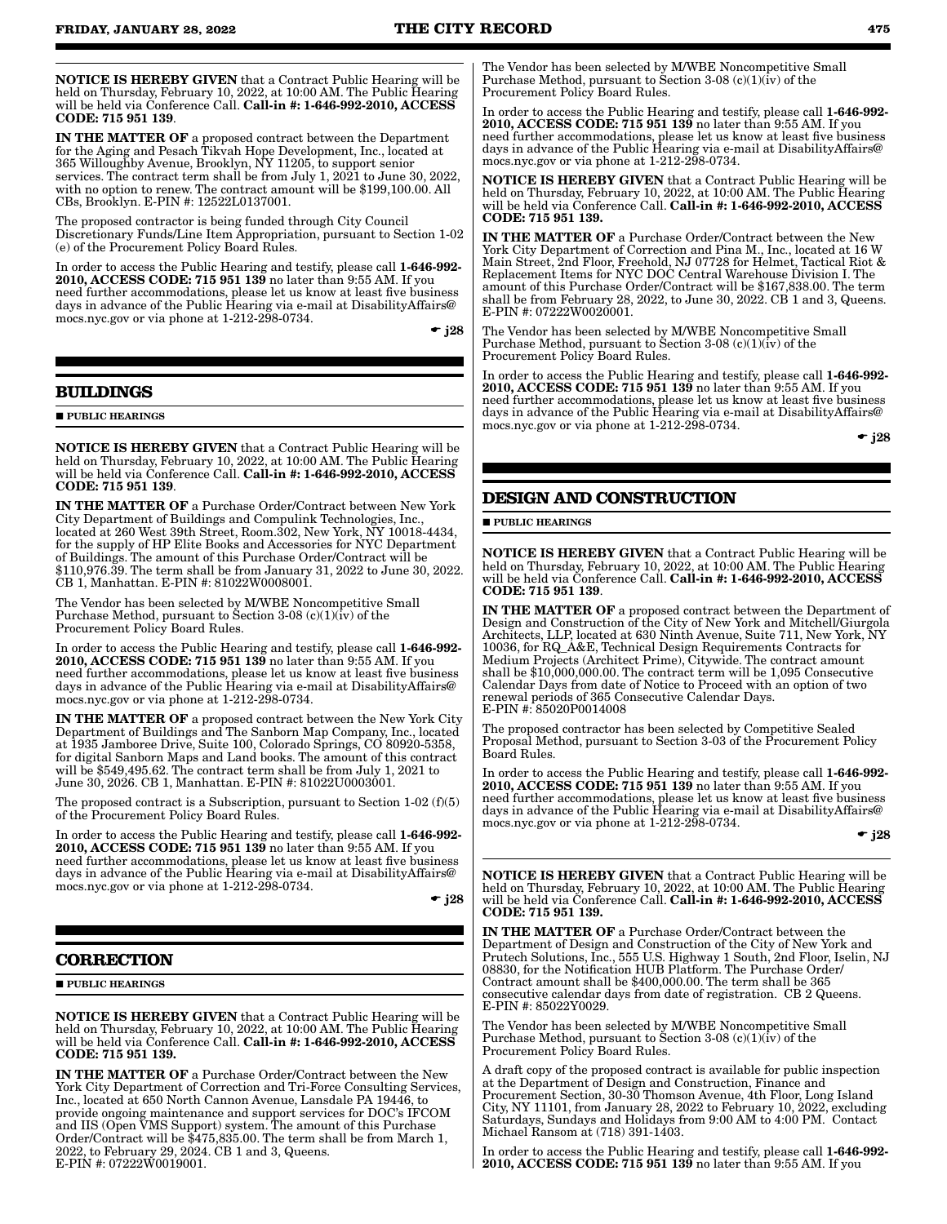NOTICE IS HEREBY GIVEN that a Contract Public Hearing will be held on Thursday, February 10, 2022, at 10:00 AM. The Public Hearing will be held via Conference Call. Call-in #: 1-646-992-2010, ACCESS CODE: 715 951 139.

IN THE MATTER OF a proposed contract between the Department for the Aging and Pesach Tikvah Hope Development, Inc., located at 365 Willoughby Avenue, Brooklyn, NY 11205, to support senior services. The contract term shall be from July 1, 2021 to June 30, 2022, with no option to renew. The contract amount will be \$199,100.00. All CBs, Brooklyn. E-PIN #: 12522L0137001.

The proposed contractor is being funded through City Council Discretionary Funds/Line Item Appropriation, pursuant to Section 1-02 (e) of the Procurement Policy Board Rules.

In order to access the Public Hearing and testify, please call 1-646-992- 2010, ACCESS CODE: 715 951 139 no later than 9:55 AM. If you need further accommodations, please let us know at least five business days in advance of the Public Hearing via e-mail at DisabilityAffairs@ mocs.nyc.gov or via phone at 1-212-298-0734.

 $\div$  j28

### **BUILDINGS**

**PUBLIC HEARINGS** 

NOTICE IS HEREBY GIVEN that a Contract Public Hearing will be held on Thursday, February 10, 2022, at 10:00 AM. The Public Hearing will be held via Conference Call. Call-in #: 1-646-992-2010, ACCESS CODE: 715 951 139.

IN THE MATTER OF a Purchase Order/Contract between New York City Department of Buildings and Compulink Technologies, Inc., located at 260 West 39th Street, Room.302, New York, NY 10018-4434, for the supply of HP Elite Books and Accessories for NYC Department of Buildings. The amount of this Purchase Order/Contract will be \$110,976.39. The term shall be from January 31, 2022 to June 30, 2022. CB 1, Manhattan. E-PIN #: 81022W0008001.

The Vendor has been selected by M/WBE Noncompetitive Small Purchase Method, pursuant to Section 3-08 (c)(1)( $\hat{i}$ v) of the Procurement Policy Board Rules.

In order to access the Public Hearing and testify, please call 1-646-992- 2010, ACCESS CODE: 715 951 139 no later than 9:55 AM. If you need further accommodations, please let us know at least five business days in advance of the Public Hearing via e-mail at DisabilityAffairs@ mocs.nyc.gov or via phone at 1-212-298-0734.

IN THE MATTER OF a proposed contract between the New York City Department of Buildings and The Sanborn Map Company, Inc., located at 1935 Jamboree Drive, Suite 100, Colorado Springs, CO 80920-5358, for digital Sanborn Maps and Land books. The amount of this contract will be \$549,495.62. The contract term shall be from July 1, 2021 to June 30, 2026. CB 1, Manhattan. E-PIN #: 81022U0003001.

The proposed contract is a Subscription, pursuant to Section 1-02 (f)(5) of the Procurement Policy Board Rules.

In order to access the Public Hearing and testify, please call 1-646-992- 2010, ACCESS CODE: 715 951 139 no later than 9:55 AM. If you need further accommodations, please let us know at least five business days in advance of the Public Hearing via e-mail at DisabilityAffairs@ mocs.nyc.gov or via phone at 1-212-298-0734.

 $\div$  i28

### **CORRECTION**

**PUBLIC HEARINGS** 

NOTICE IS HEREBY GIVEN that a Contract Public Hearing will be held on Thursday, February 10, 2022, at 10:00 AM. The Public Hearing will be held via Conference Call. Call-in #: 1-646-992-2010, ACCESS CODE: 715 951 139.

IN THE MATTER OF a Purchase Order/Contract between the New York City Department of Correction and Tri-Force Consulting Services, Inc., located at 650 North Cannon Avenue, Lansdale PA 19446, to provide ongoing maintenance and support services for DOC's IFCOM and IIS (Open VMS Support) system. The amount of this Purchase Order/Contract will be \$475,835.00. The term shall be from March 1, 2022, to February 29, 2024. CB 1 and 3, Queens. E-PIN #: 07222W0019001.

The Vendor has been selected by M/WBE Noncompetitive Small Purchase Method, pursuant to Section  $3-08$  (c)(1)(iv) of the Procurement Policy Board Rules.

In order to access the Public Hearing and testify, please call 1-646-992- 2010, ACCESS CODE: 715 951 139 no later than 9:55 AM. If you need further accommodations, please let us know at least five business days in advance of the Public Hearing via e-mail at DisabilityAffairs@ mocs.nyc.gov or via phone at 1-212-298-0734.

NOTICE IS HEREBY GIVEN that a Contract Public Hearing will be held on Thursday, February 10, 2022, at 10:00 AM. The Public Hearing will be held via Conference Call. Call-in #: 1-646-992-2010, ACCESS CODE: 715 951 139.

IN THE MATTER OF a Purchase Order/Contract between the New York City Department of Correction and Pina M., Inc., located at 16 W Main Street, 2nd Floor, Freehold, NJ 07728 for Helmet, Tactical Riot & Replacement Items for NYC DOC Central Warehouse Division I. The amount of this Purchase Order/Contract will be \$167,838.00. The term shall be from February 28, 2022, to June 30, 2022. CB 1 and 3, Queens. E-PIN #: 07222W0020001.

The Vendor has been selected by M/WBE Noncompetitive Small Purchase Method, pursuant to Section  $3-08$  (c)(1)(iv) of the Procurement Policy Board Rules.

In order to access the Public Hearing and testify, please call 1-646-992- 2010, ACCESS CODE: 715 951 139 no later than 9:55 AM. If you need further accommodations, please let us know at least five business days in advance of the Public Hearing via e-mail at DisabilityAffairs@ mocs.nyc.gov or via phone at 1-212-298-0734.

 $\div$  i28

### **DESIGN AND CONSTRUCTION**

**PUBLIC HEARINGS** 

NOTICE IS HEREBY GIVEN that a Contract Public Hearing will be held on Thursday, February 10, 2022, at 10:00 AM. The Public Hearing will be held via Conference Call. Call-in #: 1-646-992-2010, ACCESS CODE: 715 951 139.

IN THE MATTER OF a proposed contract between the Department of Design and Construction of the City of New York and Mitchell/Giurgola Architects, LLP, located at 630 Ninth Avenue, Suite 711, New York, NY 10036, for RQ\_A&E, Technical Design Requirements Contracts for Medium Projects (Architect Prime), Citywide. The contract amount shall be \$10,000,000.00. The contract term will be 1,095 Consecutive Calendar Days from date of Notice to Proceed with an option of two renewal periods of 365 Consecutive Calendar Days. E-PIN #: 85020P0014008

The proposed contractor has been selected by Competitive Sealed Proposal Method, pursuant to Section 3-03 of the Procurement Policy Board Rules.

In order to access the Public Hearing and testify, please call 1-646-992- 2010, ACCESS CODE: 715 951 139 no later than 9:55 AM. If you need further accommodations, please let us know at least five business days in advance of the Public Hearing via e-mail at DisabilityAffairs@ mocs.nyc.gov or via phone at 1-212-298-0734.

 $\div$  j28

NOTICE IS HEREBY GIVEN that a Contract Public Hearing will be held on Thursday, February 10, 2022, at 10:00 AM. The Public Hearing will be held via Conference Call. Call-in #: 1-646-992-2010, ACCESS CODE: 715 951 139.

IN THE MATTER OF a Purchase Order/Contract between the Department of Design and Construction of the City of New York and Prutech Solutions, Inc., 555 U.S. Highway 1 South, 2nd Floor, Iselin, NJ 08830, for the Notification HUB Platform. The Purchase Order/ Contract amount shall be \$400,000.00. The term shall be 365 consecutive calendar days from date of registration. CB 2 Queens. E-PIN #: 85022Y0029.

The Vendor has been selected by M/WBE Noncompetitive Small Purchase Method, pursuant to Section  $3-08$  (c)(1)(iv) of the Procurement Policy Board Rules.

A draft copy of the proposed contract is available for public inspection at the Department of Design and Construction, Finance and Procurement Section, 30-30 Thomson Avenue, 4th Floor, Long Island City, NY 11101, from January 28, 2022 to February 10, 2022, excluding Saturdays, Sundays and Holidays from 9:00 AM to 4:00 PM. Contact Michael Ransom at (718) 391-1403.

In order to access the Public Hearing and testify, please call 1-646-992-2010, ACCESS CODE: 715 951 139 no later than 9:55 AM. If you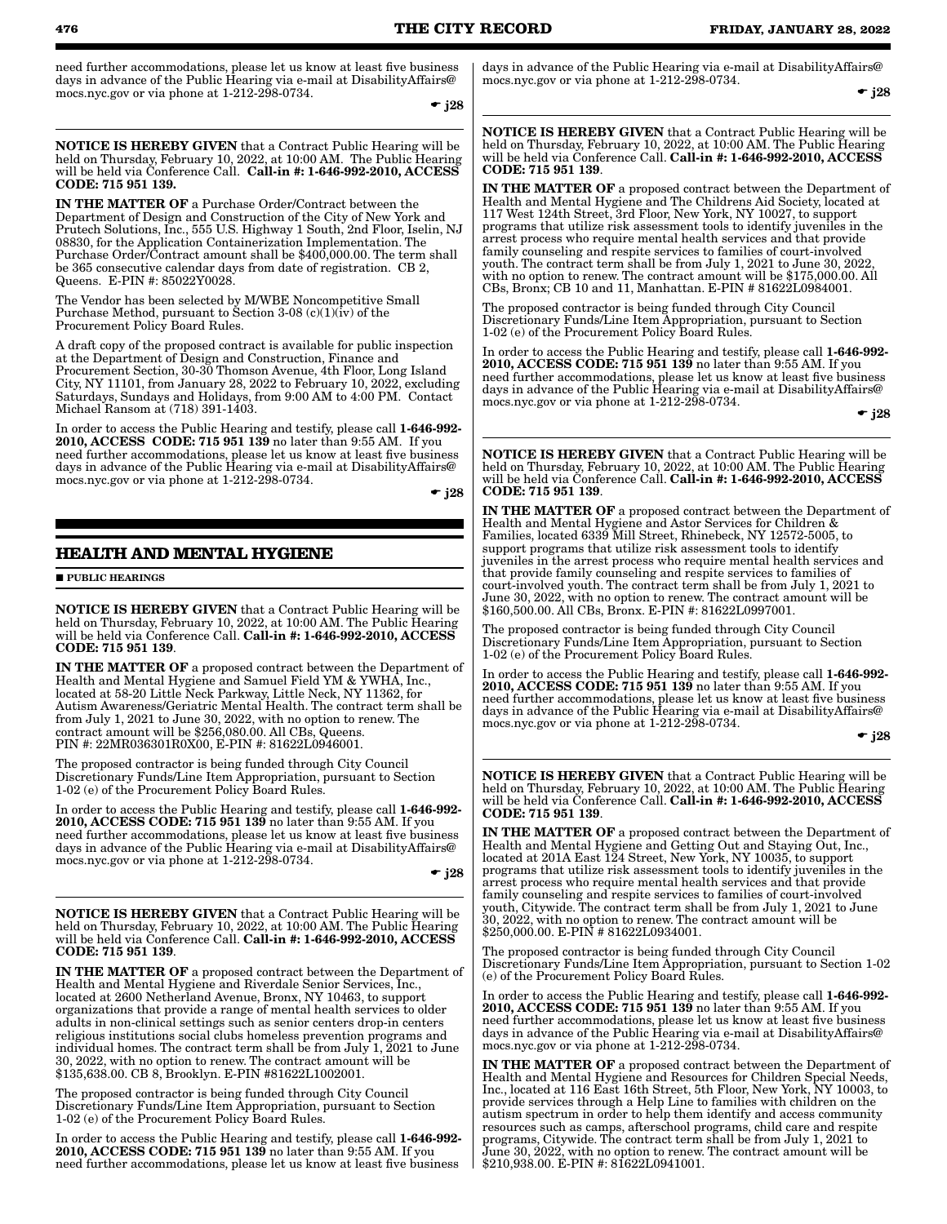need further accommodations, please let us know at least five business days in advance of the Public Hearing via e-mail at DisabilityAffairs@ mocs.nyc.gov or via phone at 1-212-298-0734.

 $\bullet$  j28

NOTICE IS HEREBY GIVEN that a Contract Public Hearing will be held on Thursday, February 10, 2022, at 10:00 AM. The Public Hearing will be held via Conference Call. Call-in #: 1-646-992-2010, ACCESS CODE: 715 951 139.

IN THE MATTER OF a Purchase Order/Contract between the Department of Design and Construction of the City of New York and Prutech Solutions, Inc., 555 U.S. Highway 1 South, 2nd Floor, Iselin, NJ 08830, for the Application Containerization Implementation. The Purchase Order/Contract amount shall be \$400,000.00. The term shall be 365 consecutive calendar days from date of registration. CB 2, Queens. E-PIN #: 85022Y0028.

The Vendor has been selected by M/WBE Noncompetitive Small Purchase Method, pursuant to Section 3-08  $(c)(1)(\hat{\textbf{i}}v)$  of the Procurement Policy Board Rules.

A draft copy of the proposed contract is available for public inspection at the Department of Design and Construction, Finance and Procurement Section, 30-30 Thomson Avenue, 4th Floor, Long Island City, NY 11101, from January 28, 2022 to February 10, 2022, excluding Saturdays, Sundays and Holidays, from 9:00 AM to 4:00 PM. Contact Michael Ransom at (718) 391-1403.

In order to access the Public Hearing and testify, please call 1-646-992-2010, ACCESS CODE: 715 951 139 no later than 9:55 AM. If you need further accommodations, please let us know at least five business days in advance of the Public Hearing via e-mail at DisabilityAffairs@ mocs.nyc.gov or via phone at 1-212-298-0734.

 $\div$  i28

### **HEALTH AND MENTAL HYGIENE**

**PUBLIC HEARINGS** 

NOTICE IS HEREBY GIVEN that a Contract Public Hearing will be held on Thursday, February 10, 2022, at 10:00 AM. The Public Hearing will be held via Conference Call. Call-in #: 1-646-992-2010, ACCESS CODE: 715 951 139.

IN THE MATTER OF a proposed contract between the Department of Health and Mental Hygiene and Samuel Field YM & YWHA, Inc., located at 58-20 Little Neck Parkway, Little Neck, NY 11362, for Autism Awareness/Geriatric Mental Health. The contract term shall be from July 1, 2021 to June 30, 2022, with no option to renew. The contract amount will be \$256,080.00. All CBs, Queens. PIN #: 22MR036301R0X00, E-PIN #: 81622L0946001.

The proposed contractor is being funded through City Council Discretionary Funds/Line Item Appropriation, pursuant to Section 1-02 (e) of the Procurement Policy Board Rules.

In order to access the Public Hearing and testify, please call 1-646-992- 2010, ACCESS CODE: 715 951 139 no later than 9:55 AM. If you need further accommodations, please let us know at least five business days in advance of the Public Hearing via e-mail at DisabilityAffairs@ mocs.nyc.gov or via phone at 1-212-298-0734.

 $\div$  j28

NOTICE IS HEREBY GIVEN that a Contract Public Hearing will be held on Thursday, February 10, 2022, at 10:00 AM. The Public Hearing will be held via Conference Call. Call-in #: 1-646-992-2010, ACCESS CODE: 715 951 139.

IN THE MATTER OF a proposed contract between the Department of Health and Mental Hygiene and Riverdale Senior Services, Inc., located at 2600 Netherland Avenue, Bronx, NY 10463, to support organizations that provide a range of mental health services to older adults in non-clinical settings such as senior centers drop-in centers religious institutions social clubs homeless prevention programs and individual homes. The contract term shall be from July  $1, 2021$  to June 30, 2022, with no option to renew. The contract amount will be \$135,638.00. CB 8, Brooklyn. E-PIN #81622L1002001.

The proposed contractor is being funded through City Council Discretionary Funds/Line Item Appropriation, pursuant to Section 1-02 (e) of the Procurement Policy Board Rules.

In order to access the Public Hearing and testify, please call 1-646-992- 2010, ACCESS CODE: 715 951 139 no later than 9:55 AM. If you need further accommodations, please let us know at least five business days in advance of the Public Hearing via e-mail at DisabilityAffairs@ mocs.nyc.gov or via phone at 1-212-298-0734.

 $\div$  j28

NOTICE IS HEREBY GIVEN that a Contract Public Hearing will be held on Thursday, February 10, 2022, at 10:00 AM. The Public Hearing will be held via Conference Call. Call-in #: 1-646-992-2010, ACCESS CODE: 715 951 139.

IN THE MATTER OF a proposed contract between the Department of Health and Mental Hygiene and The Childrens Aid Society, located at 117 West 124th Street, 3rd Floor, New York, NY 10027, to support programs that utilize risk assessment tools to identify juveniles in the arrest process who require mental health services and that provide family counseling and respite services to families of court-involved youth. The contract term shall be from July 1, 2021 to June 30, 2022, with no option to renew. The contract amount will be \$175,000.00. All CBs, Bronx; CB 10 and 11, Manhattan. E-PIN # 81622L0984001.

The proposed contractor is being funded through City Council Discretionary Funds/Line Item Appropriation, pursuant to Section 1-02 (e) of the Procurement Policy Board Rules.

In order to access the Public Hearing and testify, please call 1-646-992-2010, ACCESS CODE: 715 951 139 no later than 9:55 AM. If you need further accommodations, please let us know at least five business days in advance of the Public Hearing via e-mail at DisabilityAffairs@ mocs.nyc.gov or via phone at 1-212-298-0734.

 $\div$  i28

NOTICE IS HEREBY GIVEN that a Contract Public Hearing will be held on Thursday, February 10, 2022, at 10:00 AM. The Public Hearing will be held via Conference Call. Call-in #: 1-646-992-2010, ACCESS CODE: 715 951 139.

IN THE MATTER OF a proposed contract between the Department of Health and Mental Hygiene and Astor Services for Children & Families, located 6339 Mill Street, Rhinebeck, NY 12572-5005, to support programs that utilize risk assessment tools to identify juveniles in the arrest process who require mental health services and that provide family counseling and respite services to families of court-involved youth. The contract term shall be from July 1, 2021 to June 30, 2022, with no option to renew. The contract amount will be \$160,500.00. All CBs, Bronx. E-PIN #: 81622L0997001.

The proposed contractor is being funded through City Council Discretionary Funds/Line Item Appropriation, pursuant to Section 1-02 (e) of the Procurement Policy Board Rules.

In order to access the Public Hearing and testify, please call 1-646-992- 2010, ACCESS CODE: 715 951 139 no later than 9:55 AM. If you need further accommodations, please let us know at least five business days in advance of the Public Hearing via e-mail at DisabilityAffairs@ mocs.nyc.gov or via phone at 1-212-298-0734.

 $\bullet$  j28

NOTICE IS HEREBY GIVEN that a Contract Public Hearing will be held on Thursday, February 10, 2022, at 10:00 AM. The Public Hearing will be held via Conference Call. Call-in #: 1-646-992-2010, ACCESS CODE: 715 951 139.

IN THE MATTER OF a proposed contract between the Department of Health and Mental Hygiene and Getting Out and Staying Out, Inc., located at 201A East 124 Street, New York, NY 10035, to support programs that utilize risk assessment tools to identify juveniles in the arrest process who require mental health services and that provide family counseling and respite services to families of court-involved youth, Citywide. The contract term shall be from July 1, 2021 to June 30, 2022, with no option to renew. The contract amount will be \$250,000.00. E-PIN # 81622L0934001.

The proposed contractor is being funded through City Council Discretionary Funds/Line Item Appropriation, pursuant to Section 1-02 (e) of the Procurement Policy Board Rules.

In order to access the Public Hearing and testify, please call 1-646-992- 2010, ACCESS CODE: 715 951 139 no later than 9:55 AM. If you need further accommodations, please let us know at least five business days in advance of the Public Hearing via e-mail at DisabilityAffairs@ mocs.nyc.gov or via phone at 1-212-298-0734.

IN THE MATTER OF a proposed contract between the Department of Health and Mental Hygiene and Resources for Children Special Needs, Inc., located at 116 East 16th Street, 5th Floor, New York, NY 10003, to provide services through a Help Line to families with children on the autism spectrum in order to help them identify and access community resources such as camps, afterschool programs, child care and respite programs, Citywide. The contract term shall be from July 1, 2021 to June 30, 2022, with no option to renew. The contract amount will be \$210,938.00. E-PIN #: 81622L0941001.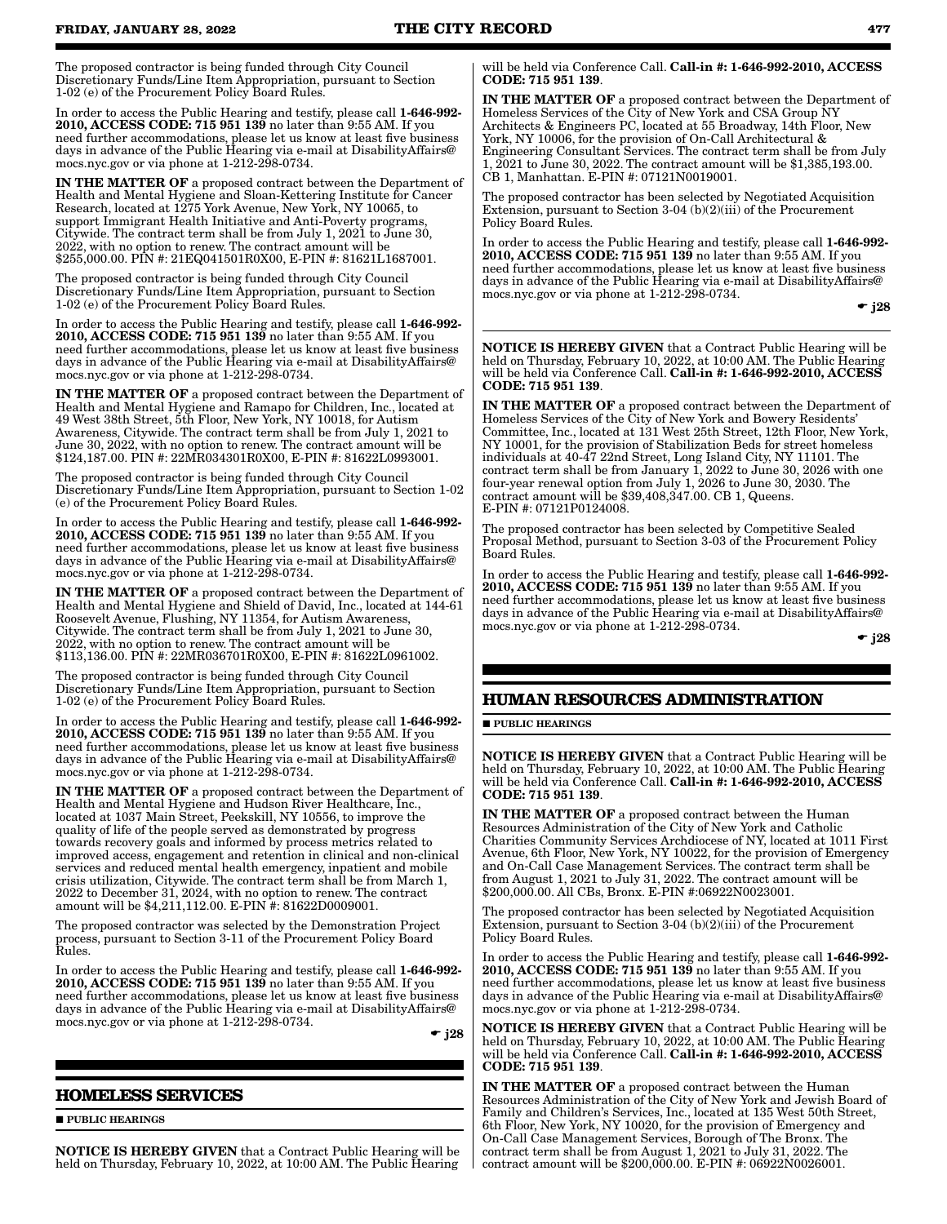The proposed contractor is being funded through City Council Discretionary Funds/Line Item Appropriation, pursuant to Section 1-02 (e) of the Procurement Policy Board Rules.

In order to access the Public Hearing and testify, please call 1-646-992- 2010, ACCESS CODE: 715 951 139 no later than 9:55 AM. If you need further accommodations, please let us know at least five business days in advance of the Public Hearing via e-mail at DisabilityAffairs@ mocs.nyc.gov or via phone at 1-212-298-0734.

IN THE MATTER OF a proposed contract between the Department of Health and Mental Hygiene and Sloan-Kettering Institute for Cancer Research, located at 1275 York Avenue, New York, NY 10065, to support Immigrant Health Initiative and Anti-Poverty programs, Citywide. The contract term shall be from July 1, 2021 to June 30, 2022, with no option to renew. The contract amount will be \$255,000.00. PIN #: 21EQ041501R0X00, E-PIN #: 81621L1687001.

The proposed contractor is being funded through City Council Discretionary Funds/Line Item Appropriation, pursuant to Section 1-02 (e) of the Procurement Policy Board Rules.

In order to access the Public Hearing and testify, please call 1-646-992- 2010, ACCESS CODE: 715 951 139 no later than 9:55 AM. If you need further accommodations, please let us know at least five business days in advance of the Public Hearing via e-mail at DisabilityAffairs@ mocs.nyc.gov or via phone at 1-212-298-0734.

IN THE MATTER OF a proposed contract between the Department of Health and Mental Hygiene and Ramapo for Children, Inc., located at 49 West 38th Street, 5th Floor, New York, NY 10018, for Autism Awareness, Citywide. The contract term shall be from July 1, 2021 to June 30, 2022, with no option to renew. The contract amount will be \$124,187.00. PIN #: 22MR034301R0X00, E-PIN #: 81622L0993001.

The proposed contractor is being funded through City Council Discretionary Funds/Line Item Appropriation, pursuant to Section 1-02 (e) of the Procurement Policy Board Rules.

In order to access the Public Hearing and testify, please call 1-646-992- 2010, ACCESS CODE: 715 951 139 no later than 9:55 AM. If you need further accommodations, please let us know at least five business days in advance of the Public Hearing via e-mail at DisabilityAffairs@ mocs.nyc.gov or via phone at 1-212-298-0734.

IN THE MATTER OF a proposed contract between the Department of Health and Mental Hygiene and Shield of David, Inc., located at 144-61 Roosevelt Avenue, Flushing, NY 11354, for Autism Awareness, Citywide. The contract term shall be from July 1, 2021 to June 30, 2022, with no option to renew. The contract amount will be \$113,136.00. PIN #: 22MR036701R0X00, E-PIN #: 81622L0961002.

The proposed contractor is being funded through City Council Discretionary Funds/Line Item Appropriation, pursuant to Section 1-02 (e) of the Procurement Policy Board Rules.

In order to access the Public Hearing and testify, please call 1-646-992- 2010, ACCESS CODE: 715 951 139 no later than 9:55 AM. If you need further accommodations, please let us know at least five business days in advance of the Public Hearing via e-mail at DisabilityAffairs@ mocs.nyc.gov or via phone at 1-212-298-0734.

IN THE MATTER OF a proposed contract between the Department of Health and Mental Hygiene and Hudson River Healthcare, Inc., located at 1037 Main Street, Peekskill, NY 10556, to improve the quality of life of the people served as demonstrated by progress towards recovery goals and informed by process metrics related to improved access, engagement and retention in clinical and non-clinical services and reduced mental health emergency, inpatient and mobile crisis utilization, Citywide. The contract term shall be from March 1, 2022 to December 31, 2024, with no option to renew. The contract amount will be \$4,211,112.00. E-PIN #: 81622D0009001.

The proposed contractor was selected by the Demonstration Project process, pursuant to Section 3-11 of the Procurement Policy Board Rules.

In order to access the Public Hearing and testify, please call 1-646-992- 2010, ACCESS CODE: 715 951 139 no later than 9:55 AM. If you need further accommodations, please let us know at least five business days in advance of the Public Hearing via e-mail at DisabilityAffairs@ mocs.nyc.gov or via phone at 1-212-298-0734.

 $\bullet$  j28

### **HOMELESS SERVICES**

**PUBLIC HEARINGS** 

NOTICE IS HEREBY GIVEN that a Contract Public Hearing will be held on Thursday, February 10, 2022, at 10:00 AM. The Public Hearing

will be held via Conference Call. Call-in #: 1-646-992-2010, ACCESS CODE: 715 951 139.

IN THE MATTER OF a proposed contract between the Department of Homeless Services of the City of New York and CSA Group NY Architects & Engineers PC, located at 55 Broadway, 14th Floor, New York, NY 10006, for the provision of On-Call Architectural & Engineering Consultant Services. The contract term shall be from July 1, 2021 to June 30, 2022. The contract amount will be \$1,385,193.00. CB 1, Manhattan. E-PIN #: 07121N0019001.

The proposed contractor has been selected by Negotiated Acquisition Extension, pursuant to Section 3-04 (b)(2)(iii) of the Procurement Policy Board Rules.

In order to access the Public Hearing and testify, please call 1-646-992- 2010, ACCESS CODE: 715 951 139 no later than 9:55 AM. If you need further accommodations, please let us know at least five business days in advance of the Public Hearing via e-mail at DisabilityAffairs@ mocs.nyc.gov or via phone at 1-212-298-0734.

 $\bullet$  j28

NOTICE IS HEREBY GIVEN that a Contract Public Hearing will be held on Thursday, February 10, 2022, at 10:00 AM. The Public Hearing will be held via Conference Call. Call-in #: 1-646-992-2010, ACCESS CODE: 715 951 139.

IN THE MATTER OF a proposed contract between the Department of Homeless Services of the City of New York and Bowery Residents' Committee, Inc., located at 131 West 25th Street, 12th Floor, New York, NY 10001, for the provision of Stabilization Beds for street homeless individuals at 40-47 22nd Street, Long Island City, NY 11101. The contract term shall be from January  $1,2022$  to June  $30,2026$  with one four-year renewal option from July 1, 2026 to June 30, 2030. The contract amount will be \$39,408,347.00. CB 1, Queens. E-PIN #: 07121P0124008.

The proposed contractor has been selected by Competitive Sealed Proposal Method, pursuant to Section 3-03 of the Procurement Policy Board Rules.

In order to access the Public Hearing and testify, please call 1-646-992- 2010, ACCESS CODE: 715 951 139 no later than 9:55 AM. If you need further accommodations, please let us know at least five business days in advance of the Public Hearing via e-mail at DisabilityAffairs@ mocs.nyc.gov or via phone at 1-212-298-0734.

 $\bullet$  j28

### **HUMAN RESOURCES ADMINISTRATION**

#### **PUBLIC HEARINGS**

NOTICE IS HEREBY GIVEN that a Contract Public Hearing will be held on Thursday, February 10, 2022, at 10:00 AM. The Public Hearing will be held via Conference Call. Call-in #: 1-646-992-2010, ACCESS CODE: 715 951 139.

IN THE MATTER OF a proposed contract between the Human Resources Administration of the City of New York and Catholic Charities Community Services Archdiocese of NY, located at 1011 First Avenue, 6th Floor, New York, NY 10022, for the provision of Emergency and On-Call Case Management Services. The contract term shall be from August 1, 2021 to July 31, 2022. The contract amount will be \$200,000.00. All CBs, Bronx. E-PIN #:06922N0023001.

The proposed contractor has been selected by Negotiated Acquisition Extension, pursuant to Section 3-04 (b)(2)(iii) of the Procurement Policy Board Rules.

In order to access the Public Hearing and testify, please call 1-646-992- 2010, ACCESS CODE: 715 951 139 no later than 9:55 AM. If you need further accommodations, please let us know at least five business days in advance of the Public Hearing via e-mail at DisabilityAffairs@ mocs.nyc.gov or via phone at 1-212-298-0734.

NOTICE IS HEREBY GIVEN that a Contract Public Hearing will be held on Thursday, February 10, 2022, at 10:00 AM. The Public Hearing will be held via Conference Call. Call-in #: 1-646-992-2010, ACCESS CODE: 715 951 139.

IN THE MATTER OF a proposed contract between the Human Resources Administration of the City of New York and Jewish Board of Family and Children's Services, Inc., located at 135 West 50th Street, 6th Floor, New York, NY 10020, for the provision of Emergency and On-Call Case Management Services, Borough of The Bronx. The contract term shall be from August 1, 2021 to July 31, 2022. The contract amount will be \$200,000.00. E-PIN #: 06922N0026001.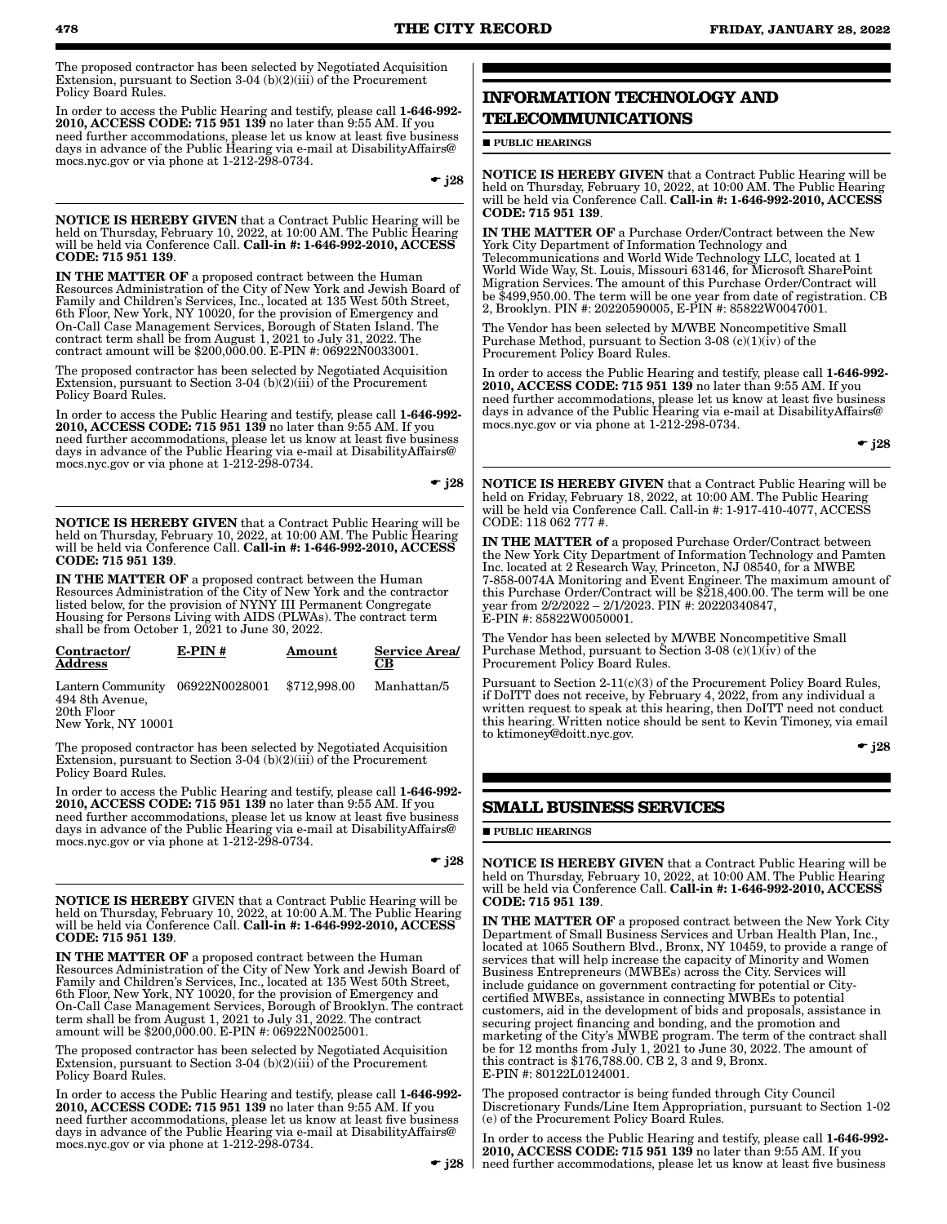The proposed contractor has been selected by Negotiated Acquisition Extension, pursuant to Section 3-04 (b)(2)(iii) of the Procurement Policy Board Rules.

In order to access the Public Hearing and testify, please call 1-646-992- 2010, ACCESS CODE: 715 951 139 no later than 9:55 AM. If you need further accommodations, please let us know at least five business days in advance of the Public Hearing via e-mail at DisabilityAffairs@ mocs.nyc.gov or via phone at 1-212-298-0734.

 $\div$  j28

NOTICE IS HEREBY GIVEN that a Contract Public Hearing will be held on Thursday, February 10, 2022, at 10:00 AM. The Public Hearing<br>will be held via Conference Call. **Call-in #: 1-646-992-2010, ACCESS** CODE: 715 951 139.

IN THE MATTER OF a proposed contract between the Human Resources Administration of the City of New York and Jewish Board of Family and Children's Services, Inc., located at 135 West 50th Street, 6th Floor, New York, NY 10020, for the provision of Emergency and On-Call Case Management Services, Borough of Staten Island. The contract term shall be from August 1, 2021 to July 31, 2022. The contract amount will be \$200,000.00. E-PIN #: 06922N0033001.

The proposed contractor has been selected by Negotiated Acquisition Extension, pursuant to Section 3-04 (b)(2)(iii) of the Procurement Policy Board Rules.

In order to access the Public Hearing and testify, please call 1-646-992- 2010, ACCESS CODE: 715 951 139 no later than 9:55 AM. If you need further accommodations, please let us know at least five business days in advance of the Public Hearing via e-mail at DisabilityAffairs@ mocs.nyc.gov or via phone at 1-212-298-0734.

 $-$  j28

NOTICE IS HEREBY GIVEN that a Contract Public Hearing will be held on Thursday, February 10, 2022, at 10:00 AM. The Public Hearing<br>will be held via Conference Call. **Call-in #: 1-646-992-2010, ACCESS** CODE: 715 951 139.

IN THE MATTER OF a proposed contract between the Human Resources Administration of the City of New York and the contractor listed below, for the provision of NYNY III Permanent Congregate Housing for Persons Living with AIDS (PLWAs). The contract term shall be from October 1, 2021 to June 30, 2022.

| Contractor/<br><b>Address</b>                                | $E-PIN#$ | Amount       | <b>Service Area</b><br>CВ |
|--------------------------------------------------------------|----------|--------------|---------------------------|
| Lantern Community 06922N0028001<br>494 8th Avenue,<br>0(1.1) |          | \$712,998.00 | Manhattan/5               |

20th Floor New York, NY 10001

The proposed contractor has been selected by Negotiated Acquisition Extension, pursuant to Section 3-04 (b)(2)(iii) of the Procurement Policy Board Rules.

In order to access the Public Hearing and testify, please call 1-646-992- 2010, ACCESS CODE: 715 951 139 no later than 9:55 AM. If you need further accommodations, please let us know at least five business days in advance of the Public Hearing via e-mail at DisabilityAffairs@ mocs.nyc.gov or via phone at 1-212-298-0734.

 $-$  j28

NOTICE IS HEREBY GIVEN that a Contract Public Hearing will be held on Thursday, February 10, 2022, at 10:00 A.M. The Public Hearing<br>will be held via Conference Call. **Call-in #: 1-646-992-2010, ACCESS** CODE: 715 951 139.

IN THE MATTER OF a proposed contract between the Human Resources Administration of the City of New York and Jewish Board of Family and Children's Services, Inc., located at 135 West 50th Street, 6th Floor, New York, NY 10020, for the provision of Emergency and On-Call Case Management Services, Borough of Brooklyn. The contract term shall be from August 1, 2021 to July 31, 2022. The contract amount will be \$200,000.00. E-PIN #: 06922N0025001.

The proposed contractor has been selected by Negotiated Acquisition Extension, pursuant to Section 3-04 (b)(2)(iii) of the Procurement Policy Board Rules.

In order to access the Public Hearing and testify, please call 1-646-992-2010, ACCESS CODE: 715 951 139 no later than 9:55 AM. If you need further accommodations, please let us know at least five business days in advance of the Public Hearing via e-mail at DisabilityAffairs@ mocs.nyc.gov or via phone at 1-212-298-0734.

### **INFORMATION TECHNOLOGY AND TELECOMMUNICATIONS**

**PUBLIC HEARINGS** 

NOTICE IS HEREBY GIVEN that a Contract Public Hearing will be held on Thursday, February 10, 2022, at 10:00 AM. The Public Hearing will be held via Conference Call. Call-in  $\#$ : 1-646-992-2010, ACCESS CODE: 715 951 139.

IN THE MATTER OF a Purchase Order/Contract between the New York City Department of Information Technology and Telecommunications and World Wide Technology LLC, located at 1 World Wide Way, St. Louis, Missouri 63146, for Microsoft SharePoint Migration Services. The amount of this Purchase Order/Contract will be \$499,950.00. The term will be one year from date of registration. CB 2, Brooklyn. PIN #: 20220590005, E-PIN #: 85822W0047001.

The Vendor has been selected by M/WBE Noncompetitive Small Purchase Method, pursuant to Section 3-08 (c)(1)(iv) of the Procurement Policy Board Rules.

In order to access the Public Hearing and testify, please call 1-646-992- 2010, ACCESS CODE: 715 951 139 no later than 9:55 AM. If you need further accommodations, please let us know at least five business days in advance of the Public Hearing via e-mail at DisabilityAffairs@ mocs.nyc.gov or via phone at 1-212-298-0734.

 $\bullet$  j28

NOTICE IS HEREBY GIVEN that a Contract Public Hearing will be held on Friday, February 18, 2022, at 10:00 AM. The Public Hearing will be held via Conference Call. Call-in #: 1-917-410-4077, ACCESS CODE: 118 062 777 #.

IN THE MATTER of a proposed Purchase Order/Contract between the New York City Department of Information Technology and Pamten Inc. located at 2 Research Way, Princeton, NJ 08540, for a MWBE 7-858-0074A Monitoring and Event Engineer. The maximum amount of this Purchase Order/Contract will be \$218,400.00. The term will be one year from 2/2/2022 – 2/1/2023. PIN #: 20220340847, E-PIN #: 85822W0050001.

The Vendor has been selected by M/WBE Noncompetitive Small Purchase Method, pursuant to Section 3-08 (c)(1)(iv) of the Procurement Policy Board Rules.

Pursuant to Section 2-11(c)(3) of the Procurement Policy Board Rules, if DoITT does not receive, by February 4, 2022, from any individual a written request to speak at this hearing, then DoITT need not conduct this hearing. Written notice should be sent to Kevin Timoney, via email to ktimoney@doitt.nyc.gov.

 $\div$  j28

### **SMALL BUSINESS SERVICES**

**PUBLIC HEARINGS** 

NOTICE IS HEREBY GIVEN that a Contract Public Hearing will be held on Thursday, February 10, 2022, at 10:00 AM. The Public Hearing will be held via Conference Call. Call-in #: 1-646-992-2010, ACCESS CODE: 715 951 139.

IN THE MATTER OF a proposed contract between the New York City Department of Small Business Services and Urban Health Plan, Inc., located at 1065 Southern Blvd., Bronx, NY 10459, to provide a range of services that will help increase the capacity of Minority and Women Business Entrepreneurs (MWBEs) across the City. Services will include guidance on government contracting for potential or Citycertified MWBEs, assistance in connecting MWBEs to potential customers, aid in the development of bids and proposals, assistance in securing project financing and bonding, and the promotion and marketing of the City's MWBE program. The term of the contract shall be for 12 months from July 1, 2021 to June 30, 2022. The amount of this contract is \$176,788.00. CB 2, 3 and 9, Bronx. E-PIN #: 80122L0124001.

The proposed contractor is being funded through City Council Discretionary Funds/Line Item Appropriation, pursuant to Section 1-02 (e) of the Procurement Policy Board Rules.

In order to access the Public Hearing and testify, please call 1-646-992- 2010, ACCESS CODE: 715 951 139 no later than 9:55 AM. If you need further accommodations, please let us know at least five business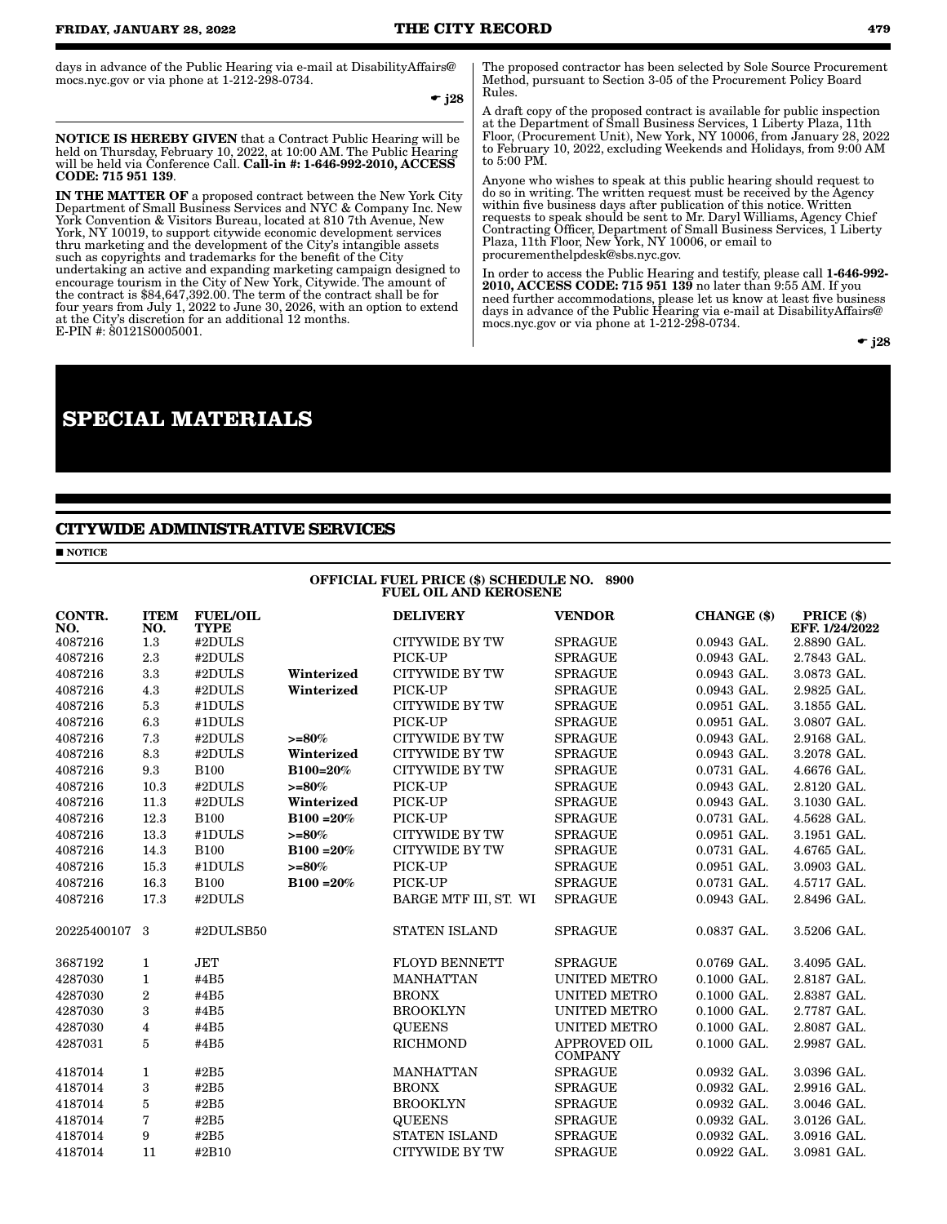days in advance of the Public Hearing via e-mail at DisabilityAffairs@ mocs.nyc.gov or via phone at 1-212-298-0734.

 $\div$  j28

NOTICE IS HEREBY GIVEN that a Contract Public Hearing will be held on Thursday, February 10, 2022, at 10:00 AM. The Public Hearing<br>will be held via Conference Call. **Call-in #: 1-646-992-2010, ACCESS** CODE: 715 951 139.

IN THE MATTER OF a proposed contract between the New York City Department of Small Business Services and NYC & Company Inc. New York Convention & Visitors Bureau, located at 810 7th Avenue, New York, NY 10019, to support citywide economic development services thru marketing and the development of the City's intangible assets such as copyrights and trademarks for the benefit of the City undertaking an active and expanding marketing campaign designed to encourage tourism in the City of New York, Citywide. The amount of the contract is \$84,647,392.00. The term of the contract shall be for four years from July 1, 2022 to June 30, 2026, with an option to extend at the City's discretion for an additional 12 months. E-PIN #: 80121S0005001.

### **SPECIAL MATERIALS**

### **CITYWIDE ADMINISTRATIVE SERVICES**

**NOTICE** 

FUEL OIL AND KEROSENE CONTR. NO. ITEM NO. FUEL/OIL TYPE DELIVERY VENDOR CHANGE (\$) PRICE (\$) EFF. 1/24/2022 1.3 #2DULS CITYWIDE BY TW SPRAGUE 0.0943 GAL. 2.8890 GAL. 2.3 #2DULS PICK-UP SPRAGUE 0.0943 GAL. 2.7843 GAL. 3.3 #2DULS Winterized CITYWIDE BY TW SPRAGUE 0.0943 GAL. 3.0873 GAL. 4.3 #2DULS Winterized PICK-UP SPRAGUE 0.0943 GAL. 2.9825 GAL. 5.3 #1DULS CITYWIDE BY TW SPRAGUE 0.0951 GAL. 3.1855 GAL. 6.3 #1DULS PICK-UP SPRAGUE 0.0951 GAL. 3.0807 GAL. 7.3 #2DULS >=80% CITYWIDE BY TW SPRAGUE 0.0943 GAL. 2.9168 GAL. 8.3 #2DULS Winterized CITYWIDE BY TW SPRAGUE 0.0943 GAL. 3.2078 GAL. 9.3 B100 B100=20% CITYWIDE BY TW SPRAGUE 0.0731 GAL. 4.6676 GAL. 10.3 #2DULS >=80% PICK-UP SPRAGUE 0.0943 GAL. 2.8120 GAL. 11.3 #2DULS Winterized PICK-UP SPRAGUE 0.0943 GAL. 3.1030 GAL.  $12.3$   $B100$   $B100$   $=20\%$   $PICK-UP$   $SPRAGUE$   $0.0731$   $GAL.$   $4.5628$   $GAL.$  13.3 #1DULS >=80% CITYWIDE BY TW SPRAGUE 0.0951 GAL. 3.1951 GAL. 14.3 B100 B100 =20% CITYWIDE BY TW SPRAGUE 0.0731 GAL. 4.6765 GAL. 15.3 #1DULS >=80% PICK-UP SPRAGUE 0.0951 GAL. 3.0903 GAL. 16.3 B100 B100 =20% PICK-UP SPRAGUE 0.0731 GAL. 4.5717 GAL. 17.3 #2DULS BARGE MTF III, ST. WI SPRAGUE 0.0943 GAL. 2.8496 GAL. 3 #2DULSB50 STATEN ISLAND SPRAGUE 0.0837 GAL. 3.5206 GAL. 1 JET FLOYD BENNETT SPRAGUE 0.0769 GAL. 3.4095 GAL. 1 #4B5 MANHATTAN UNITED METRO 0.1000 GAL. 2.8187 GAL. 2 #4B5 BRONX UNITED METRO 0.1000 GAL. 2.8387 GAL. 3 #4B5 BROOKLYN UNITED METRO 0.1000 GAL. 2.7787 GAL. 4 #4B5 QUEENS UNITED METRO 0.1000 GAL. 2.8087 GAL. 5 #4B5 RICHMOND APPROVED OIL COMPANY 0.1000 GAL. 2.9987 GAL. 1 #2B5 MANHATTAN SPRAGUE 0.0932 GAL. 3.0396 GAL. 3 #2B5 BRONX SPRAGUE 0.0932 GAL. 2.9916 GAL. 5 #2B5 BROOKLYN SPRAGUE 0.0932 GAL. 3.0046 GAL.  $7$   $\text{\#2B5}$   $\text{QUEENS}$   $\text{SPRAGUE}$   $0.0932 \text{ GAL}.$   $3.0126 \text{ GAL}.$  9 #2B5 STATEN ISLAND SPRAGUE 0.0932 GAL. 3.0916 GAL. 11 #2B10 CITYWIDE BY TW SPRAGUE 0.0922 GAL. 3.0981 GAL.

OFFICIAL FUEL PRICE (\$) SCHEDULE NO. 8900

The proposed contractor has been selected by Sole Source Procurement Method, pursuant to Section 3-05 of the Procurement Policy Board Rules.

A draft copy of the proposed contract is available for public inspection at the Department of Small Business Services, 1 Liberty Plaza, 11th Floor, (Procurement Unit), New York, NY 10006, from January 28, 2022 to February 10, 2022, excluding Weekends and Holidays, from 9:00 AM to 5:00 PM.

Anyone who wishes to speak at this public hearing should request to do so in writing. The written request must be received by the Agency within five business days after publication of this notice. Written requests to speak should be sent to Mr. Daryl Williams, Agency Chief Contracting Officer, Department of Small Business Services, 1 Liberty Plaza, 11th Floor, New York, NY 10006, or email to procurementhelpdesk@sbs.nyc.gov.

In order to access the Public Hearing and testify, please call 1-646-992- 2010, ACCESS CODE: 715 951 139 no later than 9:55 AM. If you need further accommodations, please let us know at least five business days in advance of the Public Hearing via e-mail at DisabilityAffairs@ mocs.nyc.gov or via phone at 1-212-298-0734.

 $\bullet$  j28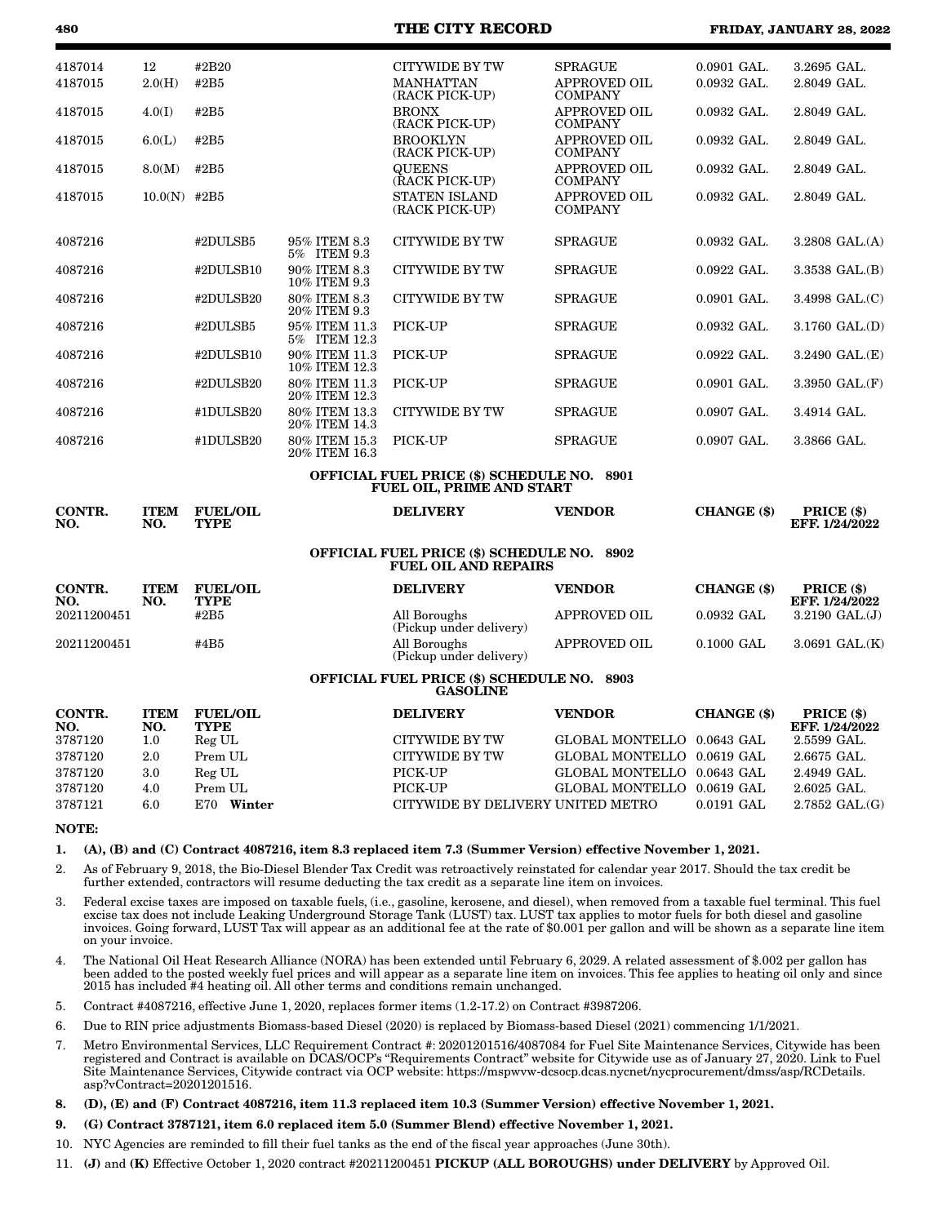| 4187014              | 12                 | #2B20                          |                                | <b>CITYWIDE BY TW</b>                                                            | <b>SPRAGUE</b>                        | $0.0901$ GAL. | 3.2695 GAL.                     |
|----------------------|--------------------|--------------------------------|--------------------------------|----------------------------------------------------------------------------------|---------------------------------------|---------------|---------------------------------|
| 4187015              | 2.0(H)             | #2B5                           |                                | <b>MANHATTAN</b><br>(RACK PICK-UP)                                               | APPROVED OIL<br><b>COMPANY</b>        | 0.0932 GAL.   | 2.8049 GAL.                     |
| 4187015              | 4.0(I)             | #2B5                           |                                | <b>BRONX</b><br>(RACK PICK-UP)                                                   | <b>APPROVED OIL</b><br><b>COMPANY</b> | 0.0932 GAL.   | 2.8049 GAL.                     |
| 4187015              | 6.0(L)             | #2B5                           |                                | <b>BROOKLYN</b><br>(RACK PICK-UP)                                                | <b>APPROVED OIL</b><br><b>COMPANY</b> | 0.0932 GAL.   | 2.8049 GAL.                     |
| 4187015              | 8.0(M)             | #2B5                           |                                | QUEENS<br>(RACK PICK-UP)                                                         | <b>APPROVED OIL</b><br><b>COMPANY</b> | 0.0932 GAL.   | 2.8049 GAL.                     |
| 4187015              | $10.0(N)$ #2B5     |                                |                                | <b>STATEN ISLAND</b><br>(RACK PICK-UP)                                           | <b>APPROVED OIL</b><br><b>COMPANY</b> | $0.0932$ GAL. | 2.8049 GAL.                     |
| 4087216              |                    | #2DULSB5                       | 95% ITEM 8.3<br>5% ITEM 9.3    | <b>CITYWIDE BY TW</b>                                                            | <b>SPRAGUE</b>                        | 0.0932 GAL.   | $3.2808$ GAL. $(A)$             |
| 4087216              |                    | #2DULSB10                      | 90% ITEM 8.3<br>10% ITEM 9.3   | <b>CITYWIDE BY TW</b>                                                            | <b>SPRAGUE</b>                        | 0.0922 GAL.   | 3.3538 GAL.(B)                  |
| 4087216              |                    | #2DULSB20                      | 80% ITEM 8.3<br>20% ITEM 9.3   | <b>CITYWIDE BY TW</b>                                                            | SPRAGUE                               | $0.0901$ GAL. | 3.4998 GAL.(C)                  |
| 4087216              |                    | #2DULSB5                       | 95% ITEM 11.3<br>5% ITEM 12.3  | PICK-UP                                                                          | <b>SPRAGUE</b>                        | $0.0932$ GAL. | $3.1760 \text{ GAL.}(\text{D})$ |
| 4087216              |                    | #2DULSB10                      | 90% ITEM 11.3<br>10% ITEM 12.3 | PICK-UP                                                                          | <b>SPRAGUE</b>                        | $0.0922$ GAL. | 3.2490 GAL.(E)                  |
| 4087216              |                    | #2DULSB20                      | 80% ITEM 11.3<br>20% ITEM 12.3 | PICK-UP                                                                          | <b>SPRAGUE</b>                        | 0.0901 GAL.   | $3.3950 \text{ GAL}(\text{F})$  |
| 4087216              |                    | #1DULSB20                      | 80% ITEM 13.3<br>20% ITEM 14.3 | CITYWIDE BY TW                                                                   | <b>SPRAGUE</b>                        | 0.0907 GAL.   | 3.4914 GAL.                     |
| 4087216              |                    | #1DULSB20                      | 80% ITEM 15.3<br>20% ITEM 16.3 | PICK-UP                                                                          | <b>SPRAGUE</b>                        | 0.0907 GAL.   | 3.3866 GAL.                     |
|                      |                    |                                |                                | <b>OFFICIAL FUEL PRICE (\$) SCHEDULE NO. 8901</b><br>FUEL OIL, PRIME AND START   |                                       |               |                                 |
| <b>CONTR.</b><br>NO. | <b>ITEM</b><br>NO. | <b>FUEL/OIL</b><br><b>TYPE</b> |                                | <b>DELIVERY</b>                                                                  | <b>VENDOR</b>                         | CHANGE (\$)   | PRICE (\$)<br>EFF. 1/24/2022    |
|                      |                    |                                |                                | <b>OFFICIAL FUEL PRICE (\$) SCHEDULE NO. 8902</b><br><b>FUEL OIL AND REPAIRS</b> |                                       |               |                                 |
| CONTR.<br>NO.        | <b>ITEM</b><br>NO. | <b>FUEL/OIL</b><br>TYPE        |                                | <b>DELIVERY</b>                                                                  | <b>VENDOR</b>                         | CHANGE (\$)   | PRICE (\$)<br>EFF. 1/24/2022    |
| 20211200451          |                    | #2B5                           |                                | All Boroughs<br>(Pickup under delivery)                                          | <b>APPROVED OIL</b>                   | 0.0932 GAL    | $3.2190 \text{ GAL.}(\text{J})$ |
| 20211200451          |                    | #4B5                           |                                | All Boroughs<br>(Pickup under delivery)                                          | <b>APPROVED OIL</b>                   | 0.1000 GAL    | $3.0691$ GAL. $(K)$             |
|                      |                    |                                |                                | <b>OFFICIAL FUEL PRICE (\$) SCHEDULE NO. 8903</b><br><b>GASOLINE</b>             |                                       |               |                                 |
| CONTR.<br>NO.        | <b>ITEM</b><br>NO. | <b>FUEL/OIL</b><br><b>TYPE</b> |                                | <b>DELIVERY</b>                                                                  | <b>VENDOR</b>                         | CHANGE (\$)   | PRICE (\$)<br>EFF. 1/24/2022    |
| 3787120              | 1.0                | Reg UL                         |                                | <b>CITYWIDE BY TW</b>                                                            | GLOBAL MONTELLO                       | $0.0643$ GAL  | 2.5599 GAL.                     |
| 3787120              | 2.0                | Prem UL                        |                                | <b>CITYWIDE BY TW</b>                                                            | GLOBAL MONTELLO                       | $0.0619$ GAL  | 2.6675 GAL.                     |
| 3787120              | 3.0                | Reg UL                         |                                | PICK-UP                                                                          | GLOBAL MONTELLO 0.0643 GAL            |               | 2.4949 GAL.                     |
| 3787120              | 4.0                | Prem UL                        |                                | PICK-UP                                                                          | GLOBAL MONTELLO                       | $0.0619$ GAL  | 2.6025 GAL.                     |
| 3787121              | 6.0                | E70 Winter                     |                                | CITYWIDE BY DELIVERY UNITED METRO                                                |                                       | $0.0191$ GAL  | 2.7852 GAL.(G)                  |

#### NOTE:

#### 1. (A), (B) and (C) Contract 4087216, item 8.3 replaced item 7.3 (Summer Version) effective November 1, 2021.

2. As of February 9, 2018, the Bio-Diesel Blender Tax Credit was retroactively reinstated for calendar year 2017. Should the tax credit be further extended, contractors will resume deducting the tax credit as a separate line item on invoices.

- 3. Federal excise taxes are imposed on taxable fuels, (i.e., gasoline, kerosene, and diesel), when removed from a taxable fuel terminal. This fuel excise tax does not include Leaking Underground Storage Tank (LUST) tax. LUST tax applies to motor fuels for both diesel and gasoline invoices. Going forward, LUST Tax will appear as an additional fee at the rate of \$0.001 per gallon and will be shown as a separate line item on your invoice.
- 4. The National Oil Heat Research Alliance (NORA) has been extended until February 6, 2029. A related assessment of \$.002 per gallon has been added to the posted weekly fuel prices and will appear as a separate line item on invoices. This fee applies to heating oil only and since 2015 has included #4 heating oil. All other terms and conditions remain unchanged.
- 5. Contract #4087216, effective June 1, 2020, replaces former items (1.2-17.2) on Contract #3987206.
- 6. Due to RIN price adjustments Biomass-based Diesel (2020) is replaced by Biomass-based Diesel (2021) commencing 1/1/2021.
- 7. Metro Environmental Services, LLC Requirement Contract #: 20201201516/4087084 for Fuel Site Maintenance Services, Citywide has been registered and Contract is available on DCAS/OCP's "Requirements Contract" website for Citywide use as of January 27, 2020. Link to Fuel Site Maintenance Services, Citywide contract via OCP website: https://mspwvw-dcsocp.dcas.nycnet/nycprocurement/dmss/asp/RCDetails. asp?vContract=20201201516.
- 8. (D), (E) and (F) Contract 4087216, item 11.3 replaced item 10.3 (Summer Version) effective November 1, 2021.
- 9. (G) Contract 3787121, item 6.0 replaced item 5.0 (Summer Blend) effective November 1, 2021.
- 10. NYC Agencies are reminded to fill their fuel tanks as the end of the fiscal year approaches (June 30th).
- 11. (J) and (K) Effective October 1, 2020 contract #20211200451 PICKUP (ALL BOROUGHS) under DELIVERY by Approved Oil.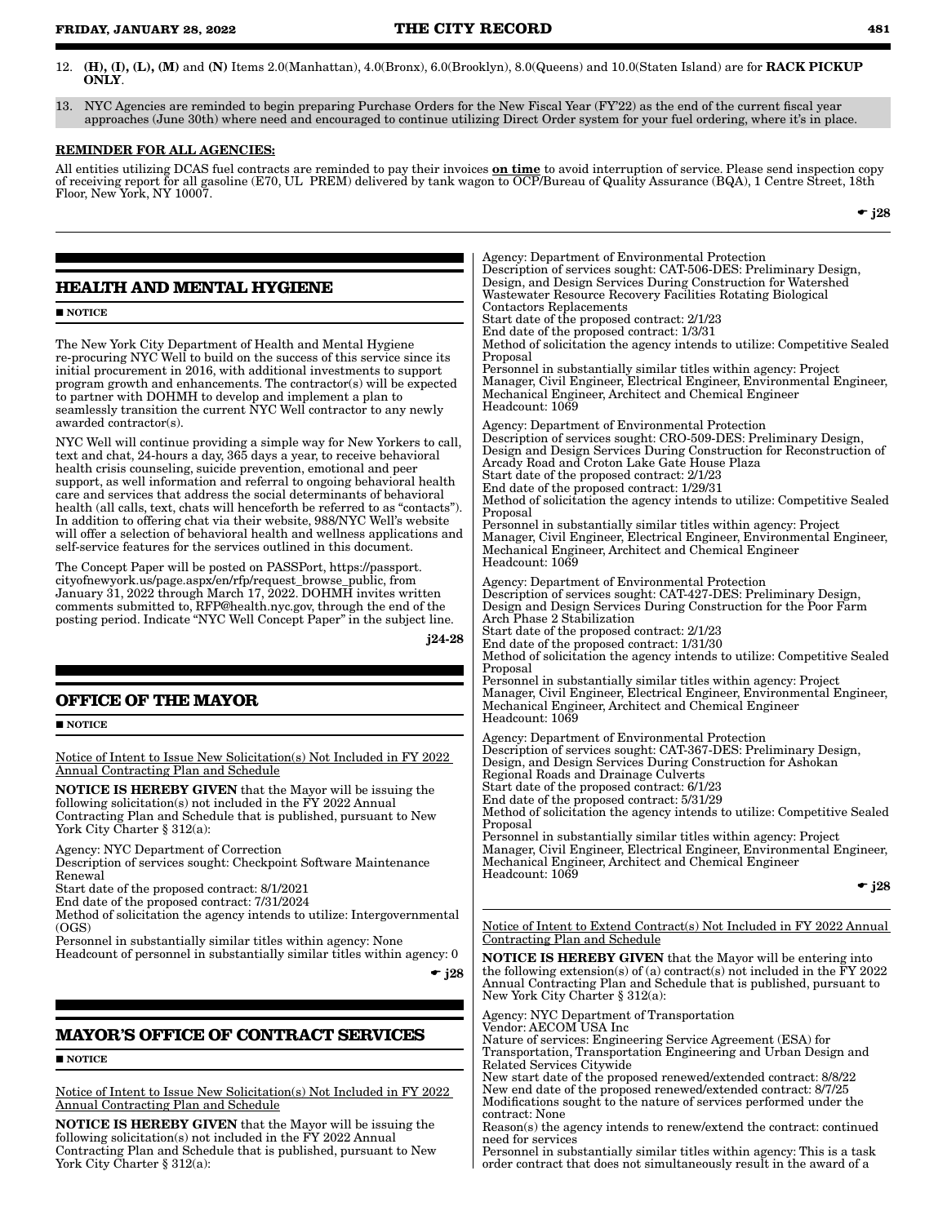- 12. (H), (I), (L), (M) and (N) Items 2.0(Manhattan), 4.0(Bronx), 6.0(Brooklyn), 8.0(Queens) and 10.0(Staten Island) are for RACK PICKUP ONLY.
- 13. NYC Agencies are reminded to begin preparing Purchase Orders for the New Fiscal Year (FY'22) as the end of the current fiscal year approaches (June 30th) where need and encouraged to continue utilizing Direct Order system for your fuel ordering, where it's in place.

#### REMINDER FOR ALL AGENCIES:

All entities utilizing DCAS fuel contracts are reminded to pay their invoices  $\mathbf{on}\ \mathbf{time}$  to avoid interruption of service. Please send inspection copy of receiving report for all gasoline (E70, UL PREM) delivered by tank wagon to OCP/Bureau of Quality Assurance (BQA), 1 Centre Street, 18th Floor, New York, NY 10007.

 $\bullet$  j28

### **HEALTH AND MENTAL HYGIENE**

#### $\blacksquare$  NOTICE

The New York City Department of Health and Mental Hygiene re-procuring NYC Well to build on the success of this service since its initial procurement in 2016, with additional investments to support program growth and enhancements. The contractor(s) will be expected to partner with DOHMH to develop and implement a plan to seamlessly transition the current NYC Well contractor to any newly awarded contractor(s).

NYC Well will continue providing a simple way for New Yorkers to call, text and chat, 24-hours a day, 365 days a year, to receive behavioral health crisis counseling, suicide prevention, emotional and peer support, as well information and referral to ongoing behavioral health care and services that address the social determinants of behavioral health (all calls, text, chats will henceforth be referred to as "contacts"). In addition to offering chat via their website, 988/NYC Well's website will offer a selection of behavioral health and wellness applications and self-service features for the services outlined in this document.

The Concept Paper will be posted on PASSPort, https://passport. cityofnewyork.us/page.aspx/en/rfp/request\_browse\_public, from January 31, 2022 through March 17, 2022. DOHMH invites written comments submitted to, RFP@health.nyc.gov, through the end of the posting period. Indicate "NYC Well Concept Paper" in the subject line.

j24-28

### **OFFICE OF THE MAYOR**

**NOTICE** 

Notice of Intent to Issue New Solicitation(s) Not Included in FY 2022 Annual Contracting Plan and Schedule

NOTICE IS HEREBY GIVEN that the Mayor will be issuing the following solicitation(s) not included in the FY 2022 Annual Contracting Plan and Schedule that is published, pursuant to New York City Charter § 312(a):

Agency: NYC Department of Correction

Description of services sought: Checkpoint Software Maintenance Renewal

Start date of the proposed contract: 8/1/2021

End date of the proposed contract: 7/31/2024

Method of solicitation the agency intends to utilize: Intergovernmental  $(OGS)$ 

Personnel in substantially similar titles within agency: None

Headcount of personnel in substantially similar titles within agency: 0

 $\bullet$  j28

### **MAYOR'S OFFICE OF CONTRACT SERVICES**

#### $\blacksquare$  NOTICE

Notice of Intent to Issue New Solicitation(s) Not Included in FY 2022 Annual Contracting Plan and Schedule

NOTICE IS HEREBY GIVEN that the Mayor will be issuing the following solicitation(s) not included in the FY 2022 Annual Contracting Plan and Schedule that is published, pursuant to New York City Charter § 312(a):

Agency: Department of Environmental Protection Description of services sought: CAT-506-DES: Preliminary Design, Design, and Design Services During Construction for Watershed Wastewater Resource Recovery Facilities Rotating Biological Contactors Replacements Start date of the proposed contract: 2/1/23 End date of the proposed contract: 1/3/31 Method of solicitation the agency intends to utilize: Competitive Sealed Proposal Personnel in substantially similar titles within agency: Project Manager, Civil Engineer, Electrical Engineer, Environmental Engineer, Mechanical Engineer, Architect and Chemical Engineer Headcount: 1069 Agency: Department of Environmental Protection Description of services sought: CRO-509-DES: Preliminary Design, Design and Design Services During Construction for Reconstruction of Arcady Road and Croton Lake Gate House Plaza Start date of the proposed contract: 2/1/23 End date of the proposed contract: 1/29/31 Method of solicitation the agency intends to utilize: Competitive Sealed Proposal Personnel in substantially similar titles within agency: Project Manager, Civil Engineer, Electrical Engineer, Environmental Engineer, Mechanical Engineer, Architect and Chemical Engineer Headcount: 1069 Agency: Department of Environmental Protection Description of services sought: CAT-427-DES: Preliminary Design, Design and Design Services During Construction for the Poor Farm Arch Phase 2 Stabilization Start date of the proposed contract: 2/1/23 End date of the proposed contract: 1/31/30 Method of solicitation the agency intends to utilize: Competitive Sealed Proposal Personnel in substantially similar titles within agency: Project Manager, Civil Engineer, Electrical Engineer, Environmental Engineer, Mechanical Engineer, Architect and Chemical Engineer Headcount: 1069 Agency: Department of Environmental Protection Description of services sought: CAT-367-DES: Preliminary Design, Design, and Design Services During Construction for Ashokan Regional Roads and Drainage Culverts Start date of the proposed contract: 6/1/23 End date of the proposed contract: 5/31/29 Method of solicitation the agency intends to utilize: Competitive Sealed Proposal Personnel in substantially similar titles within agency: Project Manager, Civil Engineer, Electrical Engineer, Environmental Engineer, Mechanical Engineer, Architect and Chemical Engineer Headcount: 1069  $\bullet$  j28

Notice of Intent to Extend Contract(s) Not Included in FY 2022 Annual Contracting Plan and Schedule

NOTICE IS HEREBY GIVEN that the Mayor will be entering into the following extension(s) of (a) contract(s) not included in the  $\overline{Y}Y$  2022 Annual Contracting Plan and Schedule that is published, pursuant to New York City Charter § 312(a):

Agency: NYC Department of Transportation

Vendor: AECOM USA Inc

Nature of services: Engineering Service Agreement (ESA) for Transportation, Transportation Engineering and Urban Design and Related Services Citywide

New start date of the proposed renewed/extended contract: 8/8/22 New end date of the proposed renewed/extended contract: 8/7/25 Modifications sought to the nature of services performed under the contract: None

Reason(s) the agency intends to renew/extend the contract: continued need for services

Personnel in substantially similar titles within agency: This is a task order contract that does not simultaneously result in the award of a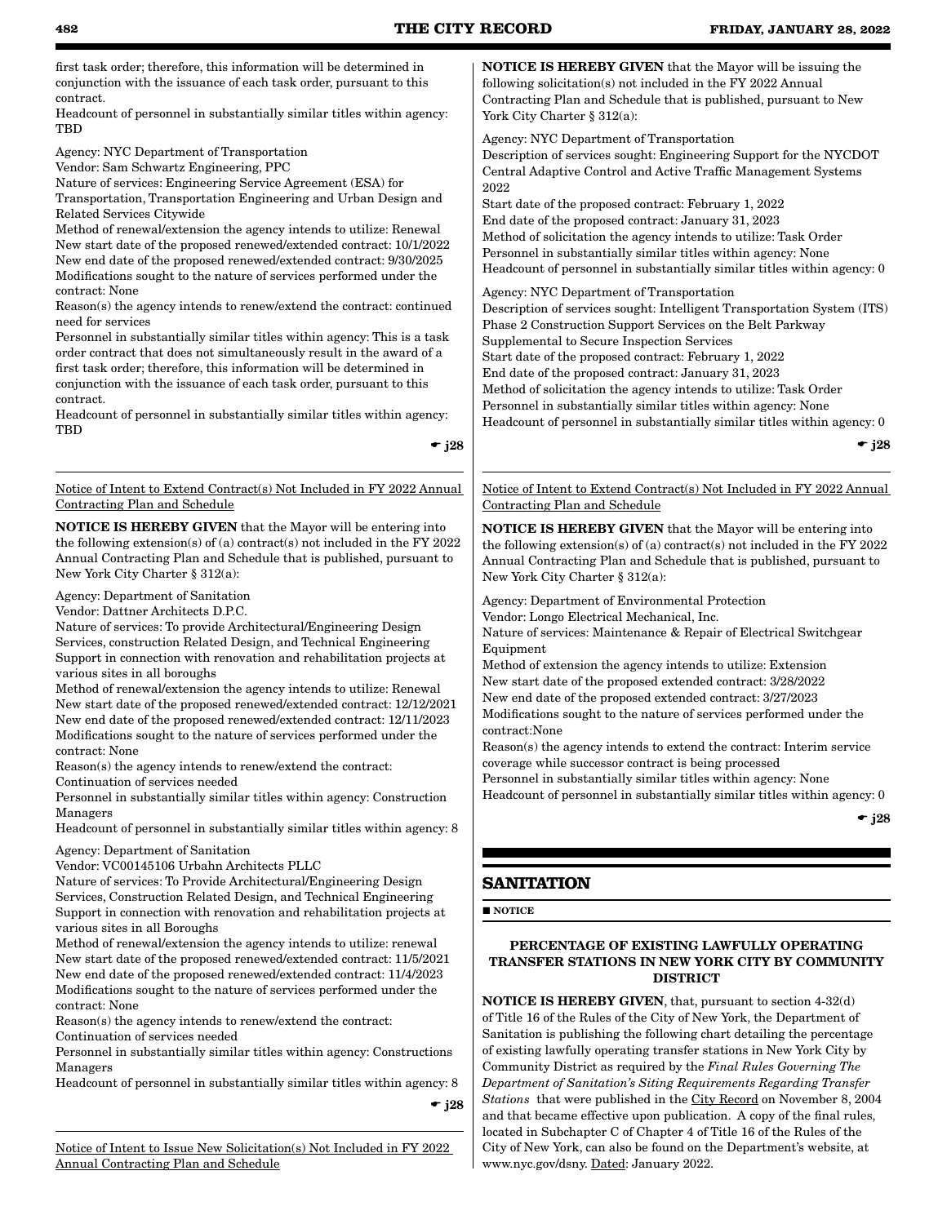first task order; therefore, this information will be determined in conjunction with the issuance of each task order, pursuant to this contract.

Headcount of personnel in substantially similar titles within agency: **TRD** 

Agency: NYC Department of Transportation

Vendor: Sam Schwartz Engineering, PPC

Nature of services: Engineering Service Agreement (ESA) for Transportation, Transportation Engineering and Urban Design and Related Services Citywide

Method of renewal/extension the agency intends to utilize: Renewal New start date of the proposed renewed/extended contract: 10/1/2022 New end date of the proposed renewed/extended contract: 9/30/2025 Modifications sought to the nature of services performed under the contract: None

Reason(s) the agency intends to renew/extend the contract: continued need for services

Personnel in substantially similar titles within agency: This is a task order contract that does not simultaneously result in the award of a first task order; therefore, this information will be determined in conjunction with the issuance of each task order, pursuant to this contract.

Headcount of personnel in substantially similar titles within agency: **TBD** 

 $\div$  i28

Notice of Intent to Extend Contract(s) Not Included in FY 2022 Annual Contracting Plan and Schedule

NOTICE IS HEREBY GIVEN that the Mayor will be entering into the following extension(s) of (a) contract(s) not included in the FY 2022 Annual Contracting Plan and Schedule that is published, pursuant to New York City Charter § 312(a):

Agency: Department of Sanitation

Vendor: Dattner Architects D.P.C.

Nature of services: To provide Architectural/Engineering Design Services, construction Related Design, and Technical Engineering Support in connection with renovation and rehabilitation projects at various sites in all boroughs

Method of renewal/extension the agency intends to utilize: Renewal New start date of the proposed renewed/extended contract: 12/12/2021 New end date of the proposed renewed/extended contract: 12/11/2023 Modifications sought to the nature of services performed under the contract: None

Reason(s) the agency intends to renew/extend the contract:

Continuation of services needed

Personnel in substantially similar titles within agency: Construction Managers

Headcount of personnel in substantially similar titles within agency: 8

Agency: Department of Sanitation

Vendor: VC00145106 Urbahn Architects PLLC

Nature of services: To Provide Architectural/Engineering Design Services, Construction Related Design, and Technical Engineering Support in connection with renovation and rehabilitation projects at various sites in all Boroughs

Method of renewal/extension the agency intends to utilize: renewal New start date of the proposed renewed/extended contract: 11/5/2021 New end date of the proposed renewed/extended contract: 11/4/2023 Modifications sought to the nature of services performed under the contract: None

Reason(s) the agency intends to renew/extend the contract:

Continuation of services needed

Personnel in substantially similar titles within agency: Constructions Managers

Headcount of personnel in substantially similar titles within agency: 8

 $\div$  j28

Notice of Intent to Issue New Solicitation(s) Not Included in FY 2022 Annual Contracting Plan and Schedule

NOTICE IS HEREBY GIVEN that the Mayor will be issuing the following solicitation(s) not included in the FY 2022 Annual Contracting Plan and Schedule that is published, pursuant to New York City Charter § 312(a):

Agency: NYC Department of Transportation

Description of services sought: Engineering Support for the NYCDOT Central Adaptive Control and Active Traffic Management Systems 2022

Start date of the proposed contract: February 1, 2022 End date of the proposed contract: January 31, 2023 Method of solicitation the agency intends to utilize: Task Order Personnel in substantially similar titles within agency: None Headcount of personnel in substantially similar titles within agency: 0

Agency: NYC Department of Transportation

Description of services sought: Intelligent Transportation System (ITS) Phase 2 Construction Support Services on the Belt Parkway Supplemental to Secure Inspection Services Start date of the proposed contract: February 1, 2022 End date of the proposed contract: January 31, 2023 Method of solicitation the agency intends to utilize: Task Order Personnel in substantially similar titles within agency: None Headcount of personnel in substantially similar titles within agency: 0

 $\div$  i28

Notice of Intent to Extend Contract(s) Not Included in FY 2022 Annual Contracting Plan and Schedule

NOTICE IS HEREBY GIVEN that the Mayor will be entering into the following extension(s) of (a) contract(s) not included in the FY 2022 Annual Contracting Plan and Schedule that is published, pursuant to New York City Charter § 312(a):

Agency: Department of Environmental Protection

Vendor: Longo Electrical Mechanical, Inc.

Nature of services: Maintenance & Repair of Electrical Switchgear Equipment

Method of extension the agency intends to utilize: Extension New start date of the proposed extended contract: 3/28/2022 New end date of the proposed extended contract: 3/27/2023 Modifications sought to the nature of services performed under the contract:None

Reason(s) the agency intends to extend the contract: Interim service coverage while successor contract is being processed

Personnel in substantially similar titles within agency: None Headcount of personnel in substantially similar titles within agency: 0

 $\bullet$  j28

### **SANITATION**

**NOTICE** 

### PERCENTAGE OF EXISTING LAWFULLY OPERATING TRANSFER STATIONS IN NEW YORK CITY BY COMMUNITY DISTRICT

NOTICE IS HEREBY GIVEN, that, pursuant to section 4-32(d) of Title 16 of the Rules of the City of New York, the Department of Sanitation is publishing the following chart detailing the percentage of existing lawfully operating transfer stations in New York City by Community District as required by the *Final Rules Governing The Department of Sanitation's Siting Requirements Regarding Transfer Stations* that were published in the City Record on November 8, 2004 and that became effective upon publication. A copy of the final rules, located in Subchapter C of Chapter 4 of Title 16 of the Rules of the City of New York, can also be found on the Department's website, at www.nyc.gov/dsny. Dated: January 2022.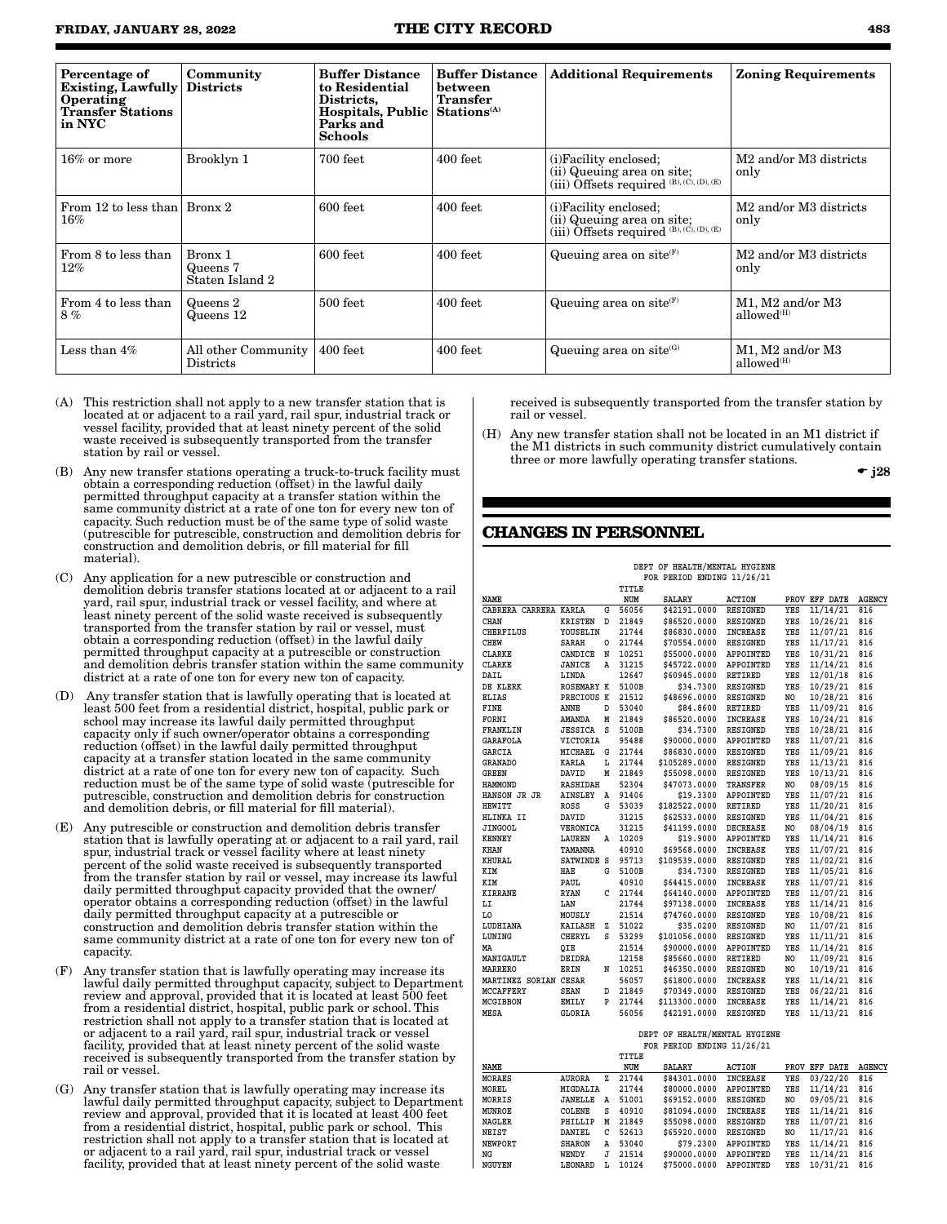| Percentage of<br><b>Existing, Lawfully</b><br>Operating<br><b>Transfer Stations</b><br>in NYC | Community<br><b>Districts</b>          | <b>Buffer Distance</b><br>to Residential<br>Districts.<br>Hospitals, Public Stations <sup>(A)</sup><br>Parks and<br><b>Schools</b> | <b>Buffer Distance</b><br><b>between</b><br><b>Transfer</b> | <b>Additional Requirements</b>                                                                              | <b>Zoning Requirements</b>                             |
|-----------------------------------------------------------------------------------------------|----------------------------------------|------------------------------------------------------------------------------------------------------------------------------------|-------------------------------------------------------------|-------------------------------------------------------------------------------------------------------------|--------------------------------------------------------|
| $16\%$ or more                                                                                | Brooklyn 1                             | $700$ feet                                                                                                                         | $400$ feet                                                  | (i)Facility enclosed;<br>(ii) Queuing area on site;<br>(iii) $\tilde{O}$ ffsets required (B), (C), (D), (E) | M <sub>2</sub> and/or M <sub>3</sub> districts<br>only |
| From 12 to less than   Bronx 2<br>$16\%$                                                      |                                        | 600 feet                                                                                                                           | 400 feet                                                    | (i) Facility enclosed;<br>(ii) Queuing area on site;<br>(iii) Offsets required $^{(B),(C),(D),(E)}$         | M <sub>2</sub> and/or M <sub>3</sub> districts<br>only |
| From 8 to less than<br>12%                                                                    | Bronx 1<br>Queens 7<br>Staten Island 2 | $600$ feet                                                                                                                         | 400 feet                                                    | Queuing area on site $(F)$                                                                                  | M <sub>2</sub> and/or M <sub>3</sub> districts<br>only |
| From 4 to less than<br>8%                                                                     | Queens 2<br>Queens 12                  | 500 feet                                                                                                                           | 400 feet                                                    | Queuing area on site $(F)$                                                                                  | M1, M2 and/or M3<br>allowed <sup>(H)</sup>             |
| Less than 4%                                                                                  | All other Community<br>Districts       | 400 feet                                                                                                                           | $400$ feet                                                  | Queuing area on site $(G)$                                                                                  | M1, M2 and/or M3<br>allowed <sup>(H)</sup>             |

- (A) This restriction shall not apply to a new transfer station that is located at or adjacent to a rail yard, rail spur, industrial track or vessel facility, provided that at least ninety percent of the solid waste received is subsequently transported from the transfer station by rail or vessel.
- (B) Any new transfer stations operating a truck-to-truck facility must obtain a corresponding reduction (offset) in the lawful daily permitted throughput capacity at a transfer station within the same community district at a rate of one ton for every new ton of capacity. Such reduction must be of the same type of solid waste (putrescible for putrescible, construction and demolition debris for construction and demolition debris, or fill material for fill material).
- (C) Any application for a new putrescible or construction and demolition debris transfer stations located at or adjacent to a rail yard, rail spur, industrial track or vessel facility, and where at least ninety percent of the solid waste received is subsequently transported from the transfer station by rail or vessel, must obtain a corresponding reduction (offset) in the lawful daily permitted throughput capacity at a putrescible or construction and demolition debris transfer station within the same community district at a rate of one ton for every new ton of capacity.
- Any transfer station that is lawfully operating that is located at least 500 feet from a residential district, hospital, public park or school may increase its lawful daily permitted throughput capacity only if such owner/operator obtains a corresponding reduction (offset) in the lawful daily permitted throughput capacity at a transfer station located in the same community district at a rate of one ton for every new ton of capacity. Such reduction must be of the same type of solid waste (putrescible for putrescible, construction and demolition debris for construction and demolition debris, or fill material for fill material).
- (E) Any putrescible or construction and demolition debris transfer station that is lawfully operating at or adjacent to a rail yard, rail spur, industrial track or vessel facility where at least ninety percent of the solid waste received is subsequently transported from the transfer station by rail or vessel, may increase its lawful daily permitted throughput capacity provided that the owner/ operator obtains a corresponding reduction (offset) in the lawful daily permitted throughput capacity at a putrescible or construction and demolition debris transfer station within the same community district at a rate of one ton for every new ton of capacity.
- Any transfer station that is lawfully operating may increase its lawful daily permitted throughput capacity, subject to Department review and approval, provided that it is located at least 500 feet from a residential district, hospital, public park or school. This restriction shall not apply to a transfer station that is located at or adjacent to a rail yard, rail spur, industrial track or vessel facility, provided that at least ninety percent of the solid waste received is subsequently transported from the transfer station by rail or vessel.
- (G) Any transfer station that is lawfully operating may increase its lawful daily permitted throughput capacity, subject to Department review and approval, provided that it is located at least 400 feet from a residential district, hospital, public park or school. This restriction shall not apply to a transfer station that is located at or adjacent to a rail yard, rail spur, industrial track or vessel facility, provided that at least ninety percent of the solid waste

received is subsequently transported from the transfer station by rail or vessel.

(H) Any new transfer station shall not be located in an M1 district if the M1 districts in such community district cumulatively contain three or more lawfully operating transfer stations.

 $\bullet$  j28

### **CHANGES IN PERSONNEL**

 **DEPT OF HEALTH/MENTAL HYGIENE FOR PERIOD ENDING 11/26/21**

|                               |                   |   | TITLE |               |                 |     |               |               |
|-------------------------------|-------------------|---|-------|---------------|-----------------|-----|---------------|---------------|
| <b>NAME</b>                   |                   |   | NUM   | <b>SALARY</b> | <b>ACTION</b>   |     | PROV EFF DATE | <b>AGENCY</b> |
| CABRERA CARRERA KARLA         |                   | G | 56056 | \$42191.0000  | <b>RESIGNED</b> | YES | 11/14/21      | 816           |
| <b>CHAN</b>                   | <b>KRISTEN</b>    | D | 21849 | \$86520.0000  | <b>RESIGNED</b> | YES | 10/26/21      | 816           |
| <b>CHERFILUS</b>              | YOUSELIN          |   | 21744 | \$86830.0000  | <b>INCREASE</b> | YES | 11/07/21      | 816           |
| <b>CHEW</b>                   | <b>SARAH</b>      | 0 | 21744 | \$70554.0000  | <b>RESIGNED</b> | YES | 11/17/21      | 816           |
| <b>CLARKE</b>                 | CANDICE           | N | 10251 | \$55000.0000  | APPOINTED       | YES | 10/31/21      | 816           |
| <b>CLARKE</b>                 | JANICE            | A | 31215 | \$45722.0000  | APPOINTED       | YES | 11/14/21      | 816           |
| DAIL                          | LINDA             |   | 12647 | \$60945.0000  | <b>RETIRED</b>  | YES | 12/01/18      | 816           |
| DE KLERK                      | <b>ROSEMARY K</b> |   | 5100B | \$34.7300     | <b>RESIGNED</b> | YES | 10/29/21      | 816           |
| <b>ELIAS</b>                  | PRECIOUS K        |   | 21512 | \$48696.0000  | <b>RESIGNED</b> | NO  | 10/28/21      | 816           |
| FINE                          | ANNE              | D | 53040 | \$84.8600     | <b>RETIRED</b>  | YES | 11/09/21      | 816           |
| FORNI                         | <b>AMANDA</b>     | M | 21849 | \$86520.0000  | <b>INCREASE</b> | YES | 10/24/21      | 816           |
| FRANKLIN                      | <b>JESSICA</b>    | s | 5100B | \$34.7300     | <b>RESIGNED</b> | YES | 10/28/21      | 816           |
| <b>GARAFOLA</b>               | VICTORIA          |   | 95488 | \$90000.0000  | APPOINTED       | YES | 11/07/21      | 816           |
| <b>GARCIA</b>                 | MICHAEL           | G | 21744 | \$86830.0000  | <b>RESIGNED</b> | YES | 11/09/21      | 816           |
| <b>GRANADO</b>                | <b>KARLA</b>      | L | 21744 | \$105289.0000 | RESIGNED        | YES | 11/13/21      | 816           |
| <b>GREEN</b>                  | DAVID             | M | 21849 | \$55098.0000  | <b>RESIGNED</b> | YES | 10/13/21      | 816           |
| <b>HAMMOND</b>                | <b>RASHIDAH</b>   |   | 52304 | \$47073.0000  | <b>TRANSFER</b> | NO. | 08/09/15      | 816           |
| HANSON JR JR                  | <b>AINSLEY</b>    | Α | 91406 | \$19.3300     | APPOINTED       | YES | 11/07/21      | 816           |
| <b>HEWITT</b>                 | <b>ROSS</b>       | G | 53039 | \$182522.0000 | <b>RETIRED</b>  | YES | 11/20/21      | 816           |
| HLINKA II                     | DAVID             |   | 31215 | \$62533.0000  | <b>RESIGNED</b> | YES | 11/04/21      | 816           |
| <b>JINGOOL</b>                | VERONICA          |   | 31215 | \$41199.0000  | <b>DECREASE</b> | NO. | 08/04/19      | 816           |
| <b>KENNEY</b>                 | LAUREN            | Α | 10209 | \$19.9000     | APPOINTED       | YES | 11/14/21      | 816           |
| KHAN                          | TAMANNA           |   | 40910 | \$69568.0000  | <b>INCREASE</b> | YES | 11/07/21      | 816           |
| <b>KHURAL</b>                 | SATWINDE S        |   | 95713 | \$109539.0000 | RESIGNED        | YES | 11/02/21      | 816           |
| KIM                           | HAE               | G | 5100B | \$34.7300     | <b>RESIGNED</b> | YES | 11/05/21      | 816           |
| KIM                           | PAUL              |   | 40910 | \$64415.0000  | <b>INCREASE</b> | YES | 11/07/21      | 816           |
| <b>KIRRANE</b>                | <b>RYAN</b>       | C | 21744 | \$64140.0000  | APPOINTED       | YES | 11/07/21      | 816           |
| LI                            | LAN               |   | 21744 | \$97138.0000  | <b>INCREASE</b> | YES | 11/14/21      | 816           |
| L0                            | MOUSLY            |   | 21514 | \$74760.0000  | <b>RESIGNED</b> | YES | 10/08/21      | 816           |
| LUDHIANA                      | <b>KAILASH</b>    | z | 51022 | \$35.0200     | <b>RESIGNED</b> | NO. | 11/07/21      | 816           |
| LUNING                        | CHERYL            | S | 53299 | \$101056.0000 | <b>RESIGNED</b> | YES | 11/11/21      | 816           |
| MA                            | OIE               |   | 21514 | \$90000.0000  | APPOINTED       | YES | 11/14/21      | 816           |
| MANIGAULT                     | <b>DEIDRA</b>     |   | 12158 | \$85660.0000  | <b>RETIRED</b>  | NO  | 11/09/21      | 816           |
| <b>MARRERO</b>                | ERIN              | N | 10251 | \$46350.0000  | <b>RESIGNED</b> | NO  | 10/19/21      | 816           |
| MARTINEZ SORIAN CESAR         |                   |   | 56057 | \$61800.0000  | <b>INCREASE</b> | YES | 11/14/21      | 816           |
| <b>MCCAFFERY</b>              | <b>SEAN</b>       | D | 21849 | \$70349.0000  | <b>RESIGNED</b> | YES | 06/22/21      | 816           |
| MCGIBBON                      | EMILY             | P | 21744 | \$113300.0000 | INCREASE        | YES | 11/14/21      | 816           |
| MESA                          | <b>GLORIA</b>     |   | 56056 | \$42191.0000  | <b>RESIGNED</b> | YES | 11/13/21      | 816           |
|                               |                   |   |       |               |                 |     |               |               |
| DEPT OF HEALTH/MENTAL HYGIENE |                   |   |       |               |                 |     |               |               |

|               |               |   |       | FOR PERIOD ENDING 11/26/21 |                 |     |                  |               |
|---------------|---------------|---|-------|----------------------------|-----------------|-----|------------------|---------------|
|               |               |   | TITLE |                            |                 |     |                  |               |
| NAME          |               |   | NUM   | <b>SALARY</b>              | ACTION          |     | PROV EFF DATE    | <b>AGENCY</b> |
| <b>MORAES</b> | <b>AURORA</b> | z | 21744 | \$84301,0000               | <b>INCREASE</b> | YES | 03/22/20 816     |               |
| MOREL         | MIGDALIA      |   | 21744 | \$80000.0000               | APPOINTED       |     | YES 11/14/21 816 |               |
| MORRIS        | JANELLE       | A | 51001 | \$69152,0000               | RESIGNED        | NO. | 09/05/21 816     |               |
| MUNROE        | COLENE        | s | 40910 | \$81094.0000               | <b>INCREASE</b> |     | YES 11/14/21 816 |               |
| <b>NAGLER</b> | PHILLIP       | м | 21849 | \$55098,0000               | RESIGNED        |     | YES 11/07/21 816 |               |
| NEIST         | DANIEL        | C | 52613 | \$65920,0000               | RESIGNED        | NO. | 11/17/21 816     |               |

**NEW 8 53040 \$79.2300 APPOINTED YES 11/14/21<br>
MENDY J 21514 \$90000.0000 APPOINTED YES 11/14/21** 

\$75000.0000 APPOINTED YES 10/31/21 816

**NEIST DANIEL C 52613 \$65920.0000 RESIGNED NO 11/17/21 816**

**NG WENDY J 21514 \$90000.0000 APPOINTED YES 11/14/21 816**